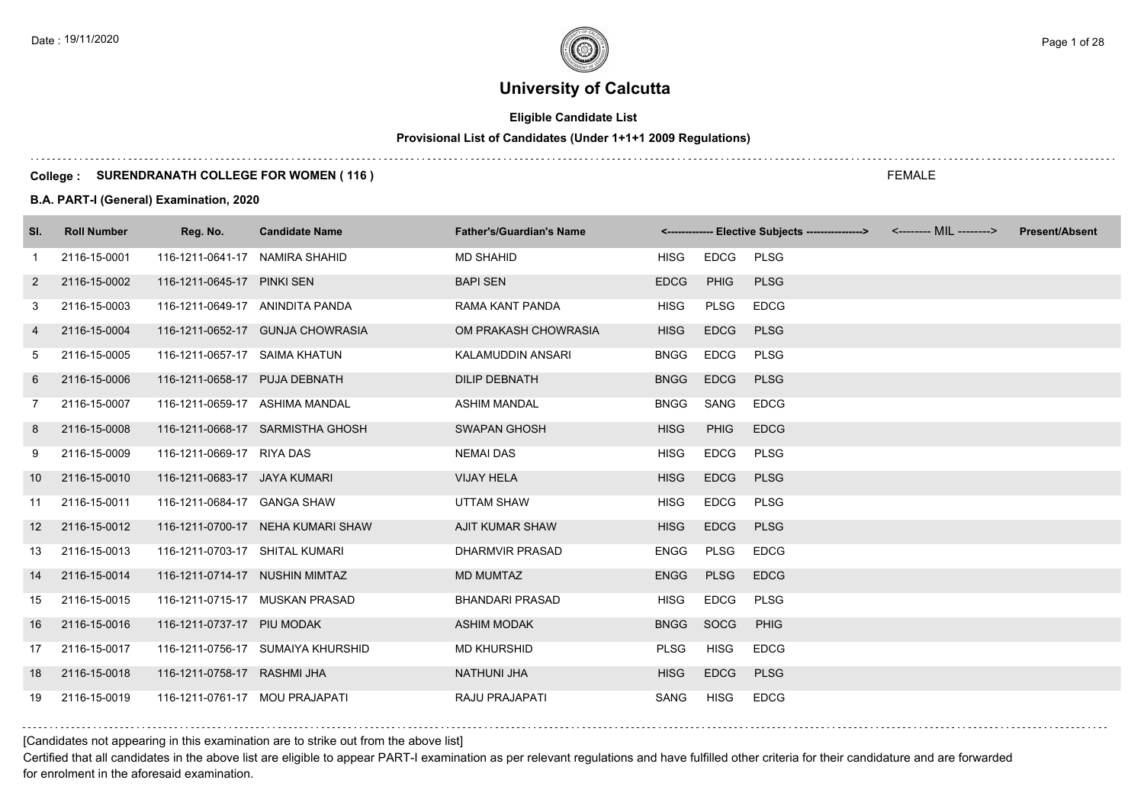# **Eligible Candidate List**

# **Provisional List of Candidates (Under 1+1+1 2009 Regulations)**

### **College : SURENDRANATH COLLEGE FOR WOMEN ( 116 )**

### **B.A. PART-I (General) Examination, 2020**

| SI. | <b>Roll Number</b> | Reg. No.                        | <b>Candidate Name</b>             | <b>Father's/Guardian's Name</b> |             |             | <------------- Elective Subjects ----------------> <-------- MIL --------> | <b>Present/Absent</b> |
|-----|--------------------|---------------------------------|-----------------------------------|---------------------------------|-------------|-------------|----------------------------------------------------------------------------|-----------------------|
| -1  | 2116-15-0001       | 116-1211-0641-17 NAMIRA SHAHID  |                                   | <b>MD SHAHID</b>                | <b>HISG</b> | EDCG        | <b>PLSG</b>                                                                |                       |
| 2   | 2116-15-0002       | 116-1211-0645-17 PINKI SEN      |                                   | <b>BAPI SEN</b>                 | <b>EDCG</b> | PHIG        | <b>PLSG</b>                                                                |                       |
| 3   | 2116-15-0003       | 116-1211-0649-17 ANINDITA PANDA |                                   | RAMA KANT PANDA                 | <b>HISG</b> | PLSG        | <b>EDCG</b>                                                                |                       |
| 4   | 2116-15-0004       |                                 | 116-1211-0652-17 GUNJA CHOWRASIA  | OM PRAKASH CHOWRASIA            | <b>HISG</b> | <b>EDCG</b> | <b>PLSG</b>                                                                |                       |
| 5   | 2116-15-0005       | 116-1211-0657-17 SAIMA KHATUN   |                                   | KALAMUDDIN ANSARI               | <b>BNGG</b> | <b>EDCG</b> | <b>PLSG</b>                                                                |                       |
| 6   | 2116-15-0006       | 116-1211-0658-17 PUJA DEBNATH   |                                   | <b>DILIP DEBNATH</b>            | <b>BNGG</b> | <b>EDCG</b> | <b>PLSG</b>                                                                |                       |
| 7   | 2116-15-0007       | 116-1211-0659-17 ASHIMA MANDAL  |                                   | <b>ASHIM MANDAL</b>             | <b>BNGG</b> | SANG        | <b>EDCG</b>                                                                |                       |
| 8   | 2116-15-0008       |                                 | 116-1211-0668-17 SARMISTHA GHOSH  | <b>SWAPAN GHOSH</b>             | <b>HISG</b> | <b>PHIG</b> | <b>EDCG</b>                                                                |                       |
| 9   | 2116-15-0009       | 116-1211-0669-17 RIYA DAS       |                                   | <b>NEMAI DAS</b>                | <b>HISG</b> | <b>EDCG</b> | <b>PLSG</b>                                                                |                       |
| 10  | 2116-15-0010       | 116-1211-0683-17 JAYA KUMARI    |                                   | <b>VIJAY HELA</b>               | <b>HISG</b> | <b>EDCG</b> | <b>PLSG</b>                                                                |                       |
| 11  | 2116-15-0011       | 116-1211-0684-17 GANGA SHAW     |                                   | UTTAM SHAW                      | <b>HISG</b> | <b>EDCG</b> | <b>PLSG</b>                                                                |                       |
| 12  | 2116-15-0012       |                                 | 116-1211-0700-17 NEHA KUMARI SHAW | <b>AJIT KUMAR SHAW</b>          | <b>HISG</b> | <b>EDCG</b> | <b>PLSG</b>                                                                |                       |
| 13  | 2116-15-0013       | 116-1211-0703-17 SHITAL KUMARI  |                                   | <b>DHARMVIR PRASAD</b>          | ENGG        | <b>PLSG</b> | <b>EDCG</b>                                                                |                       |
| 14  | 2116-15-0014       | 116-1211-0714-17 NUSHIN MIMTAZ  |                                   | <b>MD MUMTAZ</b>                | <b>ENGG</b> | <b>PLSG</b> | <b>EDCG</b>                                                                |                       |
| 15  | 2116-15-0015       |                                 | 116-1211-0715-17 MUSKAN PRASAD    | <b>BHANDARI PRASAD</b>          | <b>HISG</b> | <b>EDCG</b> | <b>PLSG</b>                                                                |                       |
| 16  | 2116-15-0016       | 116-1211-0737-17 PIU MODAK      |                                   | <b>ASHIM MODAK</b>              | <b>BNGG</b> | SOCG        | <b>PHIG</b>                                                                |                       |
| 17  | 2116-15-0017       |                                 | 116-1211-0756-17 SUMAIYA KHURSHID | <b>MD KHURSHID</b>              | <b>PLSG</b> | <b>HISG</b> | <b>EDCG</b>                                                                |                       |
| 18  | 2116-15-0018       | 116-1211-0758-17 RASHMI JHA     |                                   | <b>NATHUNI JHA</b>              | <b>HISG</b> | <b>EDCG</b> | <b>PLSG</b>                                                                |                       |
| 19  | 2116-15-0019       | 116-1211-0761-17 MOU PRAJAPATI  |                                   | <b>RAJU PRAJAPATI</b>           | SANG        | <b>HISG</b> | <b>EDCG</b>                                                                |                       |

[Candidates not appearing in this examination are to strike out from the above list]

Certified that all candidates in the above list are eligible to appear PART-I examination as per relevant regulations and have fulfilled other criteria for their candidature and are forwarded for enrolment in the aforesaid examination.

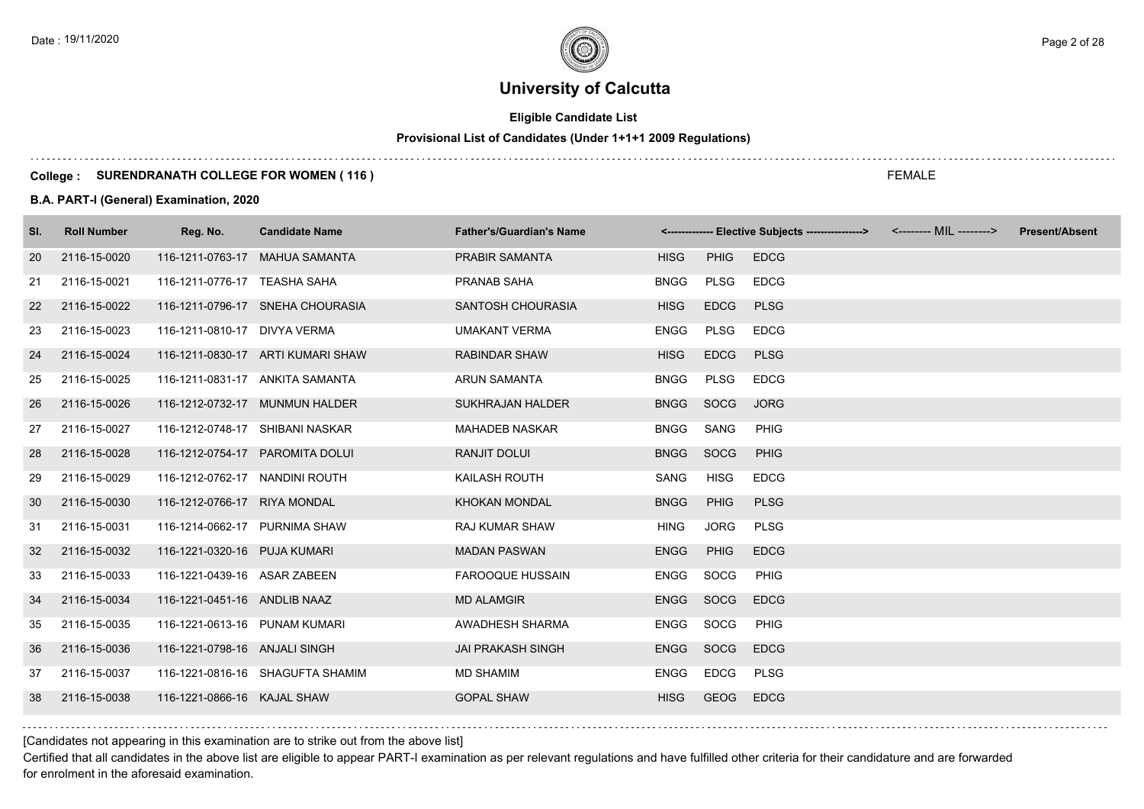# **Eligible Candidate List**

# **Provisional List of Candidates (Under 1+1+1 2009 Regulations)**

### **College : SURENDRANATH COLLEGE FOR WOMEN ( 116 )**

### **B.A. PART-I (General) Examination, 2020**

| SI. | <b>Roll Number</b> | Reg. No.                        | <b>Candidate Name</b>             | <b>Father's/Guardian's Name</b> |             |             | <------------- Elective Subjects ----------------> | <b>Present/Absent</b> |
|-----|--------------------|---------------------------------|-----------------------------------|---------------------------------|-------------|-------------|----------------------------------------------------|-----------------------|
| 20  | 2116-15-0020       |                                 | 116-1211-0763-17 MAHUA SAMANTA    | <b>PRABIR SAMANTA</b>           | <b>HISG</b> | <b>PHIG</b> | <b>EDCG</b>                                        |                       |
| 21  | 2116-15-0021       | 116-1211-0776-17 TEASHA SAHA    |                                   | PRANAB SAHA                     | <b>BNGG</b> | <b>PLSG</b> | <b>EDCG</b>                                        |                       |
| 22  | 2116-15-0022       |                                 | 116-1211-0796-17 SNEHA CHOURASIA  | SANTOSH CHOURASIA               | <b>HISG</b> | <b>EDCG</b> | <b>PLSG</b>                                        |                       |
| 23  | 2116-15-0023       | 116-1211-0810-17 DIVYA VERMA    |                                   | <b>UMAKANT VERMA</b>            | <b>ENGG</b> | <b>PLSG</b> | <b>EDCG</b>                                        |                       |
| 24  | 2116-15-0024       |                                 | 116-1211-0830-17 ARTI KUMARI SHAW | <b>RABINDAR SHAW</b>            | <b>HISG</b> | <b>EDCG</b> | <b>PLSG</b>                                        |                       |
| 25  | 2116-15-0025       |                                 | 116-1211-0831-17 ANKITA SAMANTA   | <b>ARUN SAMANTA</b>             | <b>BNGG</b> | <b>PLSG</b> | <b>EDCG</b>                                        |                       |
| 26  | 2116-15-0026       |                                 | 116-1212-0732-17 MUNMUN HALDER    | <b>SUKHRAJAN HALDER</b>         | <b>BNGG</b> | SOCG        | <b>JORG</b>                                        |                       |
| 27  | 2116-15-0027       | 116-1212-0748-17 SHIBANI NASKAR |                                   | <b>MAHADEB NASKAR</b>           | <b>BNGG</b> | SANG        | PHIG                                               |                       |
| 28  | 2116-15-0028       |                                 | 116-1212-0754-17 PAROMITA DOLUI   | RANJIT DOLUI                    | <b>BNGG</b> | SOCG        | <b>PHIG</b>                                        |                       |
| 29  | 2116-15-0029       | 116-1212-0762-17 NANDINI ROUTH  |                                   | KAILASH ROUTH                   | SANG        | <b>HISG</b> | <b>EDCG</b>                                        |                       |
| 30  | 2116-15-0030       | 116-1212-0766-17 RIYA MONDAL    |                                   | <b>KHOKAN MONDAL</b>            | <b>BNGG</b> | PHIG        | <b>PLSG</b>                                        |                       |
| 31  | 2116-15-0031       | 116-1214-0662-17 PURNIMA SHAW   |                                   | <b>RAJ KUMAR SHAW</b>           | <b>HING</b> | <b>JORG</b> | <b>PLSG</b>                                        |                       |
| 32  | 2116-15-0032       | 116-1221-0320-16 PUJA KUMARI    |                                   | <b>MADAN PASWAN</b>             | <b>ENGG</b> | <b>PHIG</b> | <b>EDCG</b>                                        |                       |
| 33  | 2116-15-0033       | 116-1221-0439-16 ASAR ZABEEN    |                                   | <b>FAROOQUE HUSSAIN</b>         | <b>ENGG</b> | SOCG        | PHIG                                               |                       |
| 34  | 2116-15-0034       | 116-1221-0451-16 ANDLIB NAAZ    |                                   | <b>MD ALAMGIR</b>               | <b>ENGG</b> | SOCG        | <b>EDCG</b>                                        |                       |
| 35  | 2116-15-0035       | 116-1221-0613-16 PUNAM KUMARI   |                                   | AWADHESH SHARMA                 | ENGG        | SOCG        | <b>PHIG</b>                                        |                       |
| 36  | 2116-15-0036       | 116-1221-0798-16 ANJALI SINGH   |                                   | <b>JAI PRAKASH SINGH</b>        | <b>ENGG</b> | SOCG        | <b>EDCG</b>                                        |                       |
| 37  | 2116-15-0037       |                                 | 116-1221-0816-16 SHAGUFTA SHAMIM  | <b>MD SHAMIM</b>                | ENGG        | <b>EDCG</b> | <b>PLSG</b>                                        |                       |
| 38  | 2116-15-0038       | 116-1221-0866-16 KAJAL SHAW     |                                   | <b>GOPAL SHAW</b>               | <b>HISG</b> | <b>GEOG</b> | <b>EDCG</b>                                        |                       |

[Candidates not appearing in this examination are to strike out from the above list]

Certified that all candidates in the above list are eligible to appear PART-I examination as per relevant regulations and have fulfilled other criteria for their candidature and are forwarded for enrolment in the aforesaid examination.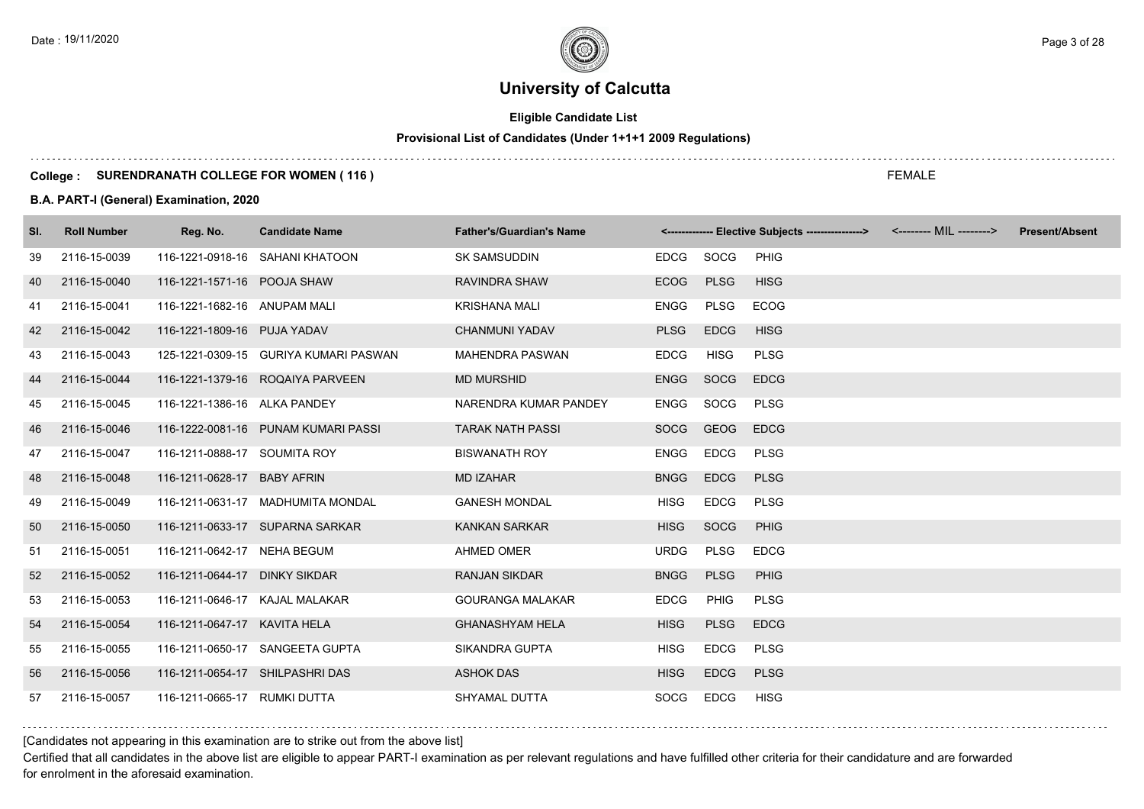# **Eligible Candidate List**

#### **Provisional List of Candidates (Under 1+1+1 2009 Regulations)**

### **College : SURENDRANATH COLLEGE FOR WOMEN ( 116 )**

### **B.A. PART-I (General) Examination, 2020**

| SI. | <b>Roll Number</b> | Reg. No.                        | <b>Candidate Name</b>                 | <b>Father's/Guardian's Name</b> |             |             | <------------- Elective Subjects ----------------> <-------- MIL --------> | <b>Present/Absent</b> |
|-----|--------------------|---------------------------------|---------------------------------------|---------------------------------|-------------|-------------|----------------------------------------------------------------------------|-----------------------|
| 39  | 2116-15-0039       |                                 | 116-1221-0918-16 SAHANI KHATOON       | <b>SK SAMSUDDIN</b>             | EDCG        | SOCG        | PHIG                                                                       |                       |
| 40  | 2116-15-0040       | 116-1221-1571-16 POOJA SHAW     |                                       | RAVINDRA SHAW                   | <b>ECOG</b> | <b>PLSG</b> | <b>HISG</b>                                                                |                       |
| 41  | 2116-15-0041       | 116-1221-1682-16 ANUPAM MALI    |                                       | <b>KRISHANA MALI</b>            | <b>ENGG</b> | <b>PLSG</b> | <b>ECOG</b>                                                                |                       |
| 42  | 2116-15-0042       | 116-1221-1809-16 PUJA YADAV     |                                       | <b>CHANMUNI YADAV</b>           | <b>PLSG</b> | <b>EDCG</b> | <b>HISG</b>                                                                |                       |
| 43  | 2116-15-0043       |                                 | 125-1221-0309-15 GURIYA KUMARI PASWAN | <b>MAHENDRA PASWAN</b>          | <b>EDCG</b> | <b>HISG</b> | <b>PLSG</b>                                                                |                       |
| 44  | 2116-15-0044       |                                 | 116-1221-1379-16 ROQAIYA PARVEEN      | <b>MD MURSHID</b>               | <b>ENGG</b> | SOCG        | <b>EDCG</b>                                                                |                       |
| 45  | 2116-15-0045       | 116-1221-1386-16 ALKA PANDEY    |                                       | NARENDRA KUMAR PANDEY           | <b>ENGG</b> | SOCG        | <b>PLSG</b>                                                                |                       |
| 46  | 2116-15-0046       |                                 | 116-1222-0081-16 PUNAM KUMARI PASSI   | <b>TARAK NATH PASSI</b>         | <b>SOCG</b> | <b>GEOG</b> | <b>EDCG</b>                                                                |                       |
| 47  | 2116-15-0047       | 116-1211-0888-17 SOUMITA ROY    |                                       | <b>BISWANATH ROY</b>            | ENGG        | <b>EDCG</b> | <b>PLSG</b>                                                                |                       |
| 48  | 2116-15-0048       | 116-1211-0628-17 BABY AFRIN     |                                       | <b>MD IZAHAR</b>                | <b>BNGG</b> | <b>EDCG</b> | <b>PLSG</b>                                                                |                       |
| 49  | 2116-15-0049       |                                 | 116-1211-0631-17 MADHUMITA MONDAL     | <b>GANESH MONDAL</b>            | <b>HISG</b> | <b>EDCG</b> | <b>PLSG</b>                                                                |                       |
| 50  | 2116-15-0050       |                                 | 116-1211-0633-17 SUPARNA SARKAR       | <b>KANKAN SARKAR</b>            | <b>HISG</b> | SOCG        | <b>PHIG</b>                                                                |                       |
| 51  | 2116-15-0051       | 116-1211-0642-17 NEHA BEGUM     |                                       | <b>AHMED OMER</b>               | <b>URDG</b> | <b>PLSG</b> | <b>EDCG</b>                                                                |                       |
| 52  | 2116-15-0052       | 116-1211-0644-17 DINKY SIKDAR   |                                       | <b>RANJAN SIKDAR</b>            | <b>BNGG</b> | <b>PLSG</b> | <b>PHIG</b>                                                                |                       |
| 53  | 2116-15-0053       | 116-1211-0646-17 KAJAL MALAKAR  |                                       | <b>GOURANGA MALAKAR</b>         | <b>EDCG</b> | <b>PHIG</b> | <b>PLSG</b>                                                                |                       |
| 54  | 2116-15-0054       | 116-1211-0647-17 KAVITA HELA    |                                       | <b>GHANASHYAM HELA</b>          | <b>HISG</b> | <b>PLSG</b> | <b>EDCG</b>                                                                |                       |
| 55  | 2116-15-0055       |                                 | 116-1211-0650-17 SANGEETA GUPTA       | SIKANDRA GUPTA                  | <b>HISG</b> | <b>EDCG</b> | <b>PLSG</b>                                                                |                       |
| 56  | 2116-15-0056       | 116-1211-0654-17 SHILPASHRI DAS |                                       | <b>ASHOK DAS</b>                | <b>HISG</b> | <b>EDCG</b> | <b>PLSG</b>                                                                |                       |
| 57  | 2116-15-0057       | 116-1211-0665-17 RUMKI DUTTA    |                                       | SHYAMAL DUTTA                   | <b>SOCG</b> | <b>EDCG</b> | <b>HISG</b>                                                                |                       |

[Candidates not appearing in this examination are to strike out from the above list]

Certified that all candidates in the above list are eligible to appear PART-I examination as per relevant regulations and have fulfilled other criteria for their candidature and are forwarded for enrolment in the aforesaid examination.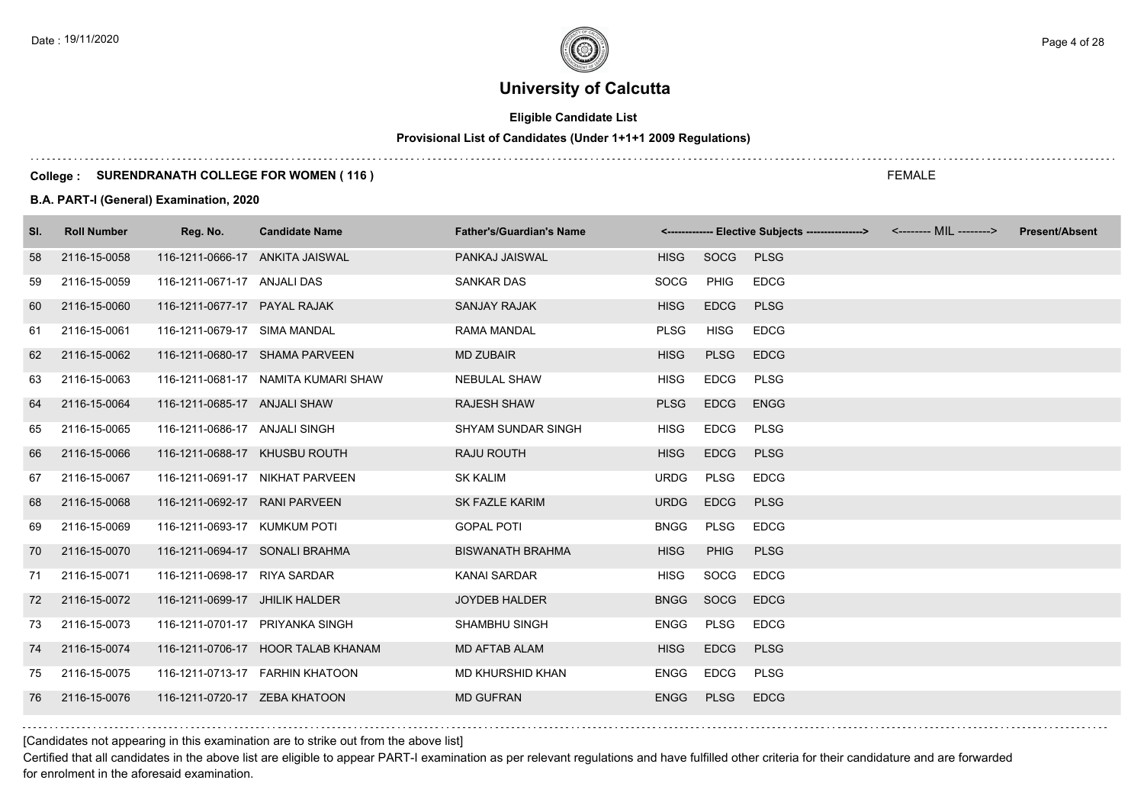# **Eligible Candidate List**

#### **Provisional List of Candidates (Under 1+1+1 2009 Regulations)**

### **College : SURENDRANATH COLLEGE FOR WOMEN ( 116 )**

### **B.A. PART-I (General) Examination, 2020**

| SI. | <b>Roll Number</b> | Reg. No.                        | <b>Candidate Name</b>               | <b>Father's/Guardian's Name</b> |             |             | <------------- Elective Subjects ---------------> <-------- MIL --------> | <b>Present/Absent</b> |
|-----|--------------------|---------------------------------|-------------------------------------|---------------------------------|-------------|-------------|---------------------------------------------------------------------------|-----------------------|
| 58  | 2116-15-0058       | 116-1211-0666-17 ANKITA JAISWAL |                                     | PANKAJ JAISWAL                  | <b>HISG</b> | SOCG        | <b>PLSG</b>                                                               |                       |
| 59  | 2116-15-0059       | 116-1211-0671-17 ANJALI DAS     |                                     | <b>SANKAR DAS</b>               | <b>SOCG</b> | PHIG        | <b>EDCG</b>                                                               |                       |
| 60  | 2116-15-0060       | 116-1211-0677-17 PAYAL RAJAK    |                                     | <b>SANJAY RAJAK</b>             | <b>HISG</b> | <b>EDCG</b> | <b>PLSG</b>                                                               |                       |
| 61  | 2116-15-0061       | 116-1211-0679-17 SIMA MANDAL    |                                     | <b>RAMA MANDAL</b>              | <b>PLSG</b> | <b>HISG</b> | <b>EDCG</b>                                                               |                       |
| 62  | 2116-15-0062       |                                 | 116-1211-0680-17 SHAMA PARVEEN      | <b>MD ZUBAIR</b>                | <b>HISG</b> | <b>PLSG</b> | <b>EDCG</b>                                                               |                       |
| 63  | 2116-15-0063       |                                 | 116-1211-0681-17 NAMITA KUMARI SHAW | <b>NEBULAL SHAW</b>             | <b>HISG</b> | <b>EDCG</b> | <b>PLSG</b>                                                               |                       |
| 64  | 2116-15-0064       | 116-1211-0685-17 ANJALI SHAW    |                                     | <b>RAJESH SHAW</b>              | <b>PLSG</b> | <b>EDCG</b> | <b>ENGG</b>                                                               |                       |
| 65  | 2116-15-0065       | 116-1211-0686-17 ANJALI SINGH   |                                     | <b>SHYAM SUNDAR SINGH</b>       | <b>HISG</b> | <b>EDCG</b> | <b>PLSG</b>                                                               |                       |
| 66  | 2116-15-0066       | 116-1211-0688-17 KHUSBU ROUTH   |                                     | RAJU ROUTH                      | <b>HISG</b> | <b>EDCG</b> | <b>PLSG</b>                                                               |                       |
| 67  | 2116-15-0067       |                                 | 116-1211-0691-17 NIKHAT PARVEEN     | <b>SK KALIM</b>                 | <b>URDG</b> | PLSG        | <b>EDCG</b>                                                               |                       |
| 68  | 2116-15-0068       | 116-1211-0692-17 RANI PARVEEN   |                                     | <b>SK FAZLE KARIM</b>           | <b>URDG</b> | <b>EDCG</b> | <b>PLSG</b>                                                               |                       |
| 69  | 2116-15-0069       | 116-1211-0693-17 KUMKUM POTI    |                                     | <b>GOPAL POTI</b>               | <b>BNGG</b> | <b>PLSG</b> | <b>EDCG</b>                                                               |                       |
| 70  | 2116-15-0070       | 116-1211-0694-17 SONALI BRAHMA  |                                     | <b>BISWANATH BRAHMA</b>         | <b>HISG</b> | <b>PHIG</b> | <b>PLSG</b>                                                               |                       |
| 71  | 2116-15-0071       | 116-1211-0698-17 RIYA SARDAR    |                                     | <b>KANAI SARDAR</b>             | <b>HISG</b> | SOCG        | <b>EDCG</b>                                                               |                       |
| 72  | 2116-15-0072       | 116-1211-0699-17 JHILIK HALDER  |                                     | <b>JOYDEB HALDER</b>            | <b>BNGG</b> | SOCG        | <b>EDCG</b>                                                               |                       |
| 73  | 2116-15-0073       | 116-1211-0701-17 PRIYANKA SINGH |                                     | <b>SHAMBHU SINGH</b>            | <b>ENGG</b> | PLSG        | <b>EDCG</b>                                                               |                       |
| 74  | 2116-15-0074       |                                 | 116-1211-0706-17 HOOR TALAB KHANAM  | <b>MD AFTAB ALAM</b>            | <b>HISG</b> | <b>EDCG</b> | <b>PLSG</b>                                                               |                       |
| 75  | 2116-15-0075       |                                 | 116-1211-0713-17 FARHIN KHATOON     | MD KHURSHID KHAN                | <b>ENGG</b> | <b>EDCG</b> | <b>PLSG</b>                                                               |                       |
| 76  | 2116-15-0076       | 116-1211-0720-17 ZEBA KHATOON   |                                     | <b>MD GUFRAN</b>                | <b>ENGG</b> | <b>PLSG</b> | <b>EDCG</b>                                                               |                       |

[Candidates not appearing in this examination are to strike out from the above list]

Certified that all candidates in the above list are eligible to appear PART-I examination as per relevant regulations and have fulfilled other criteria for their candidature and are forwarded for enrolment in the aforesaid examination.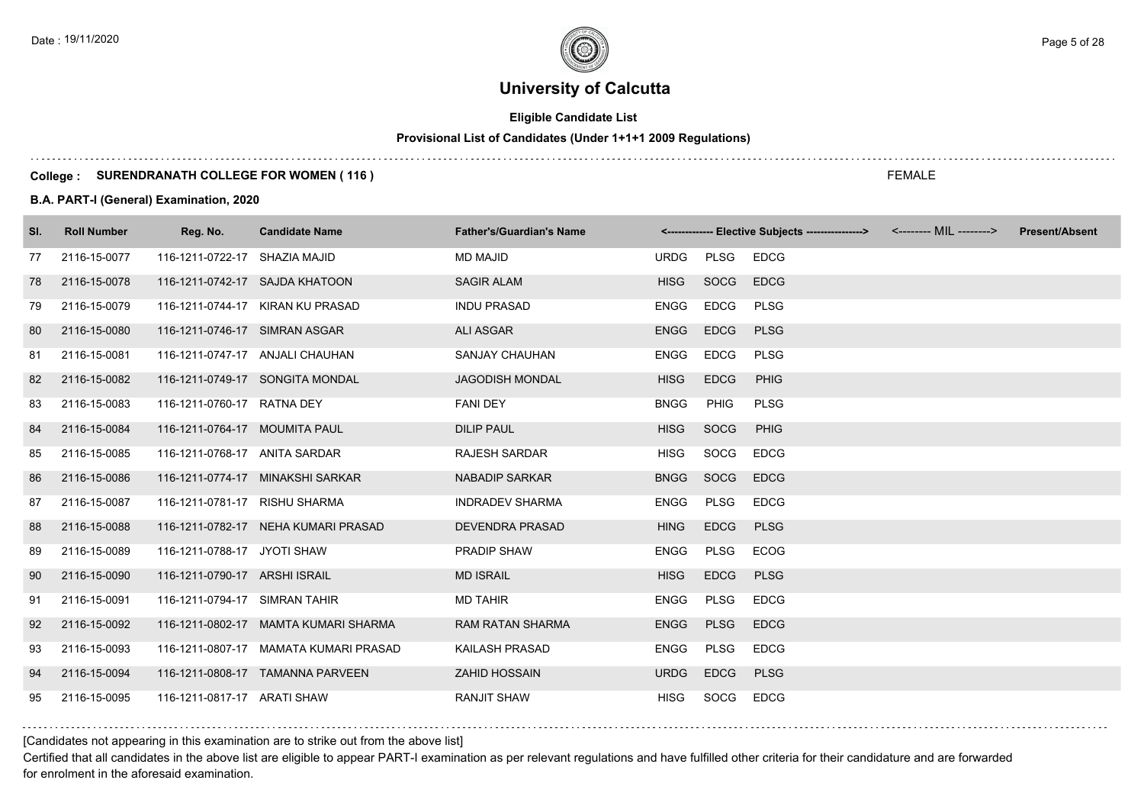# **Eligible Candidate List**

#### **Provisional List of Candidates (Under 1+1+1 2009 Regulations)**

### **College : SURENDRANATH COLLEGE FOR WOMEN ( 116 )**

### **B.A. PART-I (General) Examination, 2020**

| SI. | <b>Roll Number</b> | Reg. No.                      | <b>Candidate Name</b>                 | <b>Father's/Guardian's Name</b> |             |             | <------------- Elective Subjects ----------------> <-------- MIL --------> | <b>Present/Absent</b> |
|-----|--------------------|-------------------------------|---------------------------------------|---------------------------------|-------------|-------------|----------------------------------------------------------------------------|-----------------------|
| 77  | 2116-15-0077       | 116-1211-0722-17 SHAZIA MAJID |                                       | <b>MD MAJID</b>                 | <b>URDG</b> | PLSG        | <b>EDCG</b>                                                                |                       |
| 78  | 2116-15-0078       |                               | 116-1211-0742-17 SAJDA KHATOON        | <b>SAGIR ALAM</b>               | <b>HISG</b> | SOCG        | <b>EDCG</b>                                                                |                       |
| 79  | 2116-15-0079       |                               | 116-1211-0744-17 KIRAN KU PRASAD      | <b>INDU PRASAD</b>              | <b>ENGG</b> | <b>EDCG</b> | <b>PLSG</b>                                                                |                       |
| 80  | 2116-15-0080       | 116-1211-0746-17 SIMRAN ASGAR |                                       | <b>ALI ASGAR</b>                | <b>ENGG</b> | <b>EDCG</b> | <b>PLSG</b>                                                                |                       |
| 81  | 2116-15-0081       |                               | 116-1211-0747-17 ANJALI CHAUHAN       | SANJAY CHAUHAN                  | <b>ENGG</b> | <b>EDCG</b> | <b>PLSG</b>                                                                |                       |
| 82  | 2116-15-0082       |                               | 116-1211-0749-17 SONGITA MONDAL       | <b>JAGODISH MONDAL</b>          | <b>HISG</b> | <b>EDCG</b> | <b>PHIG</b>                                                                |                       |
| 83  | 2116-15-0083       | 116-1211-0760-17 RATNA DEY    |                                       | <b>FANI DEY</b>                 | <b>BNGG</b> | PHIG        | <b>PLSG</b>                                                                |                       |
| 84  | 2116-15-0084       | 116-1211-0764-17 MOUMITA PAUL |                                       | <b>DILIP PAUL</b>               | <b>HISG</b> | SOCG        | <b>PHIG</b>                                                                |                       |
| 85  | 2116-15-0085       | 116-1211-0768-17 ANITA SARDAR |                                       | <b>RAJESH SARDAR</b>            | <b>HISG</b> | SOCG        | <b>EDCG</b>                                                                |                       |
| 86  | 2116-15-0086       |                               | 116-1211-0774-17 MINAKSHI SARKAR      | <b>NABADIP SARKAR</b>           | <b>BNGG</b> | SOCG        | <b>EDCG</b>                                                                |                       |
| 87  | 2116-15-0087       | 116-1211-0781-17 RISHU SHARMA |                                       | <b>INDRADEV SHARMA</b>          | <b>ENGG</b> | <b>PLSG</b> | <b>EDCG</b>                                                                |                       |
| 88  | 2116-15-0088       |                               | 116-1211-0782-17 NEHA KUMARI PRASAD   | <b>DEVENDRA PRASAD</b>          | <b>HING</b> | <b>EDCG</b> | <b>PLSG</b>                                                                |                       |
| 89  | 2116-15-0089       | 116-1211-0788-17 JYOTI SHAW   |                                       | <b>PRADIP SHAW</b>              | <b>ENGG</b> | <b>PLSG</b> | <b>ECOG</b>                                                                |                       |
| 90  | 2116-15-0090       | 116-1211-0790-17 ARSHI ISRAIL |                                       | <b>MD ISRAIL</b>                | <b>HISG</b> | <b>EDCG</b> | <b>PLSG</b>                                                                |                       |
| 91  | 2116-15-0091       | 116-1211-0794-17 SIMRAN TAHIR |                                       | <b>MD TAHIR</b>                 | <b>ENGG</b> | <b>PLSG</b> | <b>EDCG</b>                                                                |                       |
| 92  | 2116-15-0092       |                               | 116-1211-0802-17 MAMTA KUMARI SHARMA  | <b>RAM RATAN SHARMA</b>         | <b>ENGG</b> | <b>PLSG</b> | <b>EDCG</b>                                                                |                       |
| 93  | 2116-15-0093       |                               | 116-1211-0807-17 MAMATA KUMARI PRASAD | KAILASH PRASAD                  | ENGG        | <b>PLSG</b> | <b>EDCG</b>                                                                |                       |
| 94  | 2116-15-0094       |                               | 116-1211-0808-17 TAMANNA PARVEEN      | <b>ZAHID HOSSAIN</b>            | <b>URDG</b> | <b>EDCG</b> | <b>PLSG</b>                                                                |                       |
| 95  | 2116-15-0095       | 116-1211-0817-17 ARATI SHAW   |                                       | <b>RANJIT SHAW</b>              | <b>HISG</b> | SOCG        | <b>EDCG</b>                                                                |                       |

[Candidates not appearing in this examination are to strike out from the above list]

Certified that all candidates in the above list are eligible to appear PART-I examination as per relevant regulations and have fulfilled other criteria for their candidature and are forwarded for enrolment in the aforesaid examination.

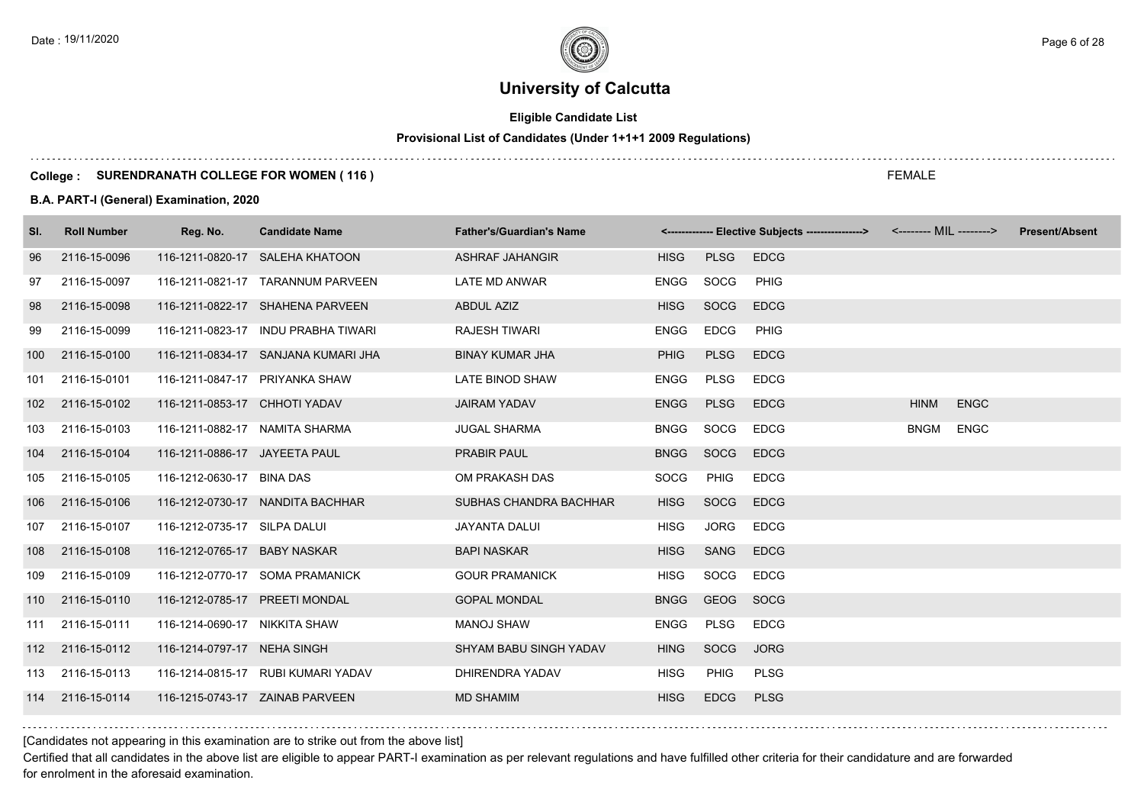# **Eligible Candidate List**

# **Provisional List of Candidates (Under 1+1+1 2009 Regulations)**

### **College : SURENDRANATH COLLEGE FOR WOMEN ( 116 )**

### **B.A. PART-I (General) Examination, 2020**

| SI.              | <b>Roll Number</b> | Reg. No.                       | <b>Candidate Name</b>               | <b>Father's/Guardian's Name</b> |             |             | <------------- Elective Subjects ----------------> |             | <-------- MIL --------> | <b>Present/Absent</b> |
|------------------|--------------------|--------------------------------|-------------------------------------|---------------------------------|-------------|-------------|----------------------------------------------------|-------------|-------------------------|-----------------------|
| 96               | 2116-15-0096       |                                | 116-1211-0820-17 SALEHA KHATOON     | <b>ASHRAF JAHANGIR</b>          | <b>HISG</b> | <b>PLSG</b> | <b>EDCG</b>                                        |             |                         |                       |
| 97               | 2116-15-0097       |                                | 116-1211-0821-17 TARANNUM PARVEEN   | LATE MD ANWAR                   | ENGG        | SOCG        | PHIG                                               |             |                         |                       |
| 98               | 2116-15-0098       |                                | 116-1211-0822-17 SHAHENA PARVEEN    | ABDUL AZIZ                      | <b>HISG</b> | SOCG        | <b>EDCG</b>                                        |             |                         |                       |
| 99               | 2116-15-0099       |                                | 116-1211-0823-17 INDU PRABHA TIWARI | <b>RAJESH TIWARI</b>            | ENGG        | <b>EDCG</b> | <b>PHIG</b>                                        |             |                         |                       |
| 100              | 2116-15-0100       |                                | 116-1211-0834-17 SANJANA KUMARI JHA | <b>BINAY KUMAR JHA</b>          | <b>PHIG</b> | <b>PLSG</b> | <b>EDCG</b>                                        |             |                         |                       |
| 101              | 2116-15-0101       | 116-1211-0847-17 PRIYANKA SHAW |                                     | LATE BINOD SHAW                 | <b>ENGG</b> | PLSG        | <b>EDCG</b>                                        |             |                         |                       |
| 102 <sub>2</sub> | 2116-15-0102       | 116-1211-0853-17 CHHOTI YADAV  |                                     | <b>JAIRAM YADAV</b>             | <b>ENGG</b> | <b>PLSG</b> | <b>EDCG</b>                                        | <b>HINM</b> | <b>ENGC</b>             |                       |
| 103              | 2116-15-0103       | 116-1211-0882-17 NAMITA SHARMA |                                     | <b>JUGAL SHARMA</b>             | <b>BNGG</b> | SOCG        | <b>EDCG</b>                                        | BNGM        | <b>ENGC</b>             |                       |
| 104              | 2116-15-0104       | 116-1211-0886-17 JAYEETA PAUL  |                                     | <b>PRABIR PAUL</b>              | <b>BNGG</b> | SOCG        | <b>EDCG</b>                                        |             |                         |                       |
| 105              | 2116-15-0105       | 116-1212-0630-17 BINA DAS      |                                     | OM PRAKASH DAS                  | <b>SOCG</b> | <b>PHIG</b> | <b>EDCG</b>                                        |             |                         |                       |
| 106              | 2116-15-0106       |                                | 116-1212-0730-17 NANDITA BACHHAR    | SUBHAS CHANDRA BACHHAR          | <b>HISG</b> | <b>SOCG</b> | <b>EDCG</b>                                        |             |                         |                       |
| 107              | 2116-15-0107       | 116-1212-0735-17 SILPA DALUI   |                                     | JAYANTA DALUI                   | <b>HISG</b> | <b>JORG</b> | <b>EDCG</b>                                        |             |                         |                       |
| 108              | 2116-15-0108       | 116-1212-0765-17 BABY NASKAR   |                                     | <b>BAPI NASKAR</b>              | <b>HISG</b> | SANG        | <b>EDCG</b>                                        |             |                         |                       |
| 109              | 2116-15-0109       |                                | 116-1212-0770-17 SOMA PRAMANICK     | <b>GOUR PRAMANICK</b>           | <b>HISG</b> | SOCG        | <b>EDCG</b>                                        |             |                         |                       |
| 110              | 2116-15-0110       | 116-1212-0785-17 PREETI MONDAL |                                     | <b>GOPAL MONDAL</b>             | <b>BNGG</b> | GEOG        | SOCG                                               |             |                         |                       |
| 111              | 2116-15-0111       | 116-1214-0690-17 NIKKITA SHAW  |                                     | <b>MANOJ SHAW</b>               | ENGG        | <b>PLSG</b> | <b>EDCG</b>                                        |             |                         |                       |
|                  | 112 2116-15-0112   | 116-1214-0797-17 NEHA SINGH    |                                     | SHYAM BABU SINGH YADAV          | <b>HING</b> | <b>SOCG</b> | <b>JORG</b>                                        |             |                         |                       |
| 113              | 2116-15-0113       |                                | 116-1214-0815-17 RUBI KUMARI YADAV  | DHIRENDRA YADAV                 | <b>HISG</b> | <b>PHIG</b> | <b>PLSG</b>                                        |             |                         |                       |
|                  | 114 2116-15-0114   |                                | 116-1215-0743-17 ZAINAB PARVEEN     | <b>MD SHAMIM</b>                | <b>HISG</b> | <b>EDCG</b> | <b>PLSG</b>                                        |             |                         |                       |

FEMALE

[Candidates not appearing in this examination are to strike out from the above list]

Certified that all candidates in the above list are eligible to appear PART-I examination as per relevant regulations and have fulfilled other criteria for their candidature and are forwarded for enrolment in the aforesaid examination.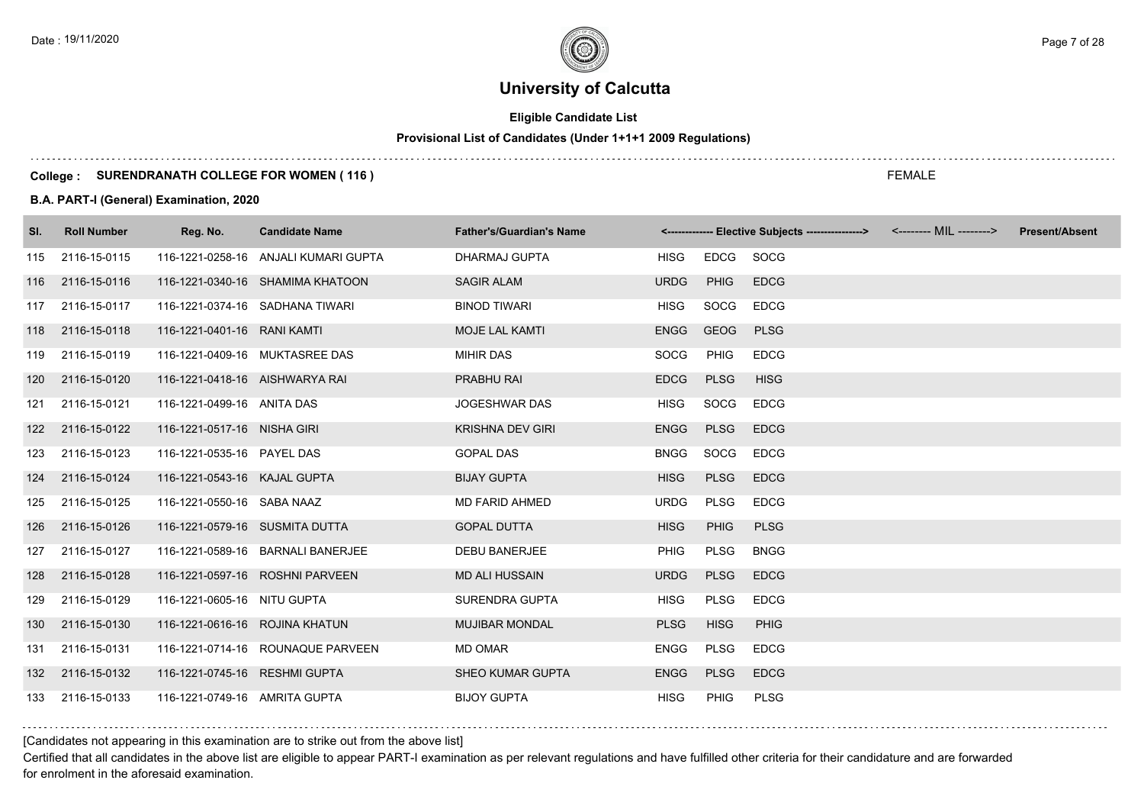# **Eligible Candidate List**

# **Provisional List of Candidates (Under 1+1+1 2009 Regulations)**

### **College : SURENDRANATH COLLEGE FOR WOMEN ( 116 )**

### **B.A. PART-I (General) Examination, 2020**

| SI. | <b>Roll Number</b> | Reg. No.                       | <b>Candidate Name</b>                | <b>Father's/Guardian's Name</b> |             |             | <------------- Elective Subjects ---------------> <-------- MIL --------> | <b>Present/Absent</b> |
|-----|--------------------|--------------------------------|--------------------------------------|---------------------------------|-------------|-------------|---------------------------------------------------------------------------|-----------------------|
| 115 | 2116-15-0115       |                                | 116-1221-0258-16 ANJALI KUMARI GUPTA | DHARMAJ GUPTA                   | <b>HISG</b> | <b>EDCG</b> | SOCG                                                                      |                       |
|     | 116 2116-15-0116   |                                | 116-1221-0340-16 SHAMIMA KHATOON     | <b>SAGIR ALAM</b>               | <b>URDG</b> | <b>PHIG</b> | <b>EDCG</b>                                                               |                       |
| 117 | 2116-15-0117       |                                | 116-1221-0374-16 SADHANA TIWARI      | <b>BINOD TIWARI</b>             | <b>HISG</b> | SOCG        | <b>EDCG</b>                                                               |                       |
| 118 | 2116-15-0118       | 116-1221-0401-16 RANI KAMTI    |                                      | <b>MOJE LAL KAMTI</b>           | <b>ENGG</b> | <b>GEOG</b> | <b>PLSG</b>                                                               |                       |
| 119 | 2116-15-0119       | 116-1221-0409-16 MUKTASREE DAS |                                      | <b>MIHIR DAS</b>                | <b>SOCG</b> | <b>PHIG</b> | <b>EDCG</b>                                                               |                       |
| 120 | 2116-15-0120       | 116-1221-0418-16 AISHWARYA RAI |                                      | PRABHU RAI                      | <b>EDCG</b> | <b>PLSG</b> | <b>HISG</b>                                                               |                       |
|     | 121 2116-15-0121   | 116-1221-0499-16 ANITA DAS     |                                      | <b>JOGESHWAR DAS</b>            | <b>HISG</b> | SOCG        | <b>EDCG</b>                                                               |                       |
|     | 122 2116-15-0122   | 116-1221-0517-16 NISHA GIRI    |                                      | <b>KRISHNA DEV GIRI</b>         | <b>ENGG</b> | <b>PLSG</b> | <b>EDCG</b>                                                               |                       |
| 123 | 2116-15-0123       | 116-1221-0535-16 PAYEL DAS     |                                      | <b>GOPAL DAS</b>                | <b>BNGG</b> | SOCG        | <b>EDCG</b>                                                               |                       |
| 124 | 2116-15-0124       | 116-1221-0543-16 KAJAL GUPTA   |                                      | <b>BIJAY GUPTA</b>              | <b>HISG</b> | <b>PLSG</b> | <b>EDCG</b>                                                               |                       |
| 125 | 2116-15-0125       | 116-1221-0550-16 SABA NAAZ     |                                      | <b>MD FARID AHMED</b>           | <b>URDG</b> | PLSG        | <b>EDCG</b>                                                               |                       |
| 126 | 2116-15-0126       | 116-1221-0579-16 SUSMITA DUTTA |                                      | <b>GOPAL DUTTA</b>              | <b>HISG</b> | <b>PHIG</b> | <b>PLSG</b>                                                               |                       |
| 127 | 2116-15-0127       |                                | 116-1221-0589-16 BARNALI BANERJEE    | <b>DEBU BANERJEE</b>            | <b>PHIG</b> | <b>PLSG</b> | <b>BNGG</b>                                                               |                       |
| 128 | 2116-15-0128       |                                | 116-1221-0597-16 ROSHNI PARVEEN      | <b>MD ALI HUSSAIN</b>           | <b>URDG</b> | <b>PLSG</b> | <b>EDCG</b>                                                               |                       |
| 129 | 2116-15-0129       | 116-1221-0605-16 NITU GUPTA    |                                      | <b>SURENDRA GUPTA</b>           | <b>HISG</b> | <b>PLSG</b> | <b>EDCG</b>                                                               |                       |
| 130 | 2116-15-0130       | 116-1221-0616-16 ROJINA KHATUN |                                      | <b>MUJIBAR MONDAL</b>           | <b>PLSG</b> | <b>HISG</b> | <b>PHIG</b>                                                               |                       |
|     | 131 2116-15-0131   |                                | 116-1221-0714-16 ROUNAQUE PARVEEN    | <b>MD OMAR</b>                  | ENGG        | <b>PLSG</b> | <b>EDCG</b>                                                               |                       |
|     | 132 2116-15-0132   | 116-1221-0745-16 RESHMI GUPTA  |                                      | <b>SHEO KUMAR GUPTA</b>         | <b>ENGG</b> | <b>PLSG</b> | <b>EDCG</b>                                                               |                       |
|     | 133 2116-15-0133   | 116-1221-0749-16 AMRITA GUPTA  |                                      | <b>BIJOY GUPTA</b>              | HISG        | <b>PHIG</b> | <b>PLSG</b>                                                               |                       |

[Candidates not appearing in this examination are to strike out from the above list]

Certified that all candidates in the above list are eligible to appear PART-I examination as per relevant regulations and have fulfilled other criteria for their candidature and are forwarded for enrolment in the aforesaid examination.

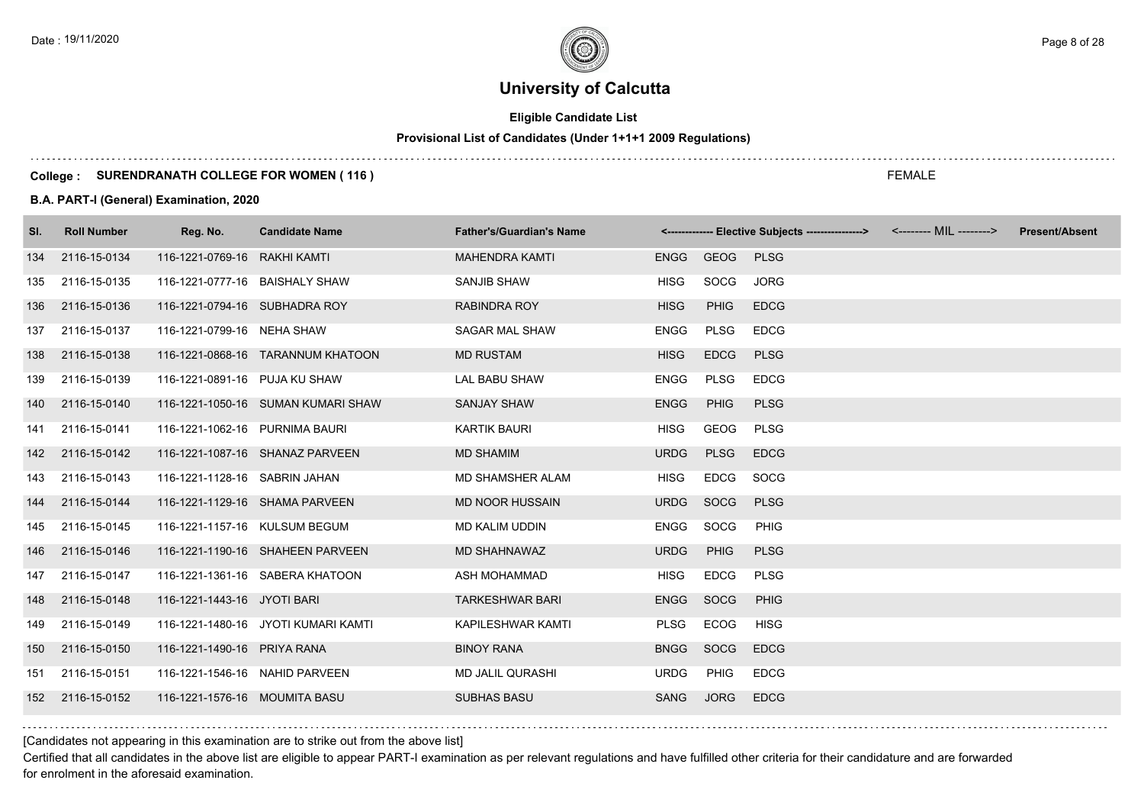# **Eligible Candidate List**

# **Provisional List of Candidates (Under 1+1+1 2009 Regulations)**

### **College : SURENDRANATH COLLEGE FOR WOMEN ( 116 )**

### **B.A. PART-I (General) Examination, 2020**

| SI. | <b>Roll Number</b> | Reg. No.                       | <b>Candidate Name</b>               | <b>Father's/Guardian's Name</b> |             |             | <------------- Elective Subjects ---------------> <-------- MIL --------> | <b>Present/Absent</b> |
|-----|--------------------|--------------------------------|-------------------------------------|---------------------------------|-------------|-------------|---------------------------------------------------------------------------|-----------------------|
| 134 | 2116-15-0134       | 116-1221-0769-16 RAKHI KAMTI   |                                     | <b>MAHENDRA KAMTI</b>           | ENGG        | GEOG PLSG   |                                                                           |                       |
| 135 | 2116-15-0135       | 116-1221-0777-16 BAISHALY SHAW |                                     | SANJIB SHAW                     | <b>HISG</b> | SOCG        | <b>JORG</b>                                                               |                       |
| 136 | 2116-15-0136       | 116-1221-0794-16 SUBHADRA ROY  |                                     | <b>RABINDRA ROY</b>             | <b>HISG</b> | <b>PHIG</b> | <b>EDCG</b>                                                               |                       |
| 137 | 2116-15-0137       | 116-1221-0799-16 NEHA SHAW     |                                     | SAGAR MAL SHAW                  | <b>ENGG</b> | <b>PLSG</b> | <b>EDCG</b>                                                               |                       |
| 138 | 2116-15-0138       |                                | 116-1221-0868-16 TARANNUM KHATOON   | <b>MD RUSTAM</b>                | <b>HISG</b> | <b>EDCG</b> | <b>PLSG</b>                                                               |                       |
| 139 | 2116-15-0139       | 116-1221-0891-16 PUJA KU SHAW  |                                     | LAL BABU SHAW                   | <b>ENGG</b> | <b>PLSG</b> | <b>EDCG</b>                                                               |                       |
| 140 | 2116-15-0140       |                                | 116-1221-1050-16 SUMAN KUMARI SHAW  | <b>SANJAY SHAW</b>              | <b>ENGG</b> | PHIG        | <b>PLSG</b>                                                               |                       |
| 141 | 2116-15-0141       | 116-1221-1062-16 PURNIMA BAURI |                                     | <b>KARTIK BAURI</b>             | <b>HISG</b> | GEOG        | <b>PLSG</b>                                                               |                       |
| 142 | 2116-15-0142       |                                | 116-1221-1087-16 SHANAZ PARVEEN     | MD SHAMIM                       | <b>URDG</b> | <b>PLSG</b> | <b>EDCG</b>                                                               |                       |
| 143 | 2116-15-0143       | 116-1221-1128-16 SABRIN JAHAN  |                                     | <b>MD SHAMSHER ALAM</b>         | <b>HISG</b> | <b>EDCG</b> | SOCG                                                                      |                       |
| 144 | 2116-15-0144       |                                | 116-1221-1129-16 SHAMA PARVEEN      | <b>MD NOOR HUSSAIN</b>          | <b>URDG</b> | SOCG        | <b>PLSG</b>                                                               |                       |
| 145 | 2116-15-0145       | 116-1221-1157-16 KULSUM BEGUM  |                                     | MD KALIM UDDIN                  | ENGG        | SOCG        | <b>PHIG</b>                                                               |                       |
| 146 | 2116-15-0146       |                                | 116-1221-1190-16 SHAHEEN PARVEEN    | <b>MD SHAHNAWAZ</b>             | <b>URDG</b> | <b>PHIG</b> | <b>PLSG</b>                                                               |                       |
| 147 | 2116-15-0147       |                                | 116-1221-1361-16 SABERA KHATOON     | ASH MOHAMMAD                    | <b>HISG</b> | EDCG        | <b>PLSG</b>                                                               |                       |
| 148 | 2116-15-0148       | 116-1221-1443-16 JYOTI BARI    |                                     | <b>TARKESHWAR BARI</b>          | ENGG SOCG   |             | PHIG                                                                      |                       |
| 149 | 2116-15-0149       |                                | 116-1221-1480-16 JYOTI KUMARI KAMTI | KAPILESHWAR KAMTI               | PLSG        | ECOG        | HISG                                                                      |                       |
| 150 | 2116-15-0150       | 116-1221-1490-16 PRIYA RANA    |                                     | <b>BINOY RANA</b>               | <b>BNGG</b> | SOCG        | <b>EDCG</b>                                                               |                       |
| 151 | 2116-15-0151       | 116-1221-1546-16 NAHID PARVEEN |                                     | MD JALIL QURASHI                | <b>URDG</b> | <b>PHIG</b> | <b>EDCG</b>                                                               |                       |
| 152 | 2116-15-0152       | 116-1221-1576-16 MOUMITA BASU  |                                     | <b>SUBHAS BASU</b>              | SANG        | <b>JORG</b> | <b>EDCG</b>                                                               |                       |
|     |                    |                                |                                     |                                 |             |             |                                                                           |                       |

[Candidates not appearing in this examination are to strike out from the above list]

Certified that all candidates in the above list are eligible to appear PART-I examination as per relevant regulations and have fulfilled other criteria for their candidature and are forwarded for enrolment in the aforesaid examination.

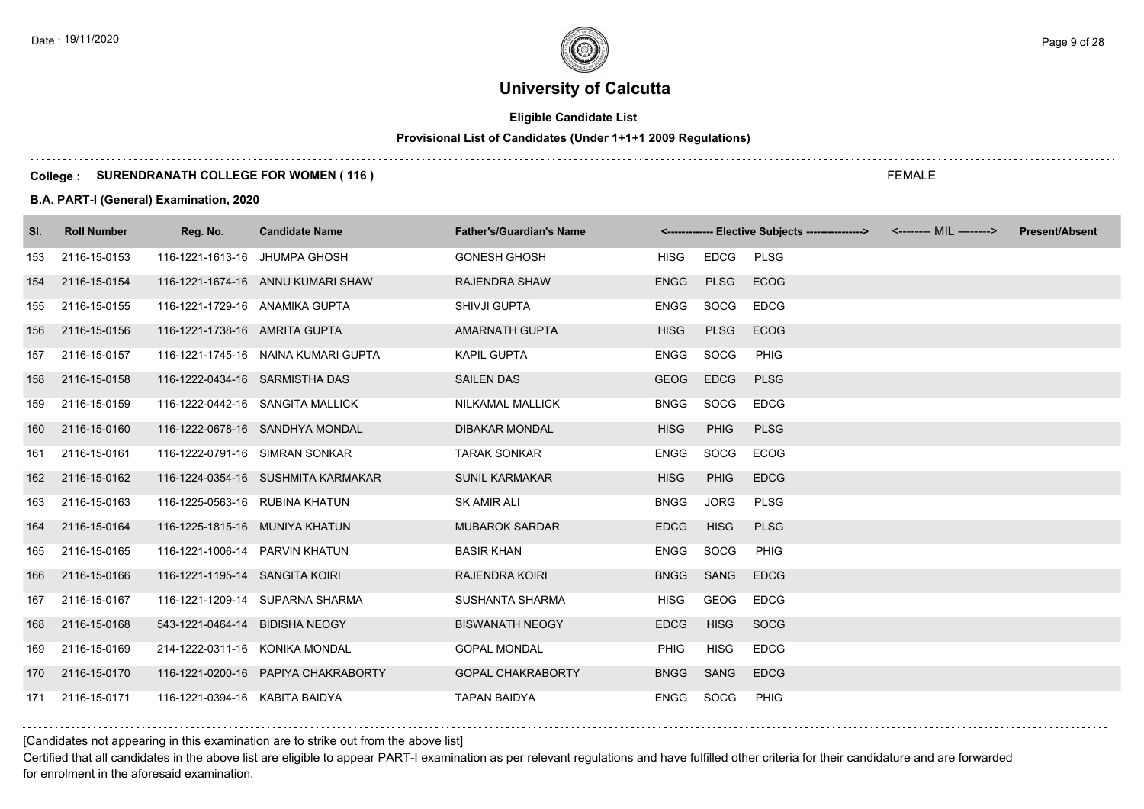# **Eligible Candidate List**

# **Provisional List of Candidates (Under 1+1+1 2009 Regulations)**

### **College : SURENDRANATH COLLEGE FOR WOMEN ( 116 )**

### **B.A. PART-I (General) Examination, 2020**

| SI. | <b>Roll Number</b> | Reg. No.                       | <b>Candidate Name</b>               | <b>Father's/Guardian's Name</b> |             |             | <------------- Elective Subjects ----------------> | <b>Present/Absent</b> |
|-----|--------------------|--------------------------------|-------------------------------------|---------------------------------|-------------|-------------|----------------------------------------------------|-----------------------|
| 153 | 2116-15-0153       | 116-1221-1613-16 JHUMPA GHOSH  |                                     | <b>GONESH GHOSH</b>             | HISG        | EDCG        | <b>PLSG</b>                                        |                       |
| 154 | 2116-15-0154       |                                | 116-1221-1674-16 ANNU KUMARI SHAW   | <b>RAJENDRA SHAW</b>            | <b>ENGG</b> | <b>PLSG</b> | <b>ECOG</b>                                        |                       |
| 155 | 2116-15-0155       | 116-1221-1729-16 ANAMIKA GUPTA |                                     | <b>SHIVJI GUPTA</b>             | ENGG        | SOCG        | <b>EDCG</b>                                        |                       |
| 156 | 2116-15-0156       | 116-1221-1738-16 AMRITA GUPTA  |                                     | <b>AMARNATH GUPTA</b>           | <b>HISG</b> | <b>PLSG</b> | <b>ECOG</b>                                        |                       |
| 157 | 2116-15-0157       |                                | 116-1221-1745-16 NAINA KUMARI GUPTA | <b>KAPIL GUPTA</b>              | ENGG        | <b>SOCG</b> | <b>PHIG</b>                                        |                       |
| 158 | 2116-15-0158       | 116-1222-0434-16 SARMISTHA DAS |                                     | <b>SAILEN DAS</b>               | <b>GEOG</b> | <b>EDCG</b> | <b>PLSG</b>                                        |                       |
| 159 | 2116-15-0159       |                                | 116-1222-0442-16 SANGITA MALLICK    | NILKAMAL MALLICK                | <b>BNGG</b> | SOCG        | <b>EDCG</b>                                        |                       |
| 160 | 2116-15-0160       |                                | 116-1222-0678-16 SANDHYA MONDAL     | <b>DIBAKAR MONDAL</b>           | <b>HISG</b> | PHIG        | <b>PLSG</b>                                        |                       |
| 161 | 2116-15-0161       | 116-1222-0791-16 SIMRAN SONKAR |                                     | <b>TARAK SONKAR</b>             | <b>ENGG</b> | SOCG        | <b>ECOG</b>                                        |                       |
| 162 | 2116-15-0162       |                                | 116-1224-0354-16 SUSHMITA KARMAKAR  | <b>SUNIL KARMAKAR</b>           | <b>HISG</b> | <b>PHIG</b> | <b>EDCG</b>                                        |                       |
| 163 | 2116-15-0163       | 116-1225-0563-16 RUBINA KHATUN |                                     | <b>SK AMIR ALI</b>              | <b>BNGG</b> | JORG        | <b>PLSG</b>                                        |                       |
| 164 | 2116-15-0164       | 116-1225-1815-16 MUNIYA KHATUN |                                     | <b>MUBAROK SARDAR</b>           | <b>EDCG</b> | <b>HISG</b> | <b>PLSG</b>                                        |                       |
| 165 | 2116-15-0165       | 116-1221-1006-14 PARVIN KHATUN |                                     | <b>BASIR KHAN</b>               | <b>ENGG</b> | SOCG        | <b>PHIG</b>                                        |                       |
| 166 | 2116-15-0166       | 116-1221-1195-14 SANGITA KOIRI |                                     | <b>RAJENDRA KOIRI</b>           | <b>BNGG</b> | SANG        | <b>EDCG</b>                                        |                       |
| 167 | 2116-15-0167       |                                | 116-1221-1209-14 SUPARNA SHARMA     | <b>SUSHANTA SHARMA</b>          | <b>HISG</b> | GEOG        | <b>EDCG</b>                                        |                       |
| 168 | 2116-15-0168       | 543-1221-0464-14 BIDISHA NEOGY |                                     | <b>BISWANATH NEOGY</b>          | <b>EDCG</b> | <b>HISG</b> | SOCG                                               |                       |
| 169 | 2116-15-0169       | 214-1222-0311-16 KONIKA MONDAL |                                     | <b>GOPAL MONDAL</b>             | <b>PHIG</b> | <b>HISG</b> | <b>EDCG</b>                                        |                       |
| 170 | 2116-15-0170       |                                | 116-1221-0200-16 PAPIYA CHAKRABORTY | <b>GOPAL CHAKRABORTY</b>        | <b>BNGG</b> | SANG        | <b>EDCG</b>                                        |                       |
| 171 | 2116-15-0171       | 116-1221-0394-16 KABITA BAIDYA |                                     | <b>TAPAN BAIDYA</b>             | ENGG        | SOCG        | <b>PHIG</b>                                        |                       |

[Candidates not appearing in this examination are to strike out from the above list]

Certified that all candidates in the above list are eligible to appear PART-I examination as per relevant regulations and have fulfilled other criteria for their candidature and are forwarded for enrolment in the aforesaid examination.

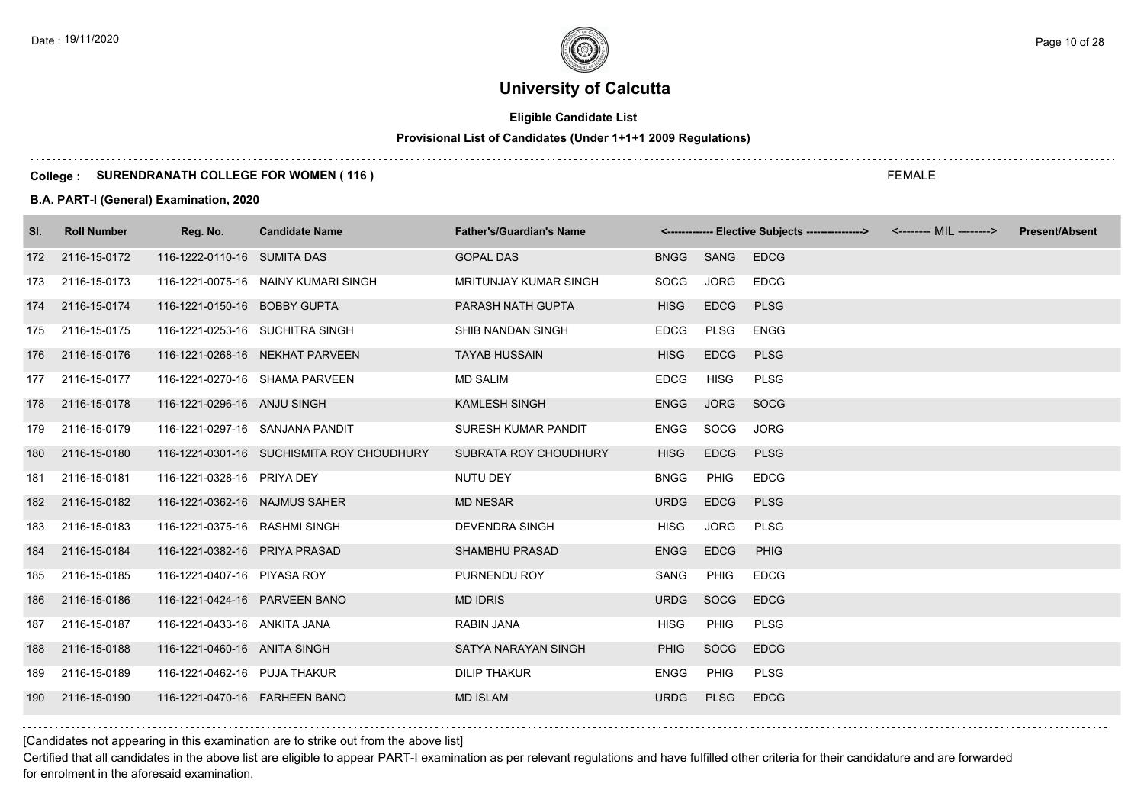# **Eligible Candidate List**

# **Provisional List of Candidates (Under 1+1+1 2009 Regulations)**

### **College : SURENDRANATH COLLEGE FOR WOMEN ( 116 )**

### **B.A. PART-I (General) Examination, 2020**

| SI. | <b>Roll Number</b> | Reg. No.                        | <b>Candidate Name</b>                     | <b>Father's/Guardian's Name</b> |             |             | <------------- Elective Subjects ----------------> <-------- MIL --------> | <b>Present/Absent</b> |
|-----|--------------------|---------------------------------|-------------------------------------------|---------------------------------|-------------|-------------|----------------------------------------------------------------------------|-----------------------|
|     | 172 2116-15-0172   | 116-1222-0110-16 SUMITA DAS     |                                           | <b>GOPAL DAS</b>                | <b>BNGG</b> | SANG        | <b>EDCG</b>                                                                |                       |
| 173 | 2116-15-0173       |                                 | 116-1221-0075-16 NAINY KUMARI SINGH       | MRITUNJAY KUMAR SINGH           | SOCG        | <b>JORG</b> | <b>EDCG</b>                                                                |                       |
| 174 | 2116-15-0174       | 116-1221-0150-16 BOBBY GUPTA    |                                           | PARASH NATH GUPTA               | <b>HISG</b> | <b>EDCG</b> | <b>PLSG</b>                                                                |                       |
| 175 | 2116-15-0175       | 116-1221-0253-16 SUCHITRA SINGH |                                           | SHIB NANDAN SINGH               | <b>EDCG</b> | PLSG        | <b>ENGG</b>                                                                |                       |
| 176 | 2116-15-0176       |                                 | 116-1221-0268-16 NEKHAT PARVEEN           | <b>TAYAB HUSSAIN</b>            | <b>HISG</b> | <b>EDCG</b> | <b>PLSG</b>                                                                |                       |
| 177 | 2116-15-0177       |                                 | 116-1221-0270-16 SHAMA PARVEEN            | <b>MD SALIM</b>                 | <b>EDCG</b> | <b>HISG</b> | <b>PLSG</b>                                                                |                       |
|     | 178 2116-15-0178   | 116-1221-0296-16 ANJU SINGH     |                                           | <b>KAMLESH SINGH</b>            | <b>ENGG</b> | <b>JORG</b> | SOCG                                                                       |                       |
| 179 | 2116-15-0179       | 116-1221-0297-16 SANJANA PANDIT |                                           | SURESH KUMAR PANDIT             | ENGG        | SOCG        | <b>JORG</b>                                                                |                       |
| 180 | 2116-15-0180       |                                 | 116-1221-0301-16 SUCHISMITA ROY CHOUDHURY | SUBRATA ROY CHOUDHURY           | <b>HISG</b> | <b>EDCG</b> | <b>PLSG</b>                                                                |                       |
| 181 | 2116-15-0181       | 116-1221-0328-16 PRIYA DEY      |                                           | NUTU DEY                        | <b>BNGG</b> | <b>PHIG</b> | <b>EDCG</b>                                                                |                       |
| 182 | 2116-15-0182       | 116-1221-0362-16 NAJMUS SAHER   |                                           | <b>MD NESAR</b>                 | <b>URDG</b> | <b>EDCG</b> | <b>PLSG</b>                                                                |                       |
| 183 | 2116-15-0183       | 116-1221-0375-16 RASHMI SINGH   |                                           | <b>DEVENDRA SINGH</b>           | <b>HISG</b> | <b>JORG</b> | <b>PLSG</b>                                                                |                       |
| 184 | 2116-15-0184       | 116-1221-0382-16 PRIYA PRASAD   |                                           | <b>SHAMBHU PRASAD</b>           | <b>ENGG</b> | <b>EDCG</b> | <b>PHIG</b>                                                                |                       |
| 185 | 2116-15-0185       | 116-1221-0407-16 PIYASA ROY     |                                           | PURNENDU ROY                    | SANG        | PHIG        | <b>EDCG</b>                                                                |                       |
| 186 | 2116-15-0186       | 116-1221-0424-16 PARVEEN BANO   |                                           | <b>MD IDRIS</b>                 | <b>URDG</b> | <b>SOCG</b> | <b>EDCG</b>                                                                |                       |
| 187 | 2116-15-0187       | 116-1221-0433-16 ANKITA JANA    |                                           | RABIN JANA                      | <b>HISG</b> | <b>PHIG</b> | <b>PLSG</b>                                                                |                       |
| 188 | 2116-15-0188       | 116-1221-0460-16 ANITA SINGH    |                                           | SATYA NARAYAN SINGH             | <b>PHIG</b> | <b>SOCG</b> | <b>EDCG</b>                                                                |                       |
| 189 | 2116-15-0189       | 116-1221-0462-16 PUJA THAKUR    |                                           | <b>DILIP THAKUR</b>             | <b>ENGG</b> | <b>PHIG</b> | <b>PLSG</b>                                                                |                       |
| 190 | 2116-15-0190       | 116-1221-0470-16 FARHEEN BANO   |                                           | <b>MD ISLAM</b>                 | <b>URDG</b> | <b>PLSG</b> | <b>EDCG</b>                                                                |                       |

FEMALE

[Candidates not appearing in this examination are to strike out from the above list]

Certified that all candidates in the above list are eligible to appear PART-I examination as per relevant regulations and have fulfilled other criteria for their candidature and are forwarded for enrolment in the aforesaid examination.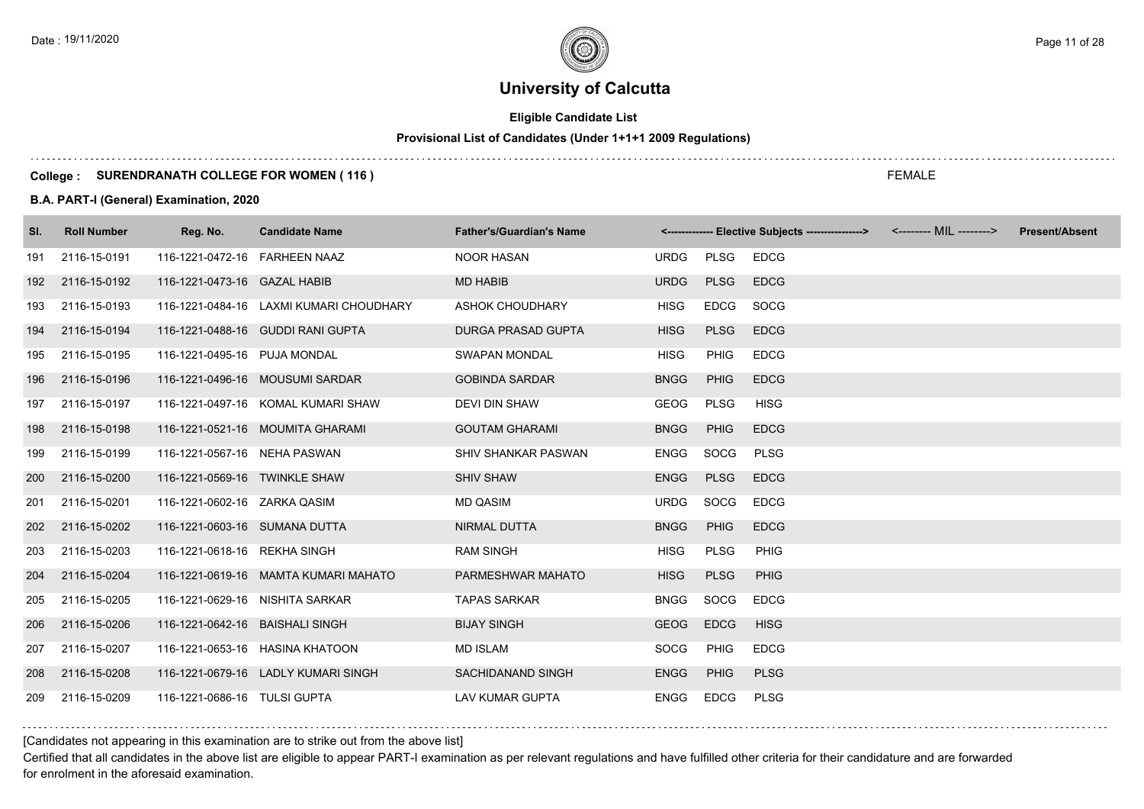# **Eligible Candidate List**

# **Provisional List of Candidates (Under 1+1+1 2009 Regulations)**

### **College : SURENDRANATH COLLEGE FOR WOMEN ( 116 )**

### **B.A. PART-I (General) Examination, 2020**

| SI. | <b>Roll Number</b> | Reg. No.                         | <b>Candidate Name</b>                   | <b>Father's/Guardian's Name</b> |             |             | <------------- Elective Subjects ----------------> <-------- MIL --------> | <b>Present/Absent</b> |
|-----|--------------------|----------------------------------|-----------------------------------------|---------------------------------|-------------|-------------|----------------------------------------------------------------------------|-----------------------|
| 191 | 2116-15-0191       | 116-1221-0472-16    FARHEEN NAAZ |                                         | <b>NOOR HASAN</b>               | <b>URDG</b> | <b>PLSG</b> | <b>EDCG</b>                                                                |                       |
| 192 | 2116-15-0192       | 116-1221-0473-16 GAZAL HABIB     |                                         | <b>MD HABIB</b>                 | <b>URDG</b> | <b>PLSG</b> | <b>EDCG</b>                                                                |                       |
| 193 | 2116-15-0193       |                                  | 116-1221-0484-16 LAXMI KUMARI CHOUDHARY | <b>ASHOK CHOUDHARY</b>          | <b>HISG</b> | <b>EDCG</b> | SOCG                                                                       |                       |
| 194 | 2116-15-0194       |                                  | 116-1221-0488-16 GUDDI RANI GUPTA       | <b>DURGA PRASAD GUPTA</b>       | <b>HISG</b> | <b>PLSG</b> | <b>EDCG</b>                                                                |                       |
| 195 | 2116-15-0195       | 116-1221-0495-16 PUJA MONDAL     |                                         | <b>SWAPAN MONDAL</b>            | <b>HISG</b> | PHIG        | <b>EDCG</b>                                                                |                       |
| 196 | 2116-15-0196       |                                  | 116-1221-0496-16 MOUSUMI SARDAR         | <b>GOBINDA SARDAR</b>           | <b>BNGG</b> | <b>PHIG</b> | <b>EDCG</b>                                                                |                       |
| 197 | 2116-15-0197       |                                  | 116-1221-0497-16 KOMAL KUMARI SHAW      | <b>DEVI DIN SHAW</b>            | <b>GEOG</b> | PLSG        | <b>HISG</b>                                                                |                       |
| 198 | 2116-15-0198       |                                  | 116-1221-0521-16 MOUMITA GHARAMI        | <b>GOUTAM GHARAMI</b>           | <b>BNGG</b> | <b>PHIG</b> | <b>EDCG</b>                                                                |                       |
| 199 | 2116-15-0199       | 116-1221-0567-16 NEHA PASWAN     |                                         | SHIV SHANKAR PASWAN             | <b>ENGG</b> | SOCG        | <b>PLSG</b>                                                                |                       |
| 200 | 2116-15-0200       | 116-1221-0569-16 TWINKLE SHAW    |                                         | <b>SHIV SHAW</b>                | <b>ENGG</b> | <b>PLSG</b> | <b>EDCG</b>                                                                |                       |
| 201 | 2116-15-0201       | 116-1221-0602-16 ZARKA QASIM     |                                         | MD QASIM                        | <b>URDG</b> | <b>SOCG</b> | <b>EDCG</b>                                                                |                       |
| 202 | 2116-15-0202       | 116-1221-0603-16 SUMANA DUTTA    |                                         | <b>NIRMAL DUTTA</b>             | <b>BNGG</b> | PHIG        | <b>EDCG</b>                                                                |                       |
| 203 | 2116-15-0203       | 116-1221-0618-16 REKHA SINGH     |                                         | <b>RAM SINGH</b>                | <b>HISG</b> | <b>PLSG</b> | <b>PHIG</b>                                                                |                       |
| 204 | 2116-15-0204       |                                  | 116-1221-0619-16 MAMTA KUMARI MAHATO    | PARMESHWAR MAHATO               | <b>HISG</b> | <b>PLSG</b> | <b>PHIG</b>                                                                |                       |
| 205 | 2116-15-0205       | 116-1221-0629-16 NISHITA SARKAR  |                                         | <b>TAPAS SARKAR</b>             | <b>BNGG</b> | <b>SOCG</b> | <b>EDCG</b>                                                                |                       |
| 206 | 2116-15-0206       | 116-1221-0642-16 BAISHALI SINGH  |                                         | <b>BIJAY SINGH</b>              | <b>GEOG</b> | <b>EDCG</b> | <b>HISG</b>                                                                |                       |
| 207 | 2116-15-0207       |                                  | 116-1221-0653-16 HASINA KHATOON         | <b>MD ISLAM</b>                 | SOCG        | <b>PHIG</b> | <b>EDCG</b>                                                                |                       |
| 208 | 2116-15-0208       |                                  | 116-1221-0679-16 LADLY KUMARI SINGH     | SACHIDANAND SINGH               | <b>ENGG</b> | <b>PHIG</b> | <b>PLSG</b>                                                                |                       |
| 209 | 2116-15-0209       | 116-1221-0686-16 TULSI GUPTA     |                                         | <b>LAV KUMAR GUPTA</b>          | ENGG        | <b>EDCG</b> | PLSG                                                                       |                       |

[Candidates not appearing in this examination are to strike out from the above list]

Certified that all candidates in the above list are eligible to appear PART-I examination as per relevant regulations and have fulfilled other criteria for their candidature and are forwarded for enrolment in the aforesaid examination.

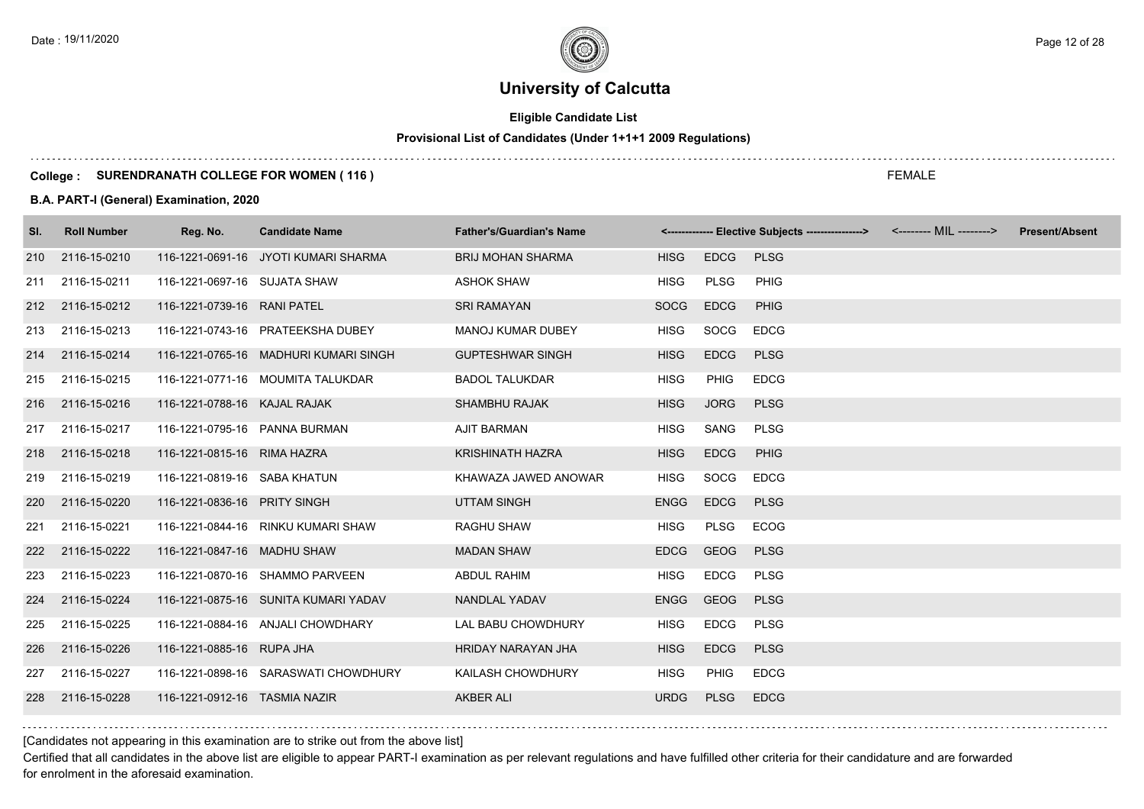# **Eligible Candidate List**

# **Provisional List of Candidates (Under 1+1+1 2009 Regulations)**

### **College : SURENDRANATH COLLEGE FOR WOMEN ( 116 )**

### **B.A. PART-I (General) Examination, 2020**

| SI. | <b>Roll Number</b> | Reg. No.                      | <b>Candidate Name</b>                 | <b>Father's/Guardian's Name</b> |             |             | <------------- Elective Subjects ---------------> <-------- MIL --------> | <b>Present/Absent</b> |
|-----|--------------------|-------------------------------|---------------------------------------|---------------------------------|-------------|-------------|---------------------------------------------------------------------------|-----------------------|
| 210 | 2116-15-0210       |                               | 116-1221-0691-16 JYOTI KUMARI SHARMA  | <b>BRIJ MOHAN SHARMA</b>        | <b>HISG</b> | <b>EDCG</b> | <b>PLSG</b>                                                               |                       |
| 211 | 2116-15-0211       | 116-1221-0697-16 SUJATA SHAW  |                                       | <b>ASHOK SHAW</b>               | <b>HISG</b> | PLSG        | PHIG                                                                      |                       |
| 212 | 2116-15-0212       | 116-1221-0739-16 RANI PATEL   |                                       | <b>SRI RAMAYAN</b>              | <b>SOCG</b> | <b>EDCG</b> | <b>PHIG</b>                                                               |                       |
| 213 | 2116-15-0213       |                               | 116-1221-0743-16 PRATEEKSHA DUBEY     | <b>MANOJ KUMAR DUBEY</b>        | <b>HISG</b> | SOCG        | <b>EDCG</b>                                                               |                       |
| 214 | 2116-15-0214       |                               | 116-1221-0765-16 MADHURI KUMARI SINGH | <b>GUPTESHWAR SINGH</b>         | <b>HISG</b> | <b>EDCG</b> | <b>PLSG</b>                                                               |                       |
| 215 | 2116-15-0215       |                               | 116-1221-0771-16 MOUMITA TALUKDAR     | <b>BADOL TALUKDAR</b>           | <b>HISG</b> | <b>PHIG</b> | <b>EDCG</b>                                                               |                       |
| 216 | 2116-15-0216       | 116-1221-0788-16 KAJAL RAJAK  |                                       | <b>SHAMBHU RAJAK</b>            | <b>HISG</b> | <b>JORG</b> | <b>PLSG</b>                                                               |                       |
| 217 | 2116-15-0217       | 116-1221-0795-16 PANNA BURMAN |                                       | <b>AJIT BARMAN</b>              | HISG        | SANG        | <b>PLSG</b>                                                               |                       |
| 218 | 2116-15-0218       | 116-1221-0815-16 RIMA HAZRA   |                                       | <b>KRISHINATH HAZRA</b>         | <b>HISG</b> | <b>EDCG</b> | <b>PHIG</b>                                                               |                       |
| 219 | 2116-15-0219       | 116-1221-0819-16 SABA KHATUN  |                                       | KHAWAZA JAWED ANOWAR            | <b>HISG</b> | SOCG        | <b>EDCG</b>                                                               |                       |
| 220 | 2116-15-0220       | 116-1221-0836-16 PRITY SINGH  |                                       | <b>UTTAM SINGH</b>              | <b>ENGG</b> | <b>EDCG</b> | <b>PLSG</b>                                                               |                       |
| 221 | 2116-15-0221       |                               | 116-1221-0844-16 RINKU KUMARI SHAW    | <b>RAGHU SHAW</b>               | <b>HISG</b> | <b>PLSG</b> | <b>ECOG</b>                                                               |                       |
| 222 | 2116-15-0222       | 116-1221-0847-16 MADHU SHAW   |                                       | <b>MADAN SHAW</b>               | <b>EDCG</b> | <b>GEOG</b> | <b>PLSG</b>                                                               |                       |
| 223 | 2116-15-0223       |                               | 116-1221-0870-16 SHAMMO PARVEEN       | <b>ABDUL RAHIM</b>              | <b>HISG</b> | EDCG        | <b>PLSG</b>                                                               |                       |
| 224 | 2116-15-0224       |                               | 116-1221-0875-16 SUNITA KUMARI YADAV  | NANDLAL YADAV                   | <b>ENGG</b> | GEOG        | <b>PLSG</b>                                                               |                       |
| 225 | 2116-15-0225       |                               | 116-1221-0884-16 ANJALI CHOWDHARY     | LAL BABU CHOWDHURY              | HISG        | <b>EDCG</b> | <b>PLSG</b>                                                               |                       |
| 226 | 2116-15-0226       | 116-1221-0885-16 RUPA JHA     |                                       | HRIDAY NARAYAN JHA              | <b>HISG</b> | <b>EDCG</b> | <b>PLSG</b>                                                               |                       |
| 227 | 2116-15-0227       |                               | 116-1221-0898-16 SARASWATI CHOWDHURY  | KAILASH CHOWDHURY               | <b>HISG</b> | <b>PHIG</b> | <b>EDCG</b>                                                               |                       |
| 228 | 2116-15-0228       | 116-1221-0912-16 TASMIA NAZIR |                                       | <b>AKBER ALI</b>                | <b>URDG</b> | <b>PLSG</b> | <b>EDCG</b>                                                               |                       |

[Candidates not appearing in this examination are to strike out from the above list]

Certified that all candidates in the above list are eligible to appear PART-I examination as per relevant regulations and have fulfilled other criteria for their candidature and are forwarded for enrolment in the aforesaid examination.

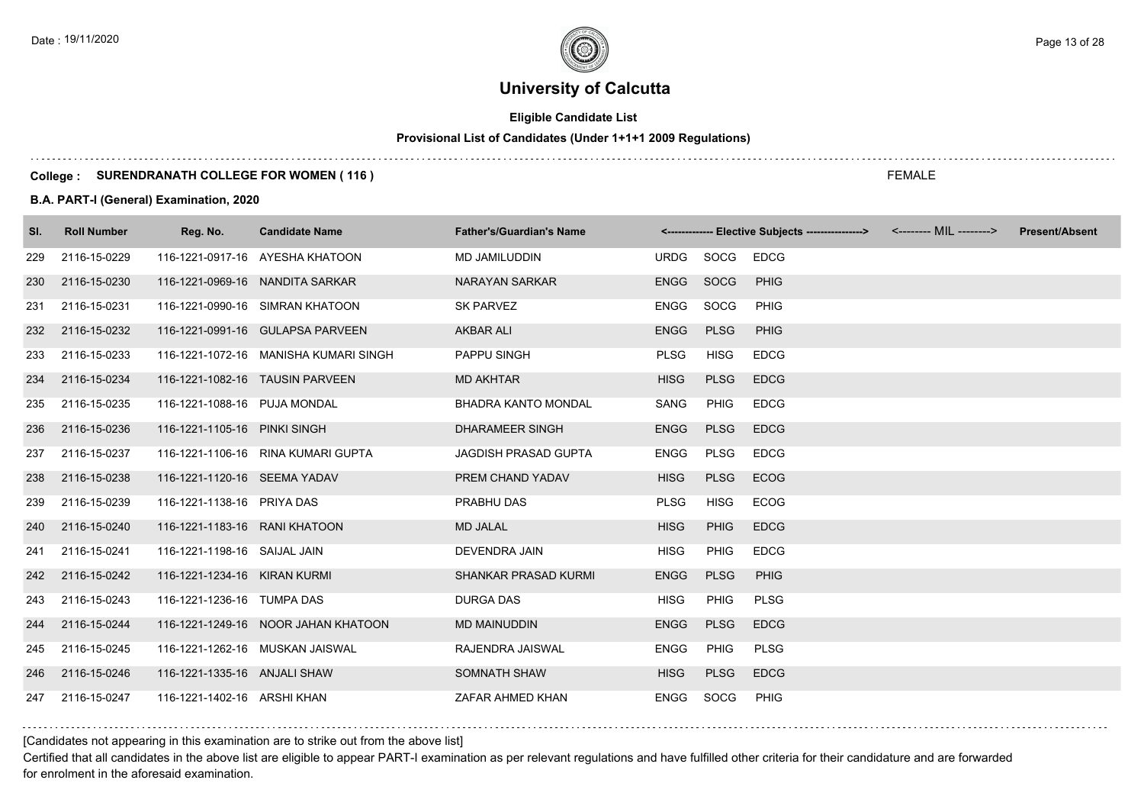# **Eligible Candidate List**

# **Provisional List of Candidates (Under 1+1+1 2009 Regulations)**

### **College : SURENDRANATH COLLEGE FOR WOMEN ( 116 )**

### **B.A. PART-I (General) Examination, 2020**

| SI. | <b>Roll Number</b> | Reg. No.                      | <b>Candidate Name</b>                 | <b>Father's/Guardian's Name</b> |             |             | <------------- Elective Subjects ----------------> <-------- MIL --------> | <b>Present/Absent</b> |
|-----|--------------------|-------------------------------|---------------------------------------|---------------------------------|-------------|-------------|----------------------------------------------------------------------------|-----------------------|
| 229 | 2116-15-0229       |                               | 116-1221-0917-16 AYESHA KHATOON       | MD JAMILUDDIN                   | URDG        | SOCG        | <b>EDCG</b>                                                                |                       |
| 230 | 2116-15-0230       |                               | 116-1221-0969-16 NANDITA SARKAR       | <b>NARAYAN SARKAR</b>           | <b>ENGG</b> | SOCG        | <b>PHIG</b>                                                                |                       |
| 231 | 2116-15-0231       |                               | 116-1221-0990-16 SIMRAN KHATOON       | <b>SK PARVEZ</b>                | <b>ENGG</b> | SOCG        | <b>PHIG</b>                                                                |                       |
| 232 | 2116-15-0232       |                               | 116-1221-0991-16 GULAPSA PARVEEN      | <b>AKBAR ALI</b>                | <b>ENGG</b> | <b>PLSG</b> | <b>PHIG</b>                                                                |                       |
| 233 | 2116-15-0233       |                               | 116-1221-1072-16 MANISHA KUMARI SINGH | PAPPU SINGH                     | <b>PLSG</b> | <b>HISG</b> | <b>EDCG</b>                                                                |                       |
| 234 | 2116-15-0234       |                               | 116-1221-1082-16 TAUSIN PARVEEN       | <b>MD AKHTAR</b>                | <b>HISG</b> | <b>PLSG</b> | <b>EDCG</b>                                                                |                       |
| 235 | 2116-15-0235       | 116-1221-1088-16 PUJA MONDAL  |                                       | <b>BHADRA KANTO MONDAL</b>      | SANG        | PHIG        | <b>EDCG</b>                                                                |                       |
| 236 | 2116-15-0236       | 116-1221-1105-16 PINKI SINGH  |                                       | <b>DHARAMEER SINGH</b>          | <b>ENGG</b> | <b>PLSG</b> | <b>EDCG</b>                                                                |                       |
| 237 | 2116-15-0237       |                               | 116-1221-1106-16 RINA KUMARI GUPTA    | <b>JAGDISH PRASAD GUPTA</b>     | <b>ENGG</b> | <b>PLSG</b> | <b>EDCG</b>                                                                |                       |
| 238 | 2116-15-0238       | 116-1221-1120-16 SEEMA YADAV  |                                       | PREM CHAND YADAV                | <b>HISG</b> | <b>PLSG</b> | <b>ECOG</b>                                                                |                       |
| 239 | 2116-15-0239       | 116-1221-1138-16 PRIYA DAS    |                                       | PRABHU DAS                      | <b>PLSG</b> | <b>HISG</b> | ECOG                                                                       |                       |
| 240 | 2116-15-0240       | 116-1221-1183-16 RANI KHATOON |                                       | <b>MD JALAL</b>                 | <b>HISG</b> | <b>PHIG</b> | <b>EDCG</b>                                                                |                       |
| 241 | 2116-15-0241       | 116-1221-1198-16 SAIJAL JAIN  |                                       | <b>DEVENDRA JAIN</b>            | <b>HISG</b> | <b>PHIG</b> | <b>EDCG</b>                                                                |                       |
|     | 242 2116-15-0242   | 116-1221-1234-16 KIRAN KURMI  |                                       | <b>SHANKAR PRASAD KURMI</b>     | <b>ENGG</b> | <b>PLSG</b> | <b>PHIG</b>                                                                |                       |
| 243 | 2116-15-0243       | 116-1221-1236-16 TUMPA DAS    |                                       | <b>DURGA DAS</b>                | <b>HISG</b> | <b>PHIG</b> | <b>PLSG</b>                                                                |                       |
| 244 | 2116-15-0244       |                               | 116-1221-1249-16 NOOR JAHAN KHATOON   | <b>MD MAINUDDIN</b>             | <b>ENGG</b> | <b>PLSG</b> | <b>EDCG</b>                                                                |                       |
| 245 | 2116-15-0245       |                               | 116-1221-1262-16 MUSKAN JAISWAL       | RAJENDRA JAISWAL                | <b>ENGG</b> | PHIG        | <b>PLSG</b>                                                                |                       |
| 246 | 2116-15-0246       | 116-1221-1335-16 ANJALI SHAW  |                                       | SOMNATH SHAW                    | <b>HISG</b> | <b>PLSG</b> | <b>EDCG</b>                                                                |                       |
| 247 | 2116-15-0247       | 116-1221-1402-16 ARSHI KHAN   |                                       | ZAFAR AHMED KHAN                | <b>ENGG</b> | SOCG        | <b>PHIG</b>                                                                |                       |

[Candidates not appearing in this examination are to strike out from the above list]

Certified that all candidates in the above list are eligible to appear PART-I examination as per relevant regulations and have fulfilled other criteria for their candidature and are forwarded for enrolment in the aforesaid examination.

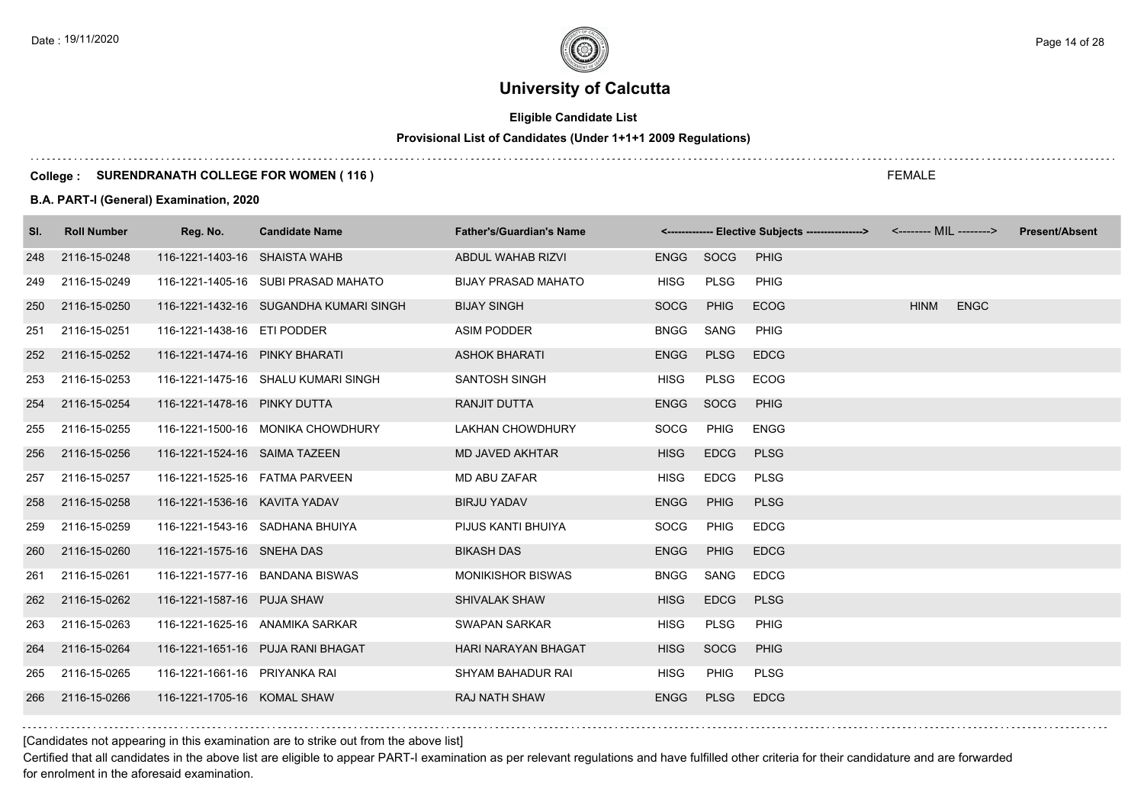# **Eligible Candidate List**

# **Provisional List of Candidates (Under 1+1+1 2009 Regulations)**

### **College : SURENDRANATH COLLEGE FOR WOMEN ( 116 )**

### **B.A. PART-I (General) Examination, 2020**

| SI. | <b>Roll Number</b> | Reg. No.                          | <b>Candidate Name</b>                  | <b>Father's/Guardian's Name</b> |             |             | <-------------- Elective Subjects ----------------> <-------- MIL --------> |             |             | <b>Present/Absent</b> |
|-----|--------------------|-----------------------------------|----------------------------------------|---------------------------------|-------------|-------------|-----------------------------------------------------------------------------|-------------|-------------|-----------------------|
| 248 | 2116-15-0248       | 116-1221-1403-16 SHAISTA WAHB     |                                        | ABDUL WAHAB RIZVI               | ENGG SOCG   |             | PHIG                                                                        |             |             |                       |
| 249 | 2116-15-0249       |                                   | 116-1221-1405-16 SUBI PRASAD MAHATO    | <b>BIJAY PRASAD MAHATO</b>      | <b>HISG</b> | <b>PLSG</b> | PHIG                                                                        |             |             |                       |
| 250 | 2116-15-0250       |                                   | 116-1221-1432-16 SUGANDHA KUMARI SINGH | <b>BIJAY SINGH</b>              | <b>SOCG</b> | <b>PHIG</b> | <b>ECOG</b>                                                                 | <b>HINM</b> | <b>ENGC</b> |                       |
| 251 | 2116-15-0251       | 116-1221-1438-16 ETI PODDER       |                                        | <b>ASIM PODDER</b>              | <b>BNGG</b> | SANG        | PHIG                                                                        |             |             |                       |
| 252 | 2116-15-0252       | 116-1221-1474-16 PINKY BHARATI    |                                        | <b>ASHOK BHARATI</b>            | <b>ENGG</b> | <b>PLSG</b> | <b>EDCG</b>                                                                 |             |             |                       |
| 253 | 2116-15-0253       |                                   | 116-1221-1475-16 SHALU KUMARI SINGH    | SANTOSH SINGH                   | <b>HISG</b> | <b>PLSG</b> | ECOG                                                                        |             |             |                       |
| 254 | 2116-15-0254       | 116-1221-1478-16 PINKY DUTTA      |                                        | RANJIT DUTTA                    | <b>ENGG</b> | SOCG        | <b>PHIG</b>                                                                 |             |             |                       |
| 255 | 2116-15-0255       |                                   | 116-1221-1500-16 MONIKA CHOWDHURY      | <b>LAKHAN CHOWDHURY</b>         | <b>SOCG</b> | <b>PHIG</b> | <b>ENGG</b>                                                                 |             |             |                       |
| 256 | 2116-15-0256       | 116-1221-1524-16 SAIMA TAZEEN     |                                        | MD JAVED AKHTAR                 | <b>HISG</b> | <b>EDCG</b> | <b>PLSG</b>                                                                 |             |             |                       |
| 257 | 2116-15-0257       | 116-1221-1525-16    FATMA PARVEEN |                                        | <b>MD ABU ZAFAR</b>             | <b>HISG</b> | <b>EDCG</b> | <b>PLSG</b>                                                                 |             |             |                       |
| 258 | 2116-15-0258       | 116-1221-1536-16 KAVITA YADAV     |                                        | <b>BIRJU YADAV</b>              | <b>ENGG</b> | PHIG        | <b>PLSG</b>                                                                 |             |             |                       |
| 259 | 2116-15-0259       |                                   | 116-1221-1543-16 SADHANA BHUIYA        | PIJUS KANTI BHUIYA              | SOCG        | <b>PHIG</b> | <b>EDCG</b>                                                                 |             |             |                       |
| 260 | 2116-15-0260       | 116-1221-1575-16 SNEHA DAS        |                                        | <b>BIKASH DAS</b>               | <b>ENGG</b> | <b>PHIG</b> | <b>EDCG</b>                                                                 |             |             |                       |
| 261 | 2116-15-0261       |                                   | 116-1221-1577-16 BANDANA BISWAS        | <b>MONIKISHOR BISWAS</b>        | <b>BNGG</b> | SANG        | <b>EDCG</b>                                                                 |             |             |                       |
| 262 | 2116-15-0262       | 116-1221-1587-16 PUJA SHAW        |                                        | SHIVALAK SHAW                   | <b>HISG</b> | <b>EDCG</b> | <b>PLSG</b>                                                                 |             |             |                       |
| 263 | 2116-15-0263       |                                   | 116-1221-1625-16 ANAMIKA SARKAR        | SWAPAN SARKAR                   | <b>HISG</b> | <b>PLSG</b> | PHIG                                                                        |             |             |                       |
| 264 | 2116-15-0264       |                                   | 116-1221-1651-16 PUJA RANI BHAGAT      | HARI NARAYAN BHAGAT             | <b>HISG</b> | SOCG        | <b>PHIG</b>                                                                 |             |             |                       |
| 265 | 2116-15-0265       | 116-1221-1661-16 PRIYANKA RAI     |                                        | SHYAM BAHADUR RAI               | <b>HISG</b> | <b>PHIG</b> | <b>PLSG</b>                                                                 |             |             |                       |
| 266 | 2116-15-0266       | 116-1221-1705-16 KOMAL SHAW       |                                        | <b>RAJ NATH SHAW</b>            | <b>ENGG</b> | <b>PLSG</b> | <b>EDCG</b>                                                                 |             |             |                       |

[Candidates not appearing in this examination are to strike out from the above list]

Certified that all candidates in the above list are eligible to appear PART-I examination as per relevant regulations and have fulfilled other criteria for their candidature and are forwarded for enrolment in the aforesaid examination.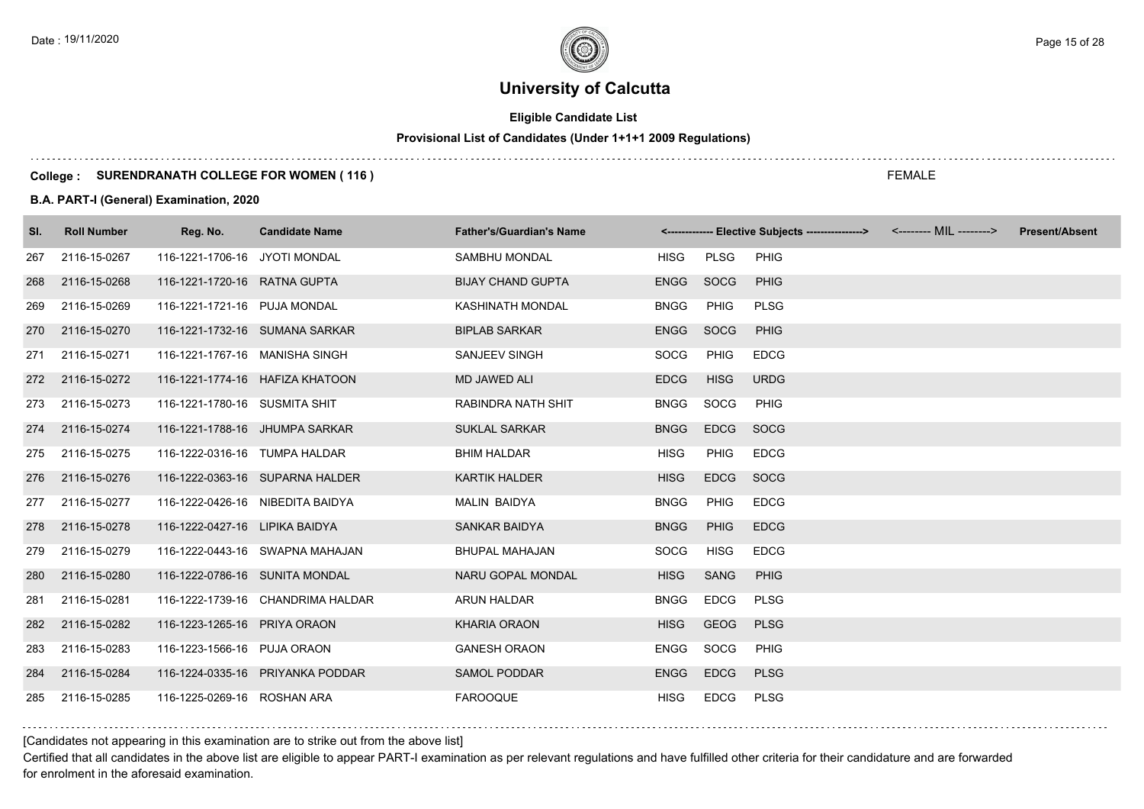# **Eligible Candidate List**

# **Provisional List of Candidates (Under 1+1+1 2009 Regulations)**

### **College : SURENDRANATH COLLEGE FOR WOMEN ( 116 )**

### **B.A. PART-I (General) Examination, 2020**

| SI. | <b>Roll Number</b> | Reg. No.                         | <b>Candidate Name</b>             | <b>Father's/Guardian's Name</b> |             |             | <------------- Elective Subjects ----------------> <-------- MIL --------> | <b>Present/Absent</b> |
|-----|--------------------|----------------------------------|-----------------------------------|---------------------------------|-------------|-------------|----------------------------------------------------------------------------|-----------------------|
| 267 | 2116-15-0267       | 116-1221-1706-16 JYOTI MONDAL    |                                   | SAMBHU MONDAL                   | HISG        | PLSG        | <b>PHIG</b>                                                                |                       |
| 268 | 2116-15-0268       | 116-1221-1720-16 RATNA GUPTA     |                                   | <b>BIJAY CHAND GUPTA</b>        | <b>ENGG</b> | SOCG        | <b>PHIG</b>                                                                |                       |
| 269 | 2116-15-0269       | 116-1221-1721-16 PUJA MONDAL     |                                   | KASHINATH MONDAL                | <b>BNGG</b> | <b>PHIG</b> | <b>PLSG</b>                                                                |                       |
| 270 | 2116-15-0270       |                                  | 116-1221-1732-16 SUMANA SARKAR    | <b>BIPLAB SARKAR</b>            | <b>ENGG</b> | <b>SOCG</b> | <b>PHIG</b>                                                                |                       |
| 271 | 2116-15-0271       | 116-1221-1767-16 MANISHA SINGH   |                                   | SANJEEV SINGH                   | <b>SOCG</b> | <b>PHIG</b> | <b>EDCG</b>                                                                |                       |
| 272 | 2116-15-0272       |                                  | 116-1221-1774-16 HAFIZA KHATOON   | MD JAWED ALI                    | <b>EDCG</b> | <b>HISG</b> | <b>URDG</b>                                                                |                       |
| 273 | 2116-15-0273       | 116-1221-1780-16 SUSMITA SHIT    |                                   | <b>RABINDRA NATH SHIT</b>       | <b>BNGG</b> | SOCG        | <b>PHIG</b>                                                                |                       |
| 274 | 2116-15-0274       | 116-1221-1788-16 JHUMPA SARKAR   |                                   | <b>SUKLAL SARKAR</b>            | <b>BNGG</b> | <b>EDCG</b> | SOCG                                                                       |                       |
| 275 | 2116-15-0275       | 116-1222-0316-16 TUMPA HALDAR    |                                   | <b>BHIM HALDAR</b>              | <b>HISG</b> | <b>PHIG</b> | <b>EDCG</b>                                                                |                       |
| 276 | 2116-15-0276       |                                  | 116-1222-0363-16 SUPARNA HALDER   | <b>KARTIK HALDER</b>            | <b>HISG</b> | <b>EDCG</b> | SOCG                                                                       |                       |
| 277 | 2116-15-0277       | 116-1222-0426-16 NIBEDITA BAIDYA |                                   | <b>MALIN BAIDYA</b>             | <b>BNGG</b> | PHIG        | <b>EDCG</b>                                                                |                       |
| 278 | 2116-15-0278       | 116-1222-0427-16 LIPIKA BAIDYA   |                                   | <b>SANKAR BAIDYA</b>            | <b>BNGG</b> | PHIG        | <b>EDCG</b>                                                                |                       |
| 279 | 2116-15-0279       |                                  | 116-1222-0443-16 SWAPNA MAHAJAN   | <b>BHUPAL MAHAJAN</b>           | SOCG        | <b>HISG</b> | <b>EDCG</b>                                                                |                       |
| 280 | 2116-15-0280       | 116-1222-0786-16 SUNITA MONDAL   |                                   | NARU GOPAL MONDAL               | <b>HISG</b> | <b>SANG</b> | <b>PHIG</b>                                                                |                       |
| 281 | 2116-15-0281       |                                  | 116-1222-1739-16 CHANDRIMA HALDAR | <b>ARUN HALDAR</b>              | <b>BNGG</b> | <b>EDCG</b> | <b>PLSG</b>                                                                |                       |
| 282 | 2116-15-0282       | 116-1223-1265-16 PRIYA ORAON     |                                   | <b>KHARIA ORAON</b>             | <b>HISG</b> | <b>GEOG</b> | <b>PLSG</b>                                                                |                       |
| 283 | 2116-15-0283       | 116-1223-1566-16 PUJA ORAON      |                                   | <b>GANESH ORAON</b>             | <b>ENGG</b> | SOCG        | <b>PHIG</b>                                                                |                       |
| 284 | 2116-15-0284       |                                  | 116-1224-0335-16 PRIYANKA PODDAR  | <b>SAMOL PODDAR</b>             | <b>ENGG</b> | <b>EDCG</b> | <b>PLSG</b>                                                                |                       |
| 285 | 2116-15-0285       | 116-1225-0269-16 ROSHAN ARA      |                                   | <b>FAROOQUE</b>                 | <b>HISG</b> | <b>EDCG</b> | <b>PLSG</b>                                                                |                       |

### [Candidates not appearing in this examination are to strike out from the above list]

Certified that all candidates in the above list are eligible to appear PART-I examination as per relevant regulations and have fulfilled other criteria for their candidature and are forwarded for enrolment in the aforesaid examination.

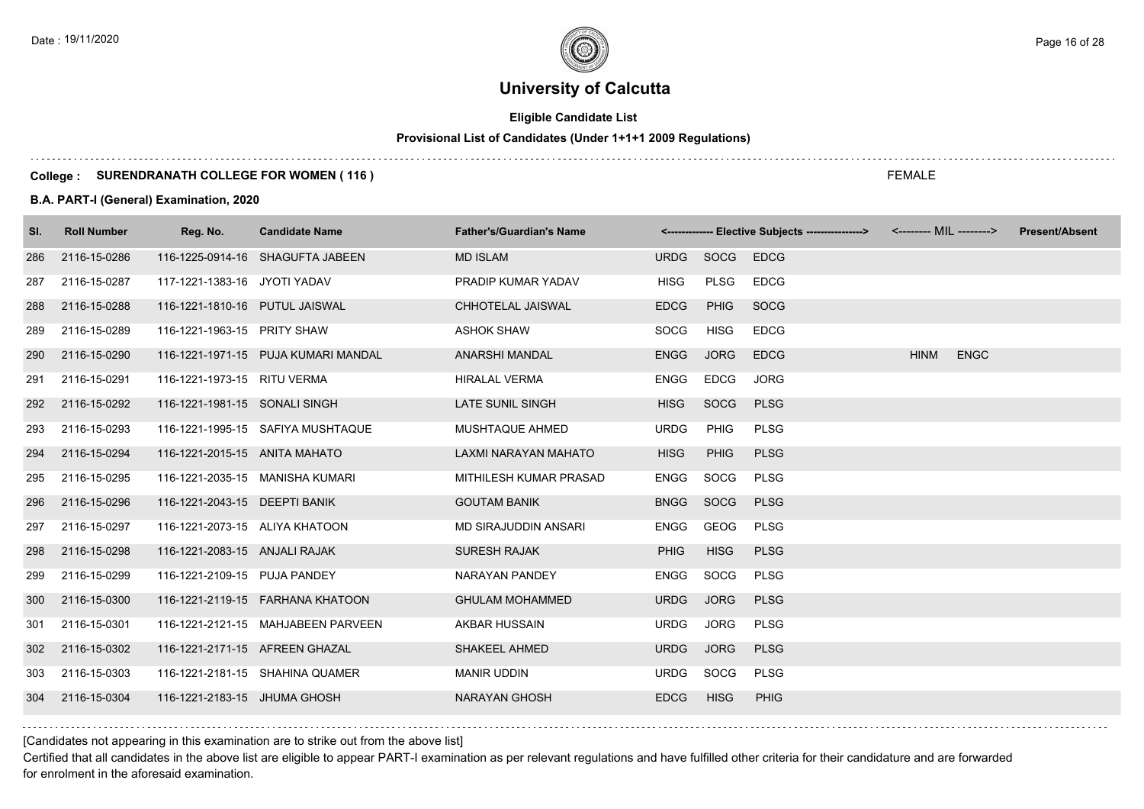# **Eligible Candidate List**

# **Provisional List of Candidates (Under 1+1+1 2009 Regulations)**

### **College : SURENDRANATH COLLEGE FOR WOMEN ( 116 )**

### **B.A. PART-I (General) Examination, 2020**

| SI. | <b>Roll Number</b> | Reg. No.                       | <b>Candidate Name</b>               | <b>Father's/Guardian's Name</b> |             |             | <------------- Elective Subjects ----------------> <-------- MIL --------> |             |             | <b>Present/Absent</b> |
|-----|--------------------|--------------------------------|-------------------------------------|---------------------------------|-------------|-------------|----------------------------------------------------------------------------|-------------|-------------|-----------------------|
| 286 | 2116-15-0286       |                                | 116-1225-0914-16 SHAGUFTA JABEEN    | <b>MD ISLAM</b>                 | <b>URDG</b> | SOCG        | <b>EDCG</b>                                                                |             |             |                       |
| 287 | 2116-15-0287       | 117-1221-1383-16 JYOTI YADAV   |                                     | PRADIP KUMAR YADAV              | <b>HISG</b> | <b>PLSG</b> | <b>EDCG</b>                                                                |             |             |                       |
| 288 | 2116-15-0288       | 116-1221-1810-16 PUTUL JAISWAL |                                     | CHHOTELAL JAISWAL               | <b>EDCG</b> | <b>PHIG</b> | SOCG                                                                       |             |             |                       |
| 289 | 2116-15-0289       | 116-1221-1963-15 PRITY SHAW    |                                     | <b>ASHOK SHAW</b>               | SOCG        | HISG        | <b>EDCG</b>                                                                |             |             |                       |
| 290 | 2116-15-0290       |                                | 116-1221-1971-15 PUJA KUMARI MANDAL | ANARSHI MANDAL                  | <b>ENGG</b> | <b>JORG</b> | <b>EDCG</b>                                                                | <b>HINM</b> | <b>ENGC</b> |                       |
| 291 | 2116-15-0291       | 116-1221-1973-15 RITU VERMA    |                                     | <b>HIRALAL VERMA</b>            | <b>ENGG</b> | <b>EDCG</b> | <b>JORG</b>                                                                |             |             |                       |
| 292 | 2116-15-0292       | 116-1221-1981-15 SONALI SINGH  |                                     | LATE SUNIL SINGH                | <b>HISG</b> | SOCG        | <b>PLSG</b>                                                                |             |             |                       |
| 293 | 2116-15-0293       |                                | 116-1221-1995-15 SAFIYA MUSHTAQUE   | MUSHTAQUE AHMED                 | <b>URDG</b> | PHIG        | <b>PLSG</b>                                                                |             |             |                       |
| 294 | 2116-15-0294       | 116-1221-2015-15 ANITA MAHATO  |                                     | LAXMI NARAYAN MAHATO            | <b>HISG</b> | PHIG        | <b>PLSG</b>                                                                |             |             |                       |
| 295 | 2116-15-0295       |                                | 116-1221-2035-15 MANISHA KUMARI     | MITHILESH KUMAR PRASAD          | <b>ENGG</b> | SOCG        | <b>PLSG</b>                                                                |             |             |                       |
| 296 | 2116-15-0296       | 116-1221-2043-15 DEEPTI BANIK  |                                     | <b>GOUTAM BANIK</b>             | <b>BNGG</b> | <b>SOCG</b> | <b>PLSG</b>                                                                |             |             |                       |
| 297 | 2116-15-0297       | 116-1221-2073-15 ALIYA KHATOON |                                     | MD SIRAJUDDIN ANSARI            | <b>ENGG</b> | GEOG        | <b>PLSG</b>                                                                |             |             |                       |
| 298 | 2116-15-0298       | 116-1221-2083-15 ANJALI RAJAK  |                                     | <b>SURESH RAJAK</b>             | <b>PHIG</b> | <b>HISG</b> | <b>PLSG</b>                                                                |             |             |                       |
| 299 | 2116-15-0299       | 116-1221-2109-15 PUJA PANDEY   |                                     | NARAYAN PANDEY                  | <b>ENGG</b> | SOCG        | <b>PLSG</b>                                                                |             |             |                       |
| 300 | 2116-15-0300       |                                | 116-1221-2119-15 FARHANA KHATOON    | <b>GHULAM MOHAMMED</b>          | <b>URDG</b> | <b>JORG</b> | <b>PLSG</b>                                                                |             |             |                       |
| 301 | 2116-15-0301       |                                | 116-1221-2121-15 MAHJABEEN PARVEEN  | AKBAR HUSSAIN                   | <b>URDG</b> | JORG        | <b>PLSG</b>                                                                |             |             |                       |
| 302 | 2116-15-0302       | 116-1221-2171-15 AFREEN GHAZAL |                                     | <b>SHAKEEL AHMED</b>            | <b>URDG</b> | <b>JORG</b> | <b>PLSG</b>                                                                |             |             |                       |
| 303 | 2116-15-0303       |                                | 116-1221-2181-15 SHAHINA QUAMER     | <b>MANIR UDDIN</b>              | URDG        | SOCG        | PLSG                                                                       |             |             |                       |
| 304 | 2116-15-0304       | 116-1221-2183-15 JHUMA GHOSH   |                                     | <b>NARAYAN GHOSH</b>            | <b>EDCG</b> | <b>HISG</b> | <b>PHIG</b>                                                                |             |             |                       |

[Candidates not appearing in this examination are to strike out from the above list]

Certified that all candidates in the above list are eligible to appear PART-I examination as per relevant regulations and have fulfilled other criteria for their candidature and are forwarded for enrolment in the aforesaid examination.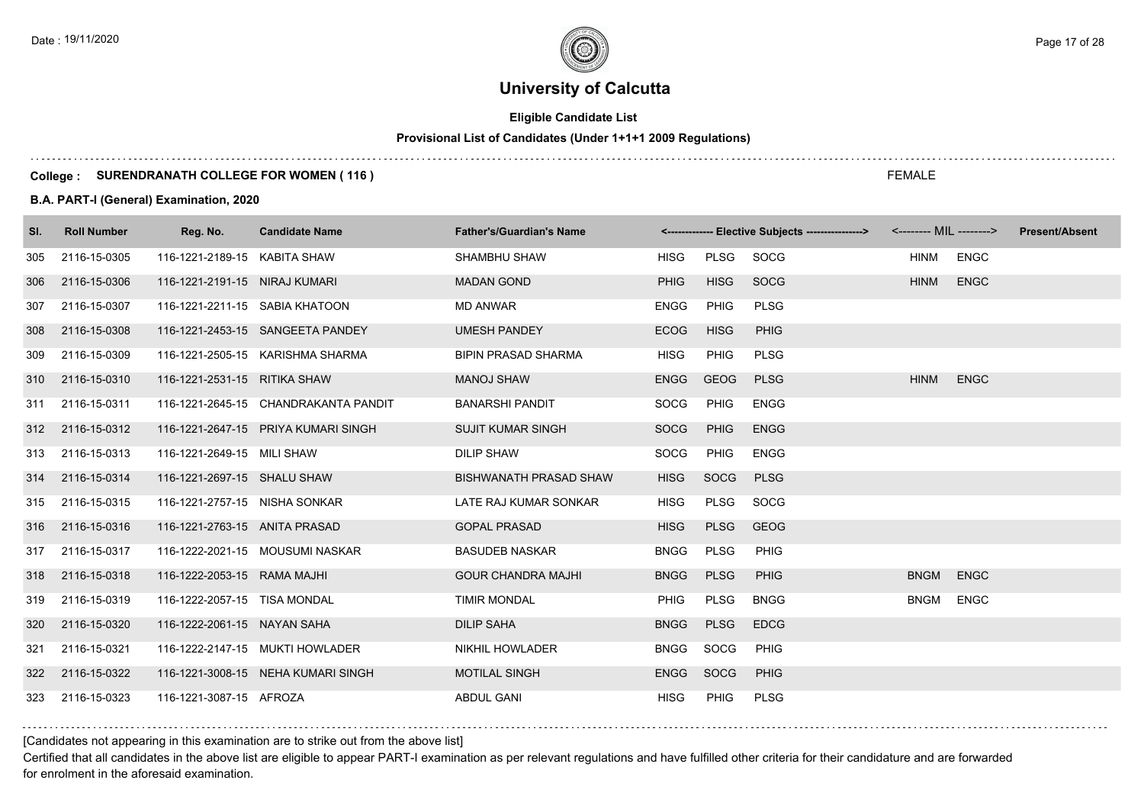# **Eligible Candidate List**

# **Provisional List of Candidates (Under 1+1+1 2009 Regulations)**

### **College : SURENDRANATH COLLEGE FOR WOMEN ( 116 )**

### **B.A. PART-I (General) Examination, 2020**

| SI. | <b>Roll Number</b> | Reg. No.                       | <b>Candidate Name</b>                | <b>Father's/Guardian's Name</b> |             |             | <-------------- Elective Subjects ----------------> | <-------- MIL --------> | <b>Present/Absent</b> |  |
|-----|--------------------|--------------------------------|--------------------------------------|---------------------------------|-------------|-------------|-----------------------------------------------------|-------------------------|-----------------------|--|
| 305 | 2116-15-0305       | 116-1221-2189-15 KABITA SHAW   |                                      | <b>SHAMBHU SHAW</b>             | <b>HISG</b> | PLSG        | SOCG                                                | HINM                    | <b>ENGC</b>           |  |
| 306 | 2116-15-0306       | 116-1221-2191-15 NIRAJ KUMARI  |                                      | <b>MADAN GOND</b>               | <b>PHIG</b> | <b>HISG</b> | SOCG                                                | <b>HINM</b>             | <b>ENGC</b>           |  |
| 307 | 2116-15-0307       | 116-1221-2211-15 SABIA KHATOON |                                      | <b>MD ANWAR</b>                 | <b>ENGG</b> | <b>PHIG</b> | <b>PLSG</b>                                         |                         |                       |  |
| 308 | 2116-15-0308       |                                | 116-1221-2453-15 SANGEETA PANDEY     | <b>UMESH PANDEY</b>             | <b>ECOG</b> | <b>HISG</b> | <b>PHIG</b>                                         |                         |                       |  |
| 309 | 2116-15-0309       |                                | 116-1221-2505-15 KARISHMA SHARMA     | <b>BIPIN PRASAD SHARMA</b>      | <b>HISG</b> | PHIG        | <b>PLSG</b>                                         |                         |                       |  |
| 310 | 2116-15-0310       | 116-1221-2531-15 RITIKA SHAW   |                                      | <b>MANOJ SHAW</b>               | <b>ENGG</b> | GEOG        | <b>PLSG</b>                                         | <b>HINM</b>             | <b>ENGC</b>           |  |
| 311 | 2116-15-0311       |                                | 116-1221-2645-15 CHANDRAKANTA PANDIT | <b>BANARSHI PANDIT</b>          | SOCG        | <b>PHIG</b> | <b>ENGG</b>                                         |                         |                       |  |
| 312 | 2116-15-0312       |                                | 116-1221-2647-15 PRIYA KUMARI SINGH  | <b>SUJIT KUMAR SINGH</b>        | <b>SOCG</b> | <b>PHIG</b> | <b>ENGG</b>                                         |                         |                       |  |
| 313 | 2116-15-0313       | 116-1221-2649-15 MILI SHAW     |                                      | <b>DILIP SHAW</b>               | SOCG        | <b>PHIG</b> | <b>ENGG</b>                                         |                         |                       |  |
| 314 | 2116-15-0314       | 116-1221-2697-15 SHALU SHAW    |                                      | <b>BISHWANATH PRASAD SHAW</b>   | <b>HISG</b> | <b>SOCG</b> | <b>PLSG</b>                                         |                         |                       |  |
| 315 | 2116-15-0315       | 116-1221-2757-15 NISHA SONKAR  |                                      | LATE RAJ KUMAR SONKAR           | <b>HISG</b> | <b>PLSG</b> | SOCG                                                |                         |                       |  |
| 316 | 2116-15-0316       | 116-1221-2763-15 ANITA PRASAD  |                                      | <b>GOPAL PRASAD</b>             | <b>HISG</b> | <b>PLSG</b> | <b>GEOG</b>                                         |                         |                       |  |
| 317 | 2116-15-0317       |                                | 116-1222-2021-15 MOUSUMI NASKAR      | <b>BASUDEB NASKAR</b>           | <b>BNGG</b> | <b>PLSG</b> | <b>PHIG</b>                                         |                         |                       |  |
| 318 | 2116-15-0318       | 116-1222-2053-15 RAMA MAJHI    |                                      | <b>GOUR CHANDRA MAJHI</b>       | <b>BNGG</b> | <b>PLSG</b> | <b>PHIG</b>                                         | <b>BNGM</b>             | <b>ENGC</b>           |  |
| 319 | 2116-15-0319       | 116-1222-2057-15 TISA MONDAL   |                                      | <b>TIMIR MONDAL</b>             | <b>PHIG</b> | <b>PLSG</b> | <b>BNGG</b>                                         | <b>BNGM</b>             | <b>ENGC</b>           |  |
| 320 | 2116-15-0320       | 116-1222-2061-15 NAYAN SAHA    |                                      | <b>DILIP SAHA</b>               | <b>BNGG</b> | <b>PLSG</b> | <b>EDCG</b>                                         |                         |                       |  |
| 321 | 2116-15-0321       |                                | 116-1222-2147-15 MUKTI HOWLADER      | <b>NIKHIL HOWLADER</b>          | <b>BNGG</b> | SOCG        | <b>PHIG</b>                                         |                         |                       |  |
| 322 | 2116-15-0322       |                                | 116-1221-3008-15 NEHA KUMARI SINGH   | <b>MOTILAL SINGH</b>            | <b>ENGG</b> | <b>SOCG</b> | <b>PHIG</b>                                         |                         |                       |  |
| 323 | 2116-15-0323       | 116-1221-3087-15 AFROZA        |                                      | <b>ABDUL GANI</b>               | <b>HISG</b> | PHIG        | <b>PLSG</b>                                         |                         |                       |  |

### [Candidates not appearing in this examination are to strike out from the above list]

Certified that all candidates in the above list are eligible to appear PART-I examination as per relevant regulations and have fulfilled other criteria for their candidature and are forwarded for enrolment in the aforesaid examination.

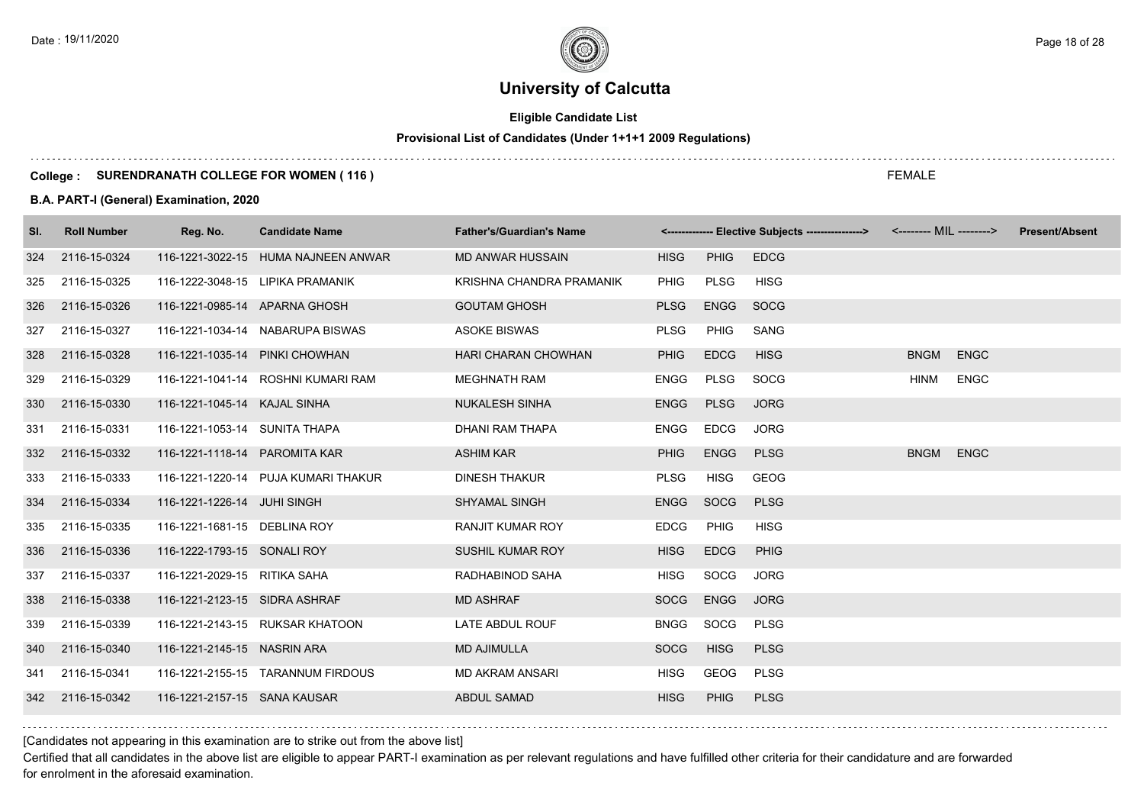# **Eligible Candidate List**

# **Provisional List of Candidates (Under 1+1+1 2009 Regulations)**

### **College : SURENDRANATH COLLEGE FOR WOMEN ( 116 )**

### **B.A. PART-I (General) Examination, 2020**

| SI. | <b>Roll Number</b> | Reg. No.                       | <b>Candidate Name</b>               | <b>Father's/Guardian's Name</b> |             |             | <-------------- Elective Subjects ----------------> <-------- MIL --------> |             |             | <b>Present/Absent</b> |
|-----|--------------------|--------------------------------|-------------------------------------|---------------------------------|-------------|-------------|-----------------------------------------------------------------------------|-------------|-------------|-----------------------|
| 324 | 2116-15-0324       |                                | 116-1221-3022-15 HUMA NAJNEEN ANWAR | <b>MD ANWAR HUSSAIN</b>         | <b>HISG</b> | <b>PHIG</b> | <b>EDCG</b>                                                                 |             |             |                       |
| 325 | 2116-15-0325       |                                | 116-1222-3048-15 LIPIKA PRAMANIK    | KRISHNA CHANDRA PRAMANIK        | <b>PHIG</b> | PLSG        | <b>HISG</b>                                                                 |             |             |                       |
| 326 | 2116-15-0326       | 116-1221-0985-14 APARNA GHOSH  |                                     | <b>GOUTAM GHOSH</b>             | <b>PLSG</b> | <b>ENGG</b> | <b>SOCG</b>                                                                 |             |             |                       |
| 327 | 2116-15-0327       |                                | 116-1221-1034-14 NABARUPA BISWAS    | <b>ASOKE BISWAS</b>             | <b>PLSG</b> | <b>PHIG</b> | SANG                                                                        |             |             |                       |
| 328 | 2116-15-0328       | 116-1221-1035-14 PINKI CHOWHAN |                                     | HARI CHARAN CHOWHAN             | <b>PHIG</b> | <b>EDCG</b> | <b>HISG</b>                                                                 | <b>BNGM</b> | <b>ENGC</b> |                       |
| 329 | 2116-15-0329       |                                | 116-1221-1041-14 ROSHNI KUMARI RAM  | <b>MEGHNATH RAM</b>             | <b>ENGG</b> | <b>PLSG</b> | SOCG                                                                        | HINM        | <b>ENGC</b> |                       |
| 330 | 2116-15-0330       | 116-1221-1045-14 KAJAL SINHA   |                                     | <b>NUKALESH SINHA</b>           | <b>ENGG</b> | <b>PLSG</b> | <b>JORG</b>                                                                 |             |             |                       |
| 331 | 2116-15-0331       | 116-1221-1053-14 SUNITA THAPA  |                                     | <b>DHANI RAM THAPA</b>          | <b>ENGG</b> | <b>EDCG</b> | <b>JORG</b>                                                                 |             |             |                       |
| 332 | 2116-15-0332       | 116-1221-1118-14 PAROMITA KAR  |                                     | <b>ASHIM KAR</b>                | <b>PHIG</b> | <b>ENGG</b> | <b>PLSG</b>                                                                 | <b>BNGM</b> | <b>ENGC</b> |                       |
| 333 | 2116-15-0333       |                                | 116-1221-1220-14 PUJA KUMARI THAKUR | <b>DINESH THAKUR</b>            | <b>PLSG</b> | HISG        | GEOG                                                                        |             |             |                       |
| 334 | 2116-15-0334       | 116-1221-1226-14 JUHI SINGH    |                                     | <b>SHYAMAL SINGH</b>            | <b>ENGG</b> | SOCG        | <b>PLSG</b>                                                                 |             |             |                       |
| 335 | 2116-15-0335       | 116-1221-1681-15 DEBLINA ROY   |                                     | <b>RANJIT KUMAR ROY</b>         | <b>EDCG</b> | <b>PHIG</b> | <b>HISG</b>                                                                 |             |             |                       |
| 336 | 2116-15-0336       | 116-1222-1793-15 SONALI ROY    |                                     | <b>SUSHIL KUMAR ROY</b>         | <b>HISG</b> | <b>EDCG</b> | <b>PHIG</b>                                                                 |             |             |                       |
| 337 | 2116-15-0337       | 116-1221-2029-15 RITIKA SAHA   |                                     | RADHABINOD SAHA                 | <b>HISG</b> | SOCG        | <b>JORG</b>                                                                 |             |             |                       |
| 338 | 2116-15-0338       | 116-1221-2123-15 SIDRA ASHRAF  |                                     | <b>MD ASHRAF</b>                | <b>SOCG</b> | <b>ENGG</b> | <b>JORG</b>                                                                 |             |             |                       |
| 339 | 2116-15-0339       |                                | 116-1221-2143-15 RUKSAR KHATOON     | LATE ABDUL ROUF                 | <b>BNGG</b> | SOCG        | <b>PLSG</b>                                                                 |             |             |                       |
| 340 | 2116-15-0340       | 116-1221-2145-15 NASRIN ARA    |                                     | <b>MD AJIMULLA</b>              | <b>SOCG</b> | <b>HISG</b> | <b>PLSG</b>                                                                 |             |             |                       |
| 341 | 2116-15-0341       |                                | 116-1221-2155-15 TARANNUM FIRDOUS   | <b>MD AKRAM ANSARI</b>          | HISG        | GEOG        | <b>PLSG</b>                                                                 |             |             |                       |
| 342 | 2116-15-0342       | 116-1221-2157-15 SANA KAUSAR   |                                     | <b>ABDUL SAMAD</b>              | <b>HISG</b> | <b>PHIG</b> | <b>PLSG</b>                                                                 |             |             |                       |

[Candidates not appearing in this examination are to strike out from the above list]

Certified that all candidates in the above list are eligible to appear PART-I examination as per relevant regulations and have fulfilled other criteria for their candidature and are forwarded for enrolment in the aforesaid examination.

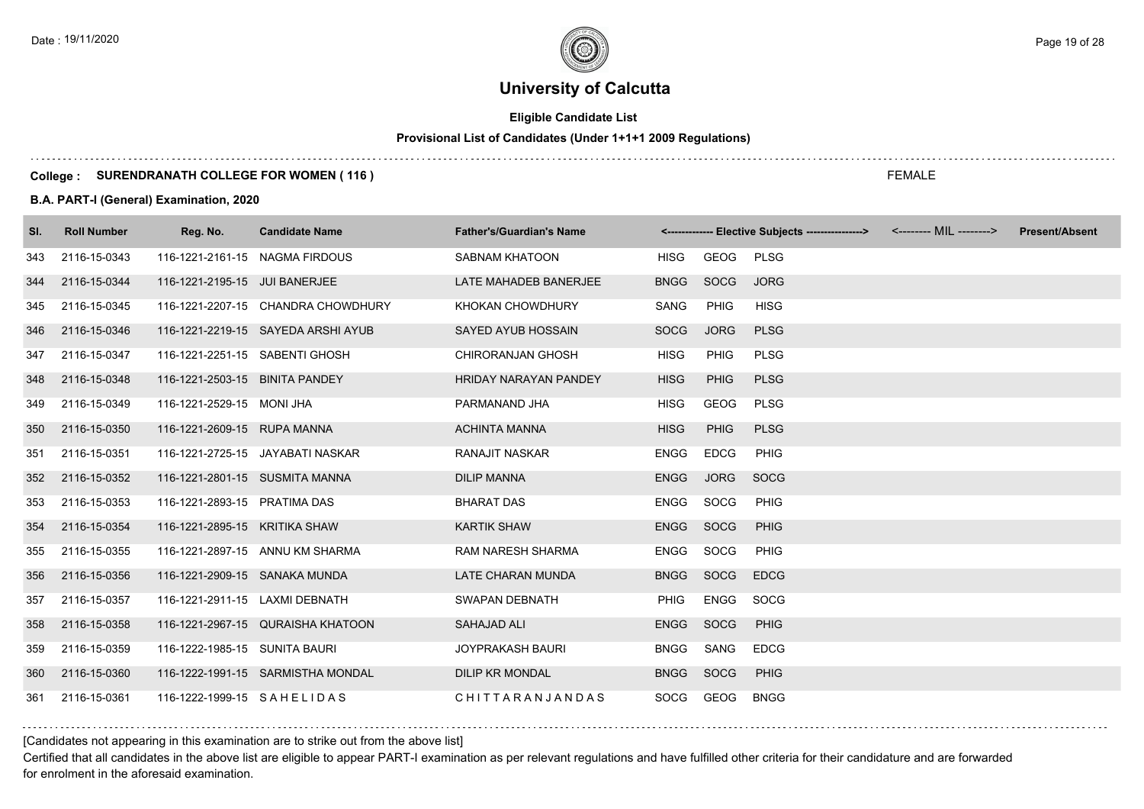# **Eligible Candidate List**

# **Provisional List of Candidates (Under 1+1+1 2009 Regulations)**

### **College : SURENDRANATH COLLEGE FOR WOMEN ( 116 )**

### **B.A. PART-I (General) Examination, 2020**

| SI. | <b>Roll Number</b> | Reg. No.                       | <b>Candidate Name</b>              | <b>Father's/Guardian's Name</b> |             |             | <------------- Elective Subjects ----------------> <-------- MIL --------> | <b>Present/Absent</b> |
|-----|--------------------|--------------------------------|------------------------------------|---------------------------------|-------------|-------------|----------------------------------------------------------------------------|-----------------------|
| 343 | 2116-15-0343       | 116-1221-2161-15 NAGMA FIRDOUS |                                    | <b>SABNAM KHATOON</b>           | HISG        | GEOG        | PLSG                                                                       |                       |
| 344 | 2116-15-0344       | 116-1221-2195-15 JUI BANERJEE  |                                    | LATE MAHADEB BANERJEE           | <b>BNGG</b> | SOCG        | <b>JORG</b>                                                                |                       |
| 345 | 2116-15-0345       |                                | 116-1221-2207-15 CHANDRA CHOWDHURY | KHOKAN CHOWDHURY                | SANG        | <b>PHIG</b> | <b>HISG</b>                                                                |                       |
| 346 | 2116-15-0346       |                                | 116-1221-2219-15 SAYEDA ARSHI AYUB | SAYED AYUB HOSSAIN              | <b>SOCG</b> | <b>JORG</b> | <b>PLSG</b>                                                                |                       |
| 347 | 2116-15-0347       | 116-1221-2251-15 SABENTI GHOSH |                                    | <b>CHIRORANJAN GHOSH</b>        | <b>HISG</b> | <b>PHIG</b> | <b>PLSG</b>                                                                |                       |
| 348 | 2116-15-0348       | 116-1221-2503-15 BINITA PANDEY |                                    | <b>HRIDAY NARAYAN PANDEY</b>    | <b>HISG</b> | <b>PHIG</b> | <b>PLSG</b>                                                                |                       |
| 349 | 2116-15-0349       | 116-1221-2529-15 MONI JHA      |                                    | PARMANAND JHA                   | <b>HISG</b> | GEOG        | <b>PLSG</b>                                                                |                       |
| 350 | 2116-15-0350       | 116-1221-2609-15 RUPA MANNA    |                                    | <b>ACHINTA MANNA</b>            | <b>HISG</b> | <b>PHIG</b> | <b>PLSG</b>                                                                |                       |
| 351 | 2116-15-0351       |                                | 116-1221-2725-15 JAYABATI NASKAR   | <b>RANAJIT NASKAR</b>           | ENGG        | <b>EDCG</b> | PHIG                                                                       |                       |
| 352 | 2116-15-0352       | 116-1221-2801-15 SUSMITA MANNA |                                    | <b>DILIP MANNA</b>              | <b>ENGG</b> | <b>JORG</b> | SOCG                                                                       |                       |
| 353 | 2116-15-0353       | 116-1221-2893-15 PRATIMA DAS   |                                    | <b>BHARAT DAS</b>               | <b>ENGG</b> | SOCG        | PHIG                                                                       |                       |
| 354 | 2116-15-0354       | 116-1221-2895-15 KRITIKA SHAW  |                                    | <b>KARTIK SHAW</b>              | <b>ENGG</b> | <b>SOCG</b> | PHIG                                                                       |                       |
| 355 | 2116-15-0355       |                                | 116-1221-2897-15 ANNU KM SHARMA    | <b>RAM NARESH SHARMA</b>        | ENGG        | SOCG        | PHIG                                                                       |                       |
| 356 | 2116-15-0356       | 116-1221-2909-15 SANAKA MUNDA  |                                    | LATE CHARAN MUNDA               | <b>BNGG</b> | SOCG        | <b>EDCG</b>                                                                |                       |
| 357 | 2116-15-0357       | 116-1221-2911-15 LAXMI DEBNATH |                                    | SWAPAN DEBNATH                  | <b>PHIG</b> | ENGG        | SOCG                                                                       |                       |
| 358 | 2116-15-0358       |                                | 116-1221-2967-15 QURAISHA KHATOON  | <b>SAHAJAD ALI</b>              | ENGG        | <b>SOCG</b> | PHIG                                                                       |                       |
| 359 | 2116-15-0359       | 116-1222-1985-15 SUNITA BAURI  |                                    | JOYPRAKASH BAURI                | <b>BNGG</b> | SANG        | <b>EDCG</b>                                                                |                       |
| 360 | 2116-15-0360       |                                | 116-1222-1991-15 SARMISTHA MONDAL  | <b>DILIP KR MONDAL</b>          | <b>BNGG</b> | SOCG        | PHIG                                                                       |                       |
| 361 | 2116-15-0361       | 116-1222-1999-15 SAHELIDAS     |                                    | CHITTARANJANDAS                 | SOCG        | GEOG        | <b>BNGG</b>                                                                |                       |

[Candidates not appearing in this examination are to strike out from the above list]

Certified that all candidates in the above list are eligible to appear PART-I examination as per relevant regulations and have fulfilled other criteria for their candidature and are forwarded for enrolment in the aforesaid examination.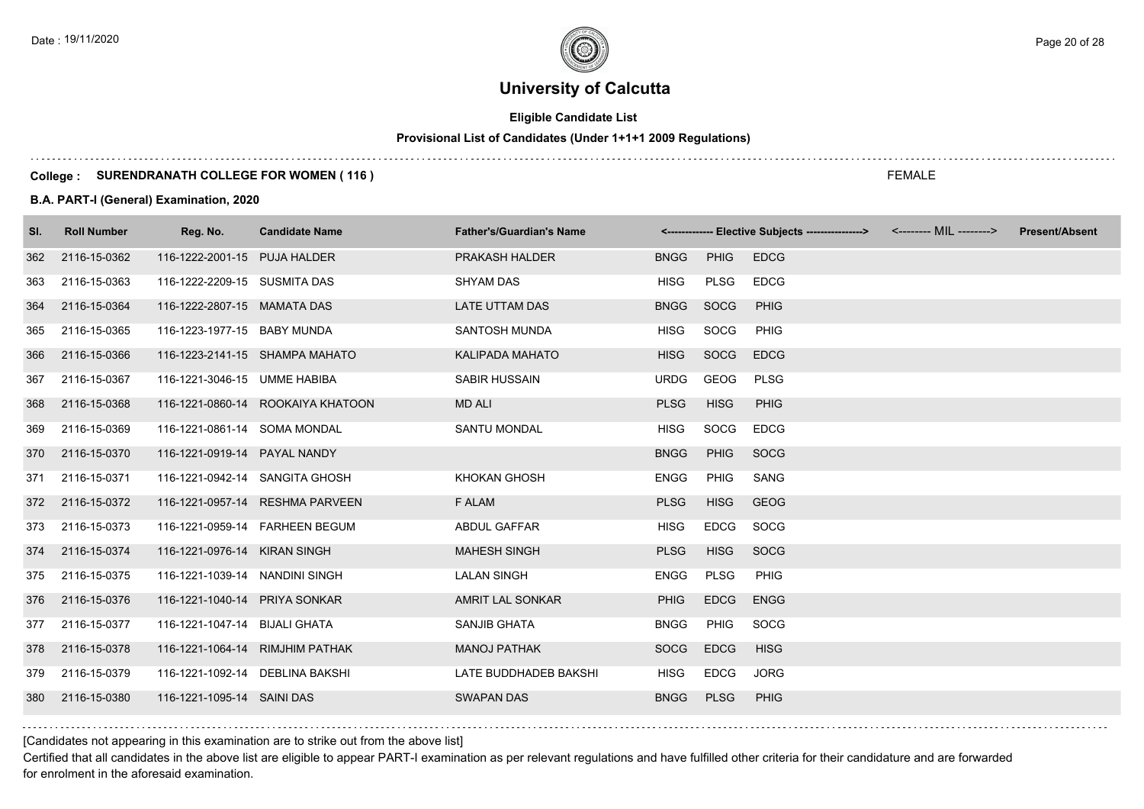# **Eligible Candidate List**

# **Provisional List of Candidates (Under 1+1+1 2009 Regulations)**

### **College : SURENDRANATH COLLEGE FOR WOMEN ( 116 )**

### **B.A. PART-I (General) Examination, 2020**

| SI. | <b>Roll Number</b> | Reg. No.                        | <b>Candidate Name</b>             | <b>Father's/Guardian's Name</b> |             |             | <------------- Elective Subjects ---------------> <-------- MIL --------> | <b>Present/Absent</b> |
|-----|--------------------|---------------------------------|-----------------------------------|---------------------------------|-------------|-------------|---------------------------------------------------------------------------|-----------------------|
| 362 | 2116-15-0362       | 116-1222-2001-15 PUJA HALDER    |                                   | PRAKASH HALDER                  | <b>BNGG</b> | <b>PHIG</b> | <b>EDCG</b>                                                               |                       |
| 363 | 2116-15-0363       | 116-1222-2209-15 SUSMITA DAS    |                                   | <b>SHYAM DAS</b>                | <b>HISG</b> | <b>PLSG</b> | <b>EDCG</b>                                                               |                       |
| 364 | 2116-15-0364       | 116-1222-2807-15 MAMATA DAS     |                                   | LATE UTTAM DAS                  | <b>BNGG</b> | SOCG        | <b>PHIG</b>                                                               |                       |
| 365 | 2116-15-0365       | 116-1223-1977-15 BABY MUNDA     |                                   | SANTOSH MUNDA                   | <b>HISG</b> | SOCG        | <b>PHIG</b>                                                               |                       |
| 366 | 2116-15-0366       |                                 | 116-1223-2141-15 SHAMPA MAHATO    | KALIPADA MAHATO                 | <b>HISG</b> | SOCG        | <b>EDCG</b>                                                               |                       |
| 367 | 2116-15-0367       | 116-1221-3046-15 UMME HABIBA    |                                   | <b>SABIR HUSSAIN</b>            | <b>URDG</b> | GEOG        | <b>PLSG</b>                                                               |                       |
| 368 | 2116-15-0368       |                                 | 116-1221-0860-14 ROOKAIYA KHATOON | <b>MD ALI</b>                   | <b>PLSG</b> | <b>HISG</b> | <b>PHIG</b>                                                               |                       |
| 369 | 2116-15-0369       | 116-1221-0861-14 SOMA MONDAL    |                                   | <b>SANTU MONDAL</b>             | <b>HISG</b> | SOCG        | <b>EDCG</b>                                                               |                       |
| 370 | 2116-15-0370       | 116-1221-0919-14 PAYAL NANDY    |                                   |                                 | <b>BNGG</b> | <b>PHIG</b> | <b>SOCG</b>                                                               |                       |
| 371 | 2116-15-0371       | 116-1221-0942-14 SANGITA GHOSH  |                                   | KHOKAN GHOSH                    | <b>ENGG</b> | <b>PHIG</b> | SANG                                                                      |                       |
| 372 | 2116-15-0372       |                                 | 116-1221-0957-14 RESHMA PARVEEN   | F ALAM                          | <b>PLSG</b> | <b>HISG</b> | <b>GEOG</b>                                                               |                       |
| 373 | 2116-15-0373       |                                 | 116-1221-0959-14 FARHEEN BEGUM    | <b>ABDUL GAFFAR</b>             | <b>HISG</b> | EDCG        | SOCG                                                                      |                       |
| 374 | 2116-15-0374       | 116-1221-0976-14 KIRAN SINGH    |                                   | <b>MAHESH SINGH</b>             | <b>PLSG</b> | <b>HISG</b> | <b>SOCG</b>                                                               |                       |
| 375 | 2116-15-0375       | 116-1221-1039-14 NANDINI SINGH  |                                   | <b>LALAN SINGH</b>              | <b>ENGG</b> | <b>PLSG</b> | <b>PHIG</b>                                                               |                       |
| 376 | 2116-15-0376       | 116-1221-1040-14 PRIYA SONKAR   |                                   | AMRIT LAL SONKAR                | <b>PHIG</b> | <b>EDCG</b> | <b>ENGG</b>                                                               |                       |
| 377 | 2116-15-0377       | 116-1221-1047-14 BIJALI GHATA   |                                   | SANJIB GHATA                    | <b>BNGG</b> | PHIG        | SOCG                                                                      |                       |
| 378 | 2116-15-0378       | 116-1221-1064-14 RIMJHIM PATHAK |                                   | <b>MANOJ PATHAK</b>             | <b>SOCG</b> | <b>EDCG</b> | <b>HISG</b>                                                               |                       |
| 379 | 2116-15-0379       | 116-1221-1092-14 DEBLINA BAKSHI |                                   | LATE BUDDHADEB BAKSHI           | <b>HISG</b> | <b>EDCG</b> | <b>JORG</b>                                                               |                       |
| 380 | 2116-15-0380       | 116-1221-1095-14 SAINI DAS      |                                   | <b>SWAPAN DAS</b>               | <b>BNGG</b> | <b>PLSG</b> | PHIG                                                                      |                       |

[Candidates not appearing in this examination are to strike out from the above list]

Certified that all candidates in the above list are eligible to appear PART-I examination as per relevant regulations and have fulfilled other criteria for their candidature and are forwarded for enrolment in the aforesaid examination.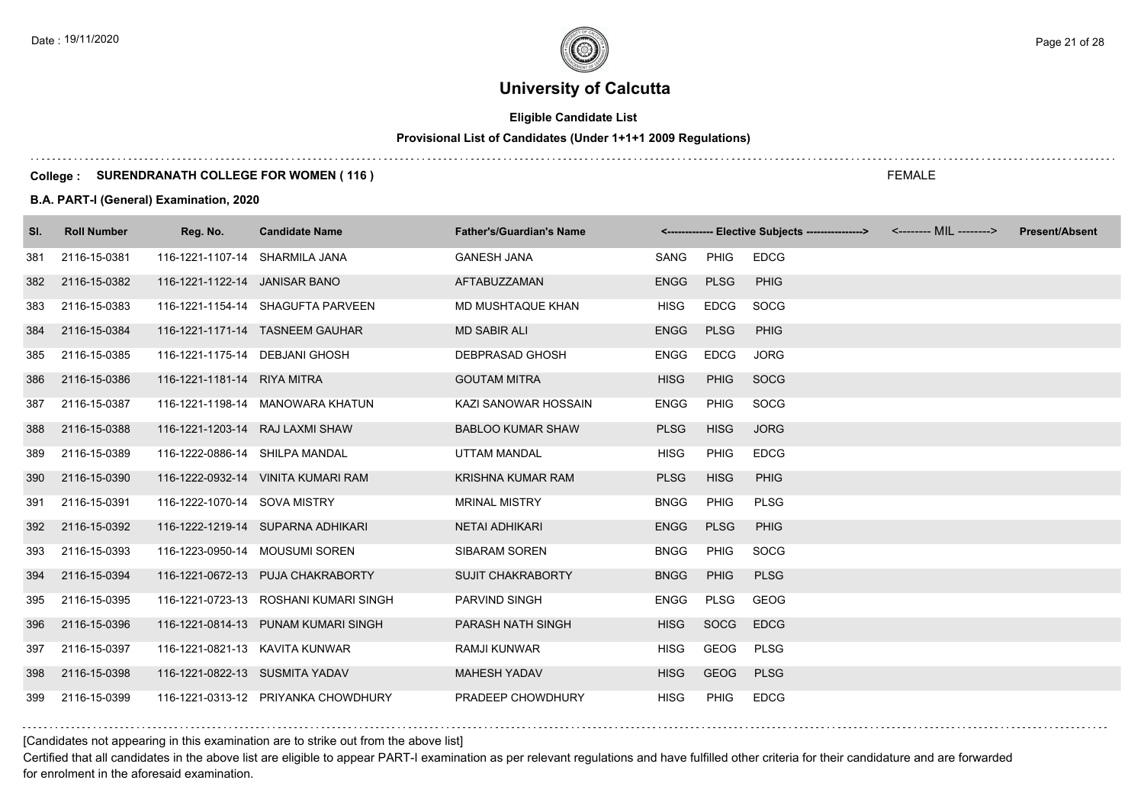# **Eligible Candidate List**

# **Provisional List of Candidates (Under 1+1+1 2009 Regulations)**

### **College : SURENDRANATH COLLEGE FOR WOMEN ( 116 )**

### **B.A. PART-I (General) Examination, 2020**

| SI. | <b>Roll Number</b> | Reg. No.                        | <b>Candidate Name</b>                 | <b>Father's/Guardian's Name</b> |             |             | <-------------- Elective Subjects ----------------> | <b>Present/Absent</b> |
|-----|--------------------|---------------------------------|---------------------------------------|---------------------------------|-------------|-------------|-----------------------------------------------------|-----------------------|
| 381 | 2116-15-0381       | 116-1221-1107-14 SHARMILA JANA  |                                       | <b>GANESH JANA</b>              | SANG        | PHIG        | <b>EDCG</b>                                         |                       |
| 382 | 2116-15-0382       | 116-1221-1122-14 JANISAR BANO   |                                       | AFTABUZZAMAN                    | <b>ENGG</b> | <b>PLSG</b> | <b>PHIG</b>                                         |                       |
| 383 | 2116-15-0383       |                                 | 116-1221-1154-14 SHAGUFTA PARVEEN     | MD MUSHTAQUE KHAN               | <b>HISG</b> | <b>EDCG</b> | SOCG                                                |                       |
| 384 | 2116-15-0384       |                                 | 116-1221-1171-14 TASNEEM GAUHAR       | <b>MD SABIR ALI</b>             | <b>ENGG</b> | <b>PLSG</b> | PHIG                                                |                       |
| 385 | 2116-15-0385       | 116-1221-1175-14 DEBJANI GHOSH  |                                       | DEBPRASAD GHOSH                 | <b>ENGG</b> | <b>EDCG</b> | <b>JORG</b>                                         |                       |
| 386 | 2116-15-0386       | 116-1221-1181-14 RIYA MITRA     |                                       | <b>GOUTAM MITRA</b>             | <b>HISG</b> | <b>PHIG</b> | SOCG                                                |                       |
| 387 | 2116-15-0387       |                                 | 116-1221-1198-14 MANOWARA KHATUN      | KAZI SANOWAR HOSSAIN            | <b>ENGG</b> | <b>PHIG</b> | SOCG                                                |                       |
| 388 | 2116-15-0388       | 116-1221-1203-14 RAJ LAXMI SHAW |                                       | <b>BABLOO KUMAR SHAW</b>        | <b>PLSG</b> | <b>HISG</b> | <b>JORG</b>                                         |                       |
| 389 | 2116-15-0389       | 116-1222-0886-14 SHILPA MANDAL  |                                       | UTTAM MANDAL                    | <b>HISG</b> | <b>PHIG</b> | <b>EDCG</b>                                         |                       |
| 390 | 2116-15-0390       |                                 | 116-1222-0932-14 VINITA KUMARI RAM    | <b>KRISHNA KUMAR RAM</b>        | <b>PLSG</b> | <b>HISG</b> | <b>PHIG</b>                                         |                       |
| 391 | 2116-15-0391       | 116-1222-1070-14 SOVA MISTRY    |                                       | <b>MRINAL MISTRY</b>            | <b>BNGG</b> | PHIG        | <b>PLSG</b>                                         |                       |
| 392 | 2116-15-0392       |                                 | 116-1222-1219-14 SUPARNA ADHIKARI     | <b>NETAI ADHIKARI</b>           | <b>ENGG</b> | <b>PLSG</b> | <b>PHIG</b>                                         |                       |
| 393 | 2116-15-0393       |                                 | 116-1223-0950-14 MOUSUMI SOREN        | SIBARAM SOREN                   | <b>BNGG</b> | <b>PHIG</b> | SOCG                                                |                       |
| 394 | 2116-15-0394       |                                 | 116-1221-0672-13 PUJA CHAKRABORTY     | <b>SUJIT CHAKRABORTY</b>        | <b>BNGG</b> | <b>PHIG</b> | <b>PLSG</b>                                         |                       |
| 395 | 2116-15-0395       |                                 | 116-1221-0723-13 ROSHANI KUMARI SINGH | PARVIND SINGH                   | <b>ENGG</b> | PLSG        | GEOG                                                |                       |
| 396 | 2116-15-0396       |                                 | 116-1221-0814-13 PUNAM KUMARI SINGH   | PARASH NATH SINGH               | <b>HISG</b> | SOCG        | <b>EDCG</b>                                         |                       |
| 397 | 2116-15-0397       | 116-1221-0821-13 KAVITA KUNWAR  |                                       | RAMJI KUNWAR                    | <b>HISG</b> | GEOG        | <b>PLSG</b>                                         |                       |
| 398 | 2116-15-0398       | 116-1221-0822-13 SUSMITA YADAV  |                                       | <b>MAHESH YADAV</b>             | <b>HISG</b> | <b>GEOG</b> | <b>PLSG</b>                                         |                       |
| 399 | 2116-15-0399       |                                 | 116-1221-0313-12 PRIYANKA CHOWDHURY   | PRADEEP CHOWDHURY               | <b>HISG</b> | PHIG        | <b>EDCG</b>                                         |                       |

[Candidates not appearing in this examination are to strike out from the above list]

Certified that all candidates in the above list are eligible to appear PART-I examination as per relevant regulations and have fulfilled other criteria for their candidature and are forwarded for enrolment in the aforesaid examination.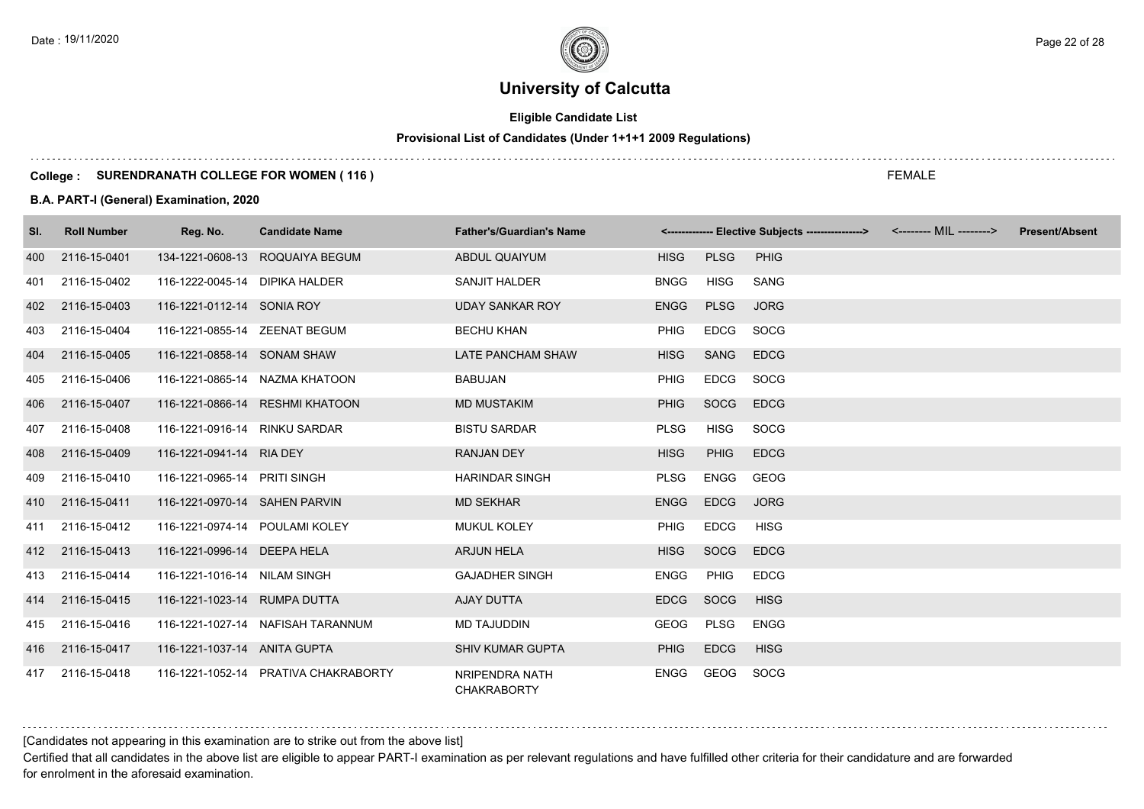# **Eligible Candidate List**

# **Provisional List of Candidates (Under 1+1+1 2009 Regulations)**

### **College : SURENDRANATH COLLEGE FOR WOMEN ( 116 )**

### **B.A. PART-I (General) Examination, 2020**

| SI. | <b>Roll Number</b> | Reg. No.                       | <b>Candidate Name</b>                | <b>Father's/Guardian's Name</b>      |             |             | <------------- Elective Subjects ----------------> <-------- MIL --------> | <b>Present/Absent</b> |
|-----|--------------------|--------------------------------|--------------------------------------|--------------------------------------|-------------|-------------|----------------------------------------------------------------------------|-----------------------|
| 400 | 2116-15-0401       |                                | 134-1221-0608-13 ROQUAIYA BEGUM      | <b>ABDUL QUAIYUM</b>                 | <b>HISG</b> | <b>PLSG</b> | <b>PHIG</b>                                                                |                       |
| 401 | 2116-15-0402       | 116-1222-0045-14 DIPIKA HALDER |                                      | SANJIT HALDER                        | <b>BNGG</b> | <b>HISG</b> | SANG                                                                       |                       |
| 402 | 2116-15-0403       | 116-1221-0112-14 SONIA ROY     |                                      | <b>UDAY SANKAR ROY</b>               | <b>ENGG</b> | <b>PLSG</b> | <b>JORG</b>                                                                |                       |
| 403 | 2116-15-0404       | 116-1221-0855-14 ZEENAT BEGUM  |                                      | <b>BECHU KHAN</b>                    | <b>PHIG</b> | EDCG        | SOCG                                                                       |                       |
| 404 | 2116-15-0405       | 116-1221-0858-14 SONAM SHAW    |                                      | LATE PANCHAM SHAW                    | <b>HISG</b> | SANG        | <b>EDCG</b>                                                                |                       |
| 405 | 2116-15-0406       |                                | 116-1221-0865-14 NAZMA KHATOON       | <b>BABUJAN</b>                       | PHIG        | <b>EDCG</b> | SOCG                                                                       |                       |
| 406 | 2116-15-0407       |                                | 116-1221-0866-14 RESHMI KHATOON      | <b>MD MUSTAKIM</b>                   | <b>PHIG</b> | SOCG        | <b>EDCG</b>                                                                |                       |
| 407 | 2116-15-0408       | 116-1221-0916-14 RINKU SARDAR  |                                      | <b>BISTU SARDAR</b>                  | PLSG        | <b>HISG</b> | SOCG                                                                       |                       |
| 408 | 2116-15-0409       | 116-1221-0941-14 RIA DEY       |                                      | <b>RANJAN DEY</b>                    | <b>HISG</b> | <b>PHIG</b> | <b>EDCG</b>                                                                |                       |
| 409 | 2116-15-0410       | 116-1221-0965-14 PRITI SINGH   |                                      | <b>HARINDAR SINGH</b>                | <b>PLSG</b> | <b>ENGG</b> | GEOG                                                                       |                       |
| 410 | 2116-15-0411       | 116-1221-0970-14 SAHEN PARVIN  |                                      | <b>MD SEKHAR</b>                     | <b>ENGG</b> | <b>EDCG</b> | <b>JORG</b>                                                                |                       |
| 411 | 2116-15-0412       | 116-1221-0974-14 POULAMI KOLEY |                                      | <b>MUKUL KOLEY</b>                   | <b>PHIG</b> | <b>EDCG</b> | HISG                                                                       |                       |
| 412 | 2116-15-0413       | 116-1221-0996-14 DEEPA HELA    |                                      | <b>ARJUN HELA</b>                    | <b>HISG</b> | <b>SOCG</b> | <b>EDCG</b>                                                                |                       |
| 413 | 2116-15-0414       | 116-1221-1016-14 NILAM SINGH   |                                      | <b>GAJADHER SINGH</b>                | <b>ENGG</b> | <b>PHIG</b> | <b>EDCG</b>                                                                |                       |
| 414 | 2116-15-0415       | 116-1221-1023-14 RUMPA DUTTA   |                                      | AJAY DUTTA                           | <b>EDCG</b> | <b>SOCG</b> | <b>HISG</b>                                                                |                       |
| 415 | 2116-15-0416       |                                | 116-1221-1027-14 NAFISAH TARANNUM    | <b>MD TAJUDDIN</b>                   | GEOG        | PLSG        | ENGG                                                                       |                       |
| 416 | 2116-15-0417       | 116-1221-1037-14 ANITA GUPTA   |                                      | <b>SHIV KUMAR GUPTA</b>              | <b>PHIG</b> | <b>EDCG</b> | <b>HISG</b>                                                                |                       |
| 417 | 2116-15-0418       |                                | 116-1221-1052-14 PRATIVA CHAKRABORTY | NRIPENDRA NATH<br><b>CHAKRABORTY</b> | <b>ENGG</b> | GEOG        | SOCG                                                                       |                       |

[Candidates not appearing in this examination are to strike out from the above list]

Certified that all candidates in the above list are eligible to appear PART-I examination as per relevant regulations and have fulfilled other criteria for their candidature and are forwarded for enrolment in the aforesaid examination.

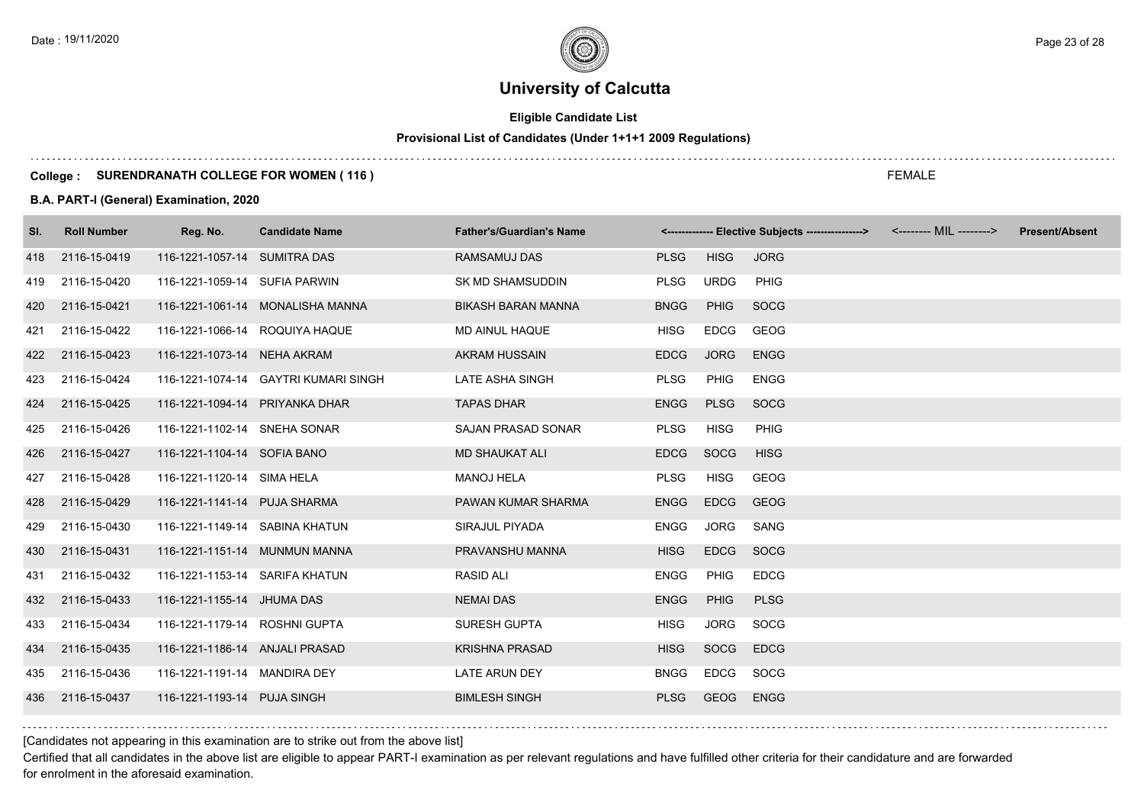# **Eligible Candidate List**

# **Provisional List of Candidates (Under 1+1+1 2009 Regulations)**

### **College : SURENDRANATH COLLEGE FOR WOMEN ( 116 )**

### **B.A. PART-I (General) Examination, 2020**

| SI. | <b>Roll Number</b> | Reg. No.                       | <b>Candidate Name</b>                | <b>Father's/Guardian's Name</b> |             |             | <------------- Elective Subjects ----------------> <-------- MIL --------> | <b>Present/Absent</b> |
|-----|--------------------|--------------------------------|--------------------------------------|---------------------------------|-------------|-------------|----------------------------------------------------------------------------|-----------------------|
| 418 | 2116-15-0419       | 116-1221-1057-14 SUMITRA DAS   |                                      | RAMSAMUJ DAS                    | <b>PLSG</b> | <b>HISG</b> | <b>JORG</b>                                                                |                       |
| 419 | 2116-15-0420       | 116-1221-1059-14 SUFIA PARWIN  |                                      | SK MD SHAMSUDDIN                | <b>PLSG</b> | <b>URDG</b> | <b>PHIG</b>                                                                |                       |
| 420 | 2116-15-0421       |                                | 116-1221-1061-14 MONALISHA MANNA     | <b>BIKASH BARAN MANNA</b>       | <b>BNGG</b> | <b>PHIG</b> | <b>SOCG</b>                                                                |                       |
| 421 | 2116-15-0422       | 116-1221-1066-14 ROQUIYA HAQUE |                                      | MD AINUL HAQUE                  | <b>HISG</b> | <b>EDCG</b> | <b>GEOG</b>                                                                |                       |
| 422 | 2116-15-0423       | 116-1221-1073-14 NEHA AKRAM    |                                      | <b>AKRAM HUSSAIN</b>            | <b>EDCG</b> | <b>JORG</b> | <b>ENGG</b>                                                                |                       |
| 423 | 2116-15-0424       |                                | 116-1221-1074-14 GAYTRI KUMARI SINGH | LATE ASHA SINGH                 | <b>PLSG</b> | PHIG        | <b>ENGG</b>                                                                |                       |
| 424 | 2116-15-0425       | 116-1221-1094-14 PRIYANKA DHAR |                                      | <b>TAPAS DHAR</b>               | <b>ENGG</b> | <b>PLSG</b> | <b>SOCG</b>                                                                |                       |
| 425 | 2116-15-0426       | 116-1221-1102-14 SNEHA SONAR   |                                      | SAJAN PRASAD SONAR              | <b>PLSG</b> | <b>HISG</b> | <b>PHIG</b>                                                                |                       |
| 426 | 2116-15-0427       | 116-1221-1104-14 SOFIA BANO    |                                      | <b>MD SHAUKAT ALI</b>           | <b>EDCG</b> | SOCG        | <b>HISG</b>                                                                |                       |
| 427 | 2116-15-0428       | 116-1221-1120-14 SIMA HELA     |                                      | <b>MANOJ HELA</b>               | <b>PLSG</b> | <b>HISG</b> | <b>GEOG</b>                                                                |                       |
| 428 | 2116-15-0429       | 116-1221-1141-14 PUJA SHARMA   |                                      | PAWAN KUMAR SHARMA              | <b>ENGG</b> | <b>EDCG</b> | GEOG                                                                       |                       |
| 429 | 2116-15-0430       | 116-1221-1149-14 SABINA KHATUN |                                      | SIRAJUL PIYADA                  | <b>ENGG</b> | <b>JORG</b> | SANG                                                                       |                       |
| 430 | 2116-15-0431       | 116-1221-1151-14 MUNMUN MANNA  |                                      | PRAVANSHU MANNA                 | <b>HISG</b> | <b>EDCG</b> | <b>SOCG</b>                                                                |                       |
| 431 | 2116-15-0432       | 116-1221-1153-14 SARIFA KHATUN |                                      | <b>RASID ALI</b>                | <b>ENGG</b> | <b>PHIG</b> | <b>EDCG</b>                                                                |                       |
| 432 | 2116-15-0433       | 116-1221-1155-14 JHUMA DAS     |                                      | <b>NEMAI DAS</b>                | <b>ENGG</b> | <b>PHIG</b> | <b>PLSG</b>                                                                |                       |
| 433 | 2116-15-0434       | 116-1221-1179-14 ROSHNI GUPTA  |                                      | <b>SURESH GUPTA</b>             | HISG        | JORG        | <b>SOCG</b>                                                                |                       |
| 434 | 2116-15-0435       | 116-1221-1186-14 ANJALI PRASAD |                                      | <b>KRISHNA PRASAD</b>           | <b>HISG</b> | <b>SOCG</b> | <b>EDCG</b>                                                                |                       |
| 435 | 2116-15-0436       | 116-1221-1191-14 MANDIRA DEY   |                                      | LATE ARUN DEY                   | <b>BNGG</b> | <b>EDCG</b> | SOCG                                                                       |                       |
| 436 | 2116-15-0437       | 116-1221-1193-14 PUJA SINGH    |                                      | <b>BIMLESH SINGH</b>            | <b>PLSG</b> | GEOG        | <b>ENGG</b>                                                                |                       |

FEMALE

[Candidates not appearing in this examination are to strike out from the above list]

Certified that all candidates in the above list are eligible to appear PART-I examination as per relevant regulations and have fulfilled other criteria for their candidature and are forwarded for enrolment in the aforesaid examination.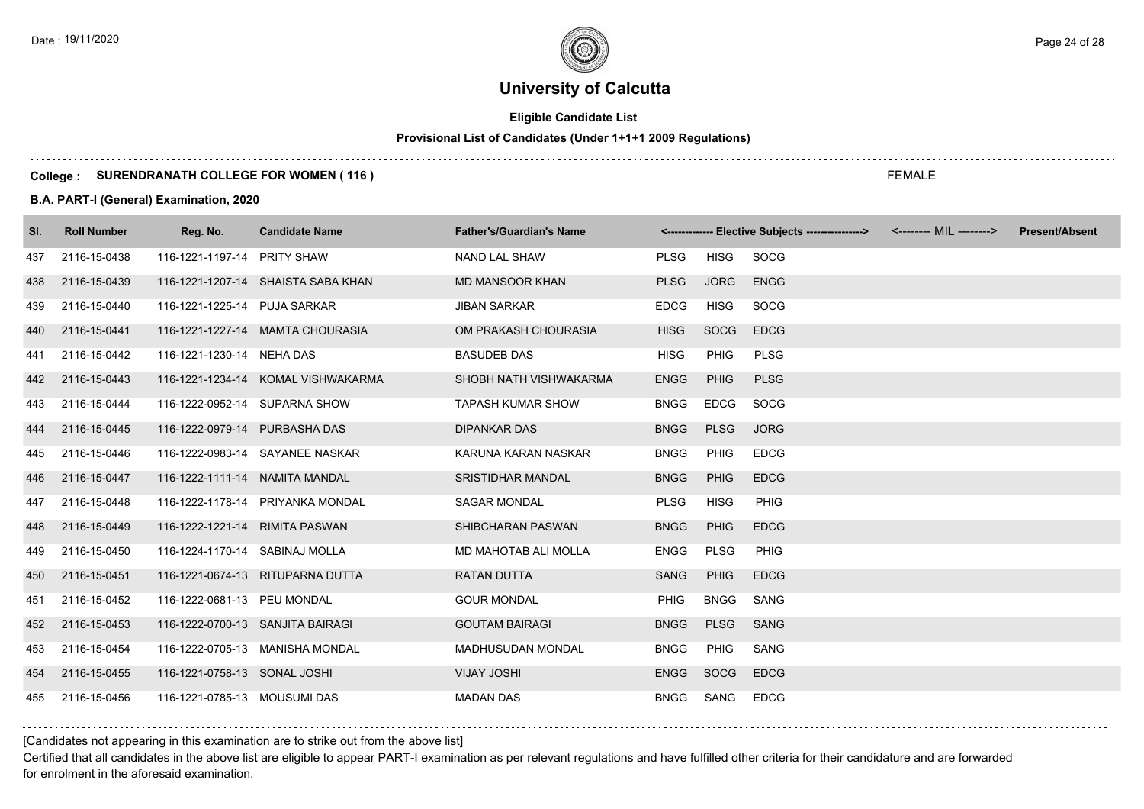# **Eligible Candidate List**

# **Provisional List of Candidates (Under 1+1+1 2009 Regulations)**

### **College : SURENDRANATH COLLEGE FOR WOMEN ( 116 )**

### **B.A. PART-I (General) Examination, 2020**

| SI. | <b>Roll Number</b> | Reg. No.                         | <b>Candidate Name</b>              | <b>Father's/Guardian's Name</b> |             |             | <------------- Elective Subjects ----------------> <-------- MIL --------> |  | <b>Present/Absent</b> |
|-----|--------------------|----------------------------------|------------------------------------|---------------------------------|-------------|-------------|----------------------------------------------------------------------------|--|-----------------------|
| 437 | 2116-15-0438       | 116-1221-1197-14 PRITY SHAW      |                                    | NAND LAL SHAW                   | <b>PLSG</b> | HISG        | SOCG                                                                       |  |                       |
| 438 | 2116-15-0439       |                                  | 116-1221-1207-14 SHAISTA SABA KHAN | <b>MD MANSOOR KHAN</b>          | <b>PLSG</b> | <b>JORG</b> | <b>ENGG</b>                                                                |  |                       |
| 439 | 2116-15-0440       | 116-1221-1225-14 PUJA SARKAR     |                                    | <b>JIBAN SARKAR</b>             | <b>EDCG</b> | HISG        | SOCG                                                                       |  |                       |
| 440 | 2116-15-0441       |                                  | 116-1221-1227-14 MAMTA CHOURASIA   | OM PRAKASH CHOURASIA            | <b>HISG</b> | <b>SOCG</b> | <b>EDCG</b>                                                                |  |                       |
| 441 | 2116-15-0442       | 116-1221-1230-14 NEHA DAS        |                                    | <b>BASUDEB DAS</b>              | <b>HISG</b> | <b>PHIG</b> | <b>PLSG</b>                                                                |  |                       |
| 442 | 2116-15-0443       |                                  | 116-1221-1234-14 KOMAL VISHWAKARMA | SHOBH NATH VISHWAKARMA          | <b>ENGG</b> | PHIG        | <b>PLSG</b>                                                                |  |                       |
| 443 | 2116-15-0444       | 116-1222-0952-14 SUPARNA SHOW    |                                    | <b>TAPASH KUMAR SHOW</b>        | <b>BNGG</b> | <b>EDCG</b> | SOCG                                                                       |  |                       |
| 444 | 2116-15-0445       | 116-1222-0979-14 PURBASHA DAS    |                                    | <b>DIPANKAR DAS</b>             | <b>BNGG</b> | <b>PLSG</b> | <b>JORG</b>                                                                |  |                       |
| 445 | 2116-15-0446       |                                  | 116-1222-0983-14 SAYANEE NASKAR    | KARUNA KARAN NASKAR             | <b>BNGG</b> | PHIG        | <b>EDCG</b>                                                                |  |                       |
| 446 | 2116-15-0447       | 116-1222-1111-14 NAMITA MANDAL   |                                    | <b>SRISTIDHAR MANDAL</b>        | <b>BNGG</b> | <b>PHIG</b> | <b>EDCG</b>                                                                |  |                       |
| 447 | 2116-15-0448       |                                  | 116-1222-1178-14 PRIYANKA MONDAL   | <b>SAGAR MONDAL</b>             | <b>PLSG</b> | <b>HISG</b> | PHIG                                                                       |  |                       |
| 448 | 2116-15-0449       | 116-1222-1221-14 RIMITA PASWAN   |                                    | SHIBCHARAN PASWAN               | <b>BNGG</b> | <b>PHIG</b> | <b>EDCG</b>                                                                |  |                       |
| 449 | 2116-15-0450       | 116-1224-1170-14 SABINAJ MOLLA   |                                    | MD MAHOTAB ALI MOLLA            | <b>ENGG</b> | PLSG        | PHIG                                                                       |  |                       |
| 450 | 2116-15-0451       |                                  | 116-1221-0674-13 RITUPARNA DUTTA   | <b>RATAN DUTTA</b>              | SANG        | <b>PHIG</b> | <b>EDCG</b>                                                                |  |                       |
| 451 | 2116-15-0452       | 116-1222-0681-13 PEU MONDAL      |                                    | <b>GOUR MONDAL</b>              | <b>PHIG</b> | <b>BNGG</b> | SANG                                                                       |  |                       |
| 452 | 2116-15-0453       | 116-1222-0700-13 SANJITA BAIRAGI |                                    | <b>GOUTAM BAIRAGI</b>           | <b>BNGG</b> | <b>PLSG</b> | <b>SANG</b>                                                                |  |                       |
| 453 | 2116-15-0454       |                                  | 116-1222-0705-13 MANISHA MONDAL    | MADHUSUDAN MONDAL               | <b>BNGG</b> | PHIG        | SANG                                                                       |  |                       |
| 454 | 2116-15-0455       | 116-1221-0758-13 SONAL JOSHI     |                                    | <b>VIJAY JOSHI</b>              | <b>ENGG</b> | SOCG        | <b>EDCG</b>                                                                |  |                       |
| 455 | 2116-15-0456       | 116-1221-0785-13 MOUSUMI DAS     |                                    | <b>MADAN DAS</b>                | <b>BNGG</b> | SANG        | <b>EDCG</b>                                                                |  |                       |

### [Candidates not appearing in this examination are to strike out from the above list]

Certified that all candidates in the above list are eligible to appear PART-I examination as per relevant regulations and have fulfilled other criteria for their candidature and are forwarded for enrolment in the aforesaid examination.

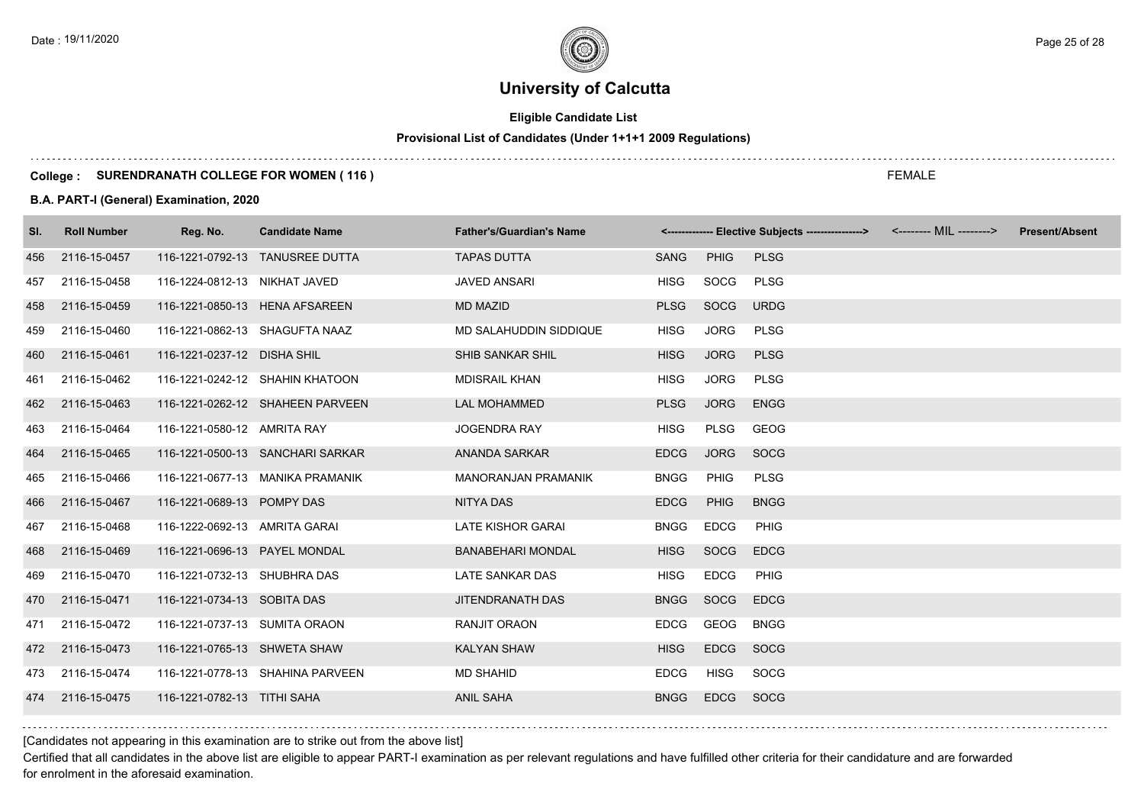# **Eligible Candidate List**

# **Provisional List of Candidates (Under 1+1+1 2009 Regulations)**

### **College : SURENDRANATH COLLEGE FOR WOMEN ( 116 )**

### **B.A. PART-I (General) Examination, 2020**

| SI. | <b>Roll Number</b> | Reg. No.                       | <b>Candidate Name</b>            | <b>Father's/Guardian's Name</b> |             |             | <------------- Elective Subjects ----------------> | <b>Present/Absent</b> |
|-----|--------------------|--------------------------------|----------------------------------|---------------------------------|-------------|-------------|----------------------------------------------------|-----------------------|
| 456 | 2116-15-0457       |                                | 116-1221-0792-13 TANUSREE DUTTA  | <b>TAPAS DUTTA</b>              | SANG        | <b>PHIG</b> | <b>PLSG</b>                                        |                       |
| 457 | 2116-15-0458       | 116-1224-0812-13 NIKHAT JAVED  |                                  | <b>JAVED ANSARI</b>             | HISG        | SOCG        | <b>PLSG</b>                                        |                       |
| 458 | 2116-15-0459       | 116-1221-0850-13 HENA AFSAREEN |                                  | <b>MD MAZID</b>                 | <b>PLSG</b> | <b>SOCG</b> | <b>URDG</b>                                        |                       |
| 459 | 2116-15-0460       | 116-1221-0862-13 SHAGUFTA NAAZ |                                  | MD SALAHUDDIN SIDDIQUE          | <b>HISG</b> | <b>JORG</b> | <b>PLSG</b>                                        |                       |
| 460 | 2116-15-0461       | 116-1221-0237-12 DISHA SHIL    |                                  | SHIB SANKAR SHIL                | <b>HISG</b> | <b>JORG</b> | <b>PLSG</b>                                        |                       |
| 461 | 2116-15-0462       |                                | 116-1221-0242-12 SHAHIN KHATOON  | <b>MDISRAIL KHAN</b>            | <b>HISG</b> | <b>JORG</b> | <b>PLSG</b>                                        |                       |
| 462 | 2116-15-0463       |                                | 116-1221-0262-12 SHAHEEN PARVEEN | <b>LAL MOHAMMED</b>             | <b>PLSG</b> | <b>JORG</b> | <b>ENGG</b>                                        |                       |
| 463 | 2116-15-0464       | 116-1221-0580-12 AMRITA RAY    |                                  | <b>JOGENDRA RAY</b>             | HISG        | <b>PLSG</b> | GEOG                                               |                       |
| 464 | 2116-15-0465       |                                | 116-1221-0500-13 SANCHARI SARKAR | <b>ANANDA SARKAR</b>            | <b>EDCG</b> | <b>JORG</b> | <b>SOCG</b>                                        |                       |
| 465 | 2116-15-0466       |                                | 116-1221-0677-13 MANIKA PRAMANIK | <b>MANORANJAN PRAMANIK</b>      | <b>BNGG</b> | PHIG        | <b>PLSG</b>                                        |                       |
| 466 | 2116-15-0467       | 116-1221-0689-13 POMPY DAS     |                                  | <b>NITYA DAS</b>                | <b>EDCG</b> | PHIG        | <b>BNGG</b>                                        |                       |
| 467 | 2116-15-0468       | 116-1222-0692-13 AMRITA GARAI  |                                  | <b>LATE KISHOR GARAI</b>        | <b>BNGG</b> | <b>EDCG</b> | <b>PHIG</b>                                        |                       |
| 468 | 2116-15-0469       | 116-1221-0696-13 PAYEL MONDAL  |                                  | <b>BANABEHARI MONDAL</b>        | <b>HISG</b> | <b>SOCG</b> | <b>EDCG</b>                                        |                       |
| 469 | 2116-15-0470       | 116-1221-0732-13 SHUBHRA DAS   |                                  | LATE SANKAR DAS                 | <b>HISG</b> | <b>EDCG</b> | <b>PHIG</b>                                        |                       |
| 470 | 2116-15-0471       | 116-1221-0734-13 SOBITA DAS    |                                  | JITENDRANATH DAS                | <b>BNGG</b> | <b>SOCG</b> | <b>EDCG</b>                                        |                       |
| 471 | 2116-15-0472       | 116-1221-0737-13 SUMITA ORAON  |                                  | RANJIT ORAON                    | <b>EDCG</b> | GEOG        | <b>BNGG</b>                                        |                       |
| 472 | 2116-15-0473       | 116-1221-0765-13 SHWETA SHAW   |                                  | <b>KALYAN SHAW</b>              | <b>HISG</b> | <b>EDCG</b> | <b>SOCG</b>                                        |                       |
| 473 | 2116-15-0474       |                                | 116-1221-0778-13 SHAHINA PARVEEN | <b>MD SHAHID</b>                | <b>EDCG</b> | HISG        | SOCG                                               |                       |
| 474 | 2116-15-0475       | 116-1221-0782-13 TITHI SAHA    |                                  | <b>ANIL SAHA</b>                | <b>BNGG</b> | <b>EDCG</b> | <b>SOCG</b>                                        |                       |

[Candidates not appearing in this examination are to strike out from the above list]

Certified that all candidates in the above list are eligible to appear PART-I examination as per relevant regulations and have fulfilled other criteria for their candidature and are forwarded for enrolment in the aforesaid examination.

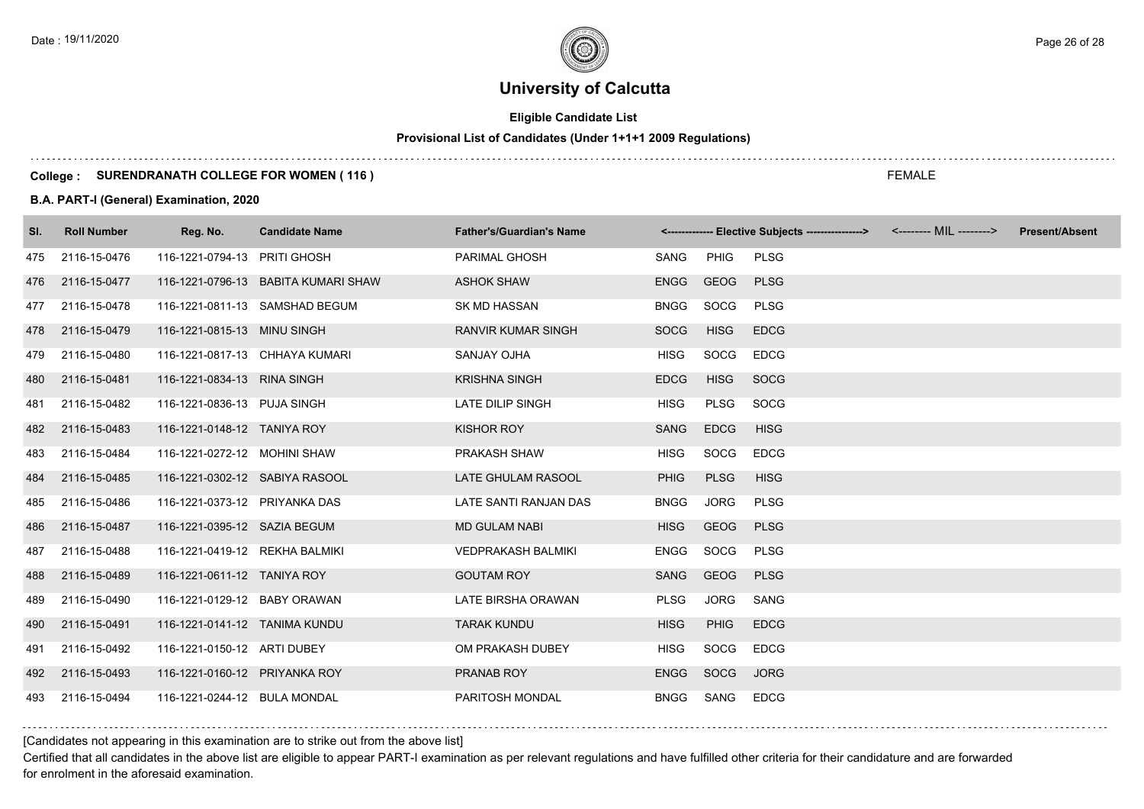# **Eligible Candidate List**

# **Provisional List of Candidates (Under 1+1+1 2009 Regulations)**

### **College : SURENDRANATH COLLEGE FOR WOMEN ( 116 )**

### **B.A. PART-I (General) Examination, 2020**

| SI. | <b>Roll Number</b> | Reg. No.                       | <b>Candidate Name</b>               | <b>Father's/Guardian's Name</b> |             |             | <------------- Elective Subjects ----------------> <-------- MIL --------> | <b>Present/Absent</b> |
|-----|--------------------|--------------------------------|-------------------------------------|---------------------------------|-------------|-------------|----------------------------------------------------------------------------|-----------------------|
| 475 | 2116-15-0476       | 116-1221-0794-13 PRITI GHOSH   |                                     | PARIMAL GHOSH                   | SANG        | PHIG        | <b>PLSG</b>                                                                |                       |
| 476 | 2116-15-0477       |                                | 116-1221-0796-13 BABITA KUMARI SHAW | <b>ASHOK SHAW</b>               | <b>ENGG</b> | GEOG        | <b>PLSG</b>                                                                |                       |
| 477 | 2116-15-0478       |                                | 116-1221-0811-13 SAMSHAD BEGUM      | SK MD HASSAN                    | <b>BNGG</b> | SOCG        | <b>PLSG</b>                                                                |                       |
| 478 | 2116-15-0479       | 116-1221-0815-13 MINU SINGH    |                                     | RANVIR KUMAR SINGH              | <b>SOCG</b> | <b>HISG</b> | <b>EDCG</b>                                                                |                       |
| 479 | 2116-15-0480       | 116-1221-0817-13 CHHAYA KUMARI |                                     | <b>SANJAY OJHA</b>              | HISG        | <b>SOCG</b> | <b>EDCG</b>                                                                |                       |
| 480 | 2116-15-0481       | 116-1221-0834-13 RINA SINGH    |                                     | <b>KRISHNA SINGH</b>            | <b>EDCG</b> | <b>HISG</b> | SOCG                                                                       |                       |
| 481 | 2116-15-0482       | 116-1221-0836-13 PUJA SINGH    |                                     | LATE DILIP SINGH                | <b>HISG</b> | <b>PLSG</b> | SOCG                                                                       |                       |
| 482 | 2116-15-0483       | 116-1221-0148-12 TANIYA ROY    |                                     | <b>KISHOR ROY</b>               | SANG        | <b>EDCG</b> | <b>HISG</b>                                                                |                       |
| 483 | 2116-15-0484       | 116-1221-0272-12 MOHINI SHAW   |                                     | PRAKASH SHAW                    | <b>HISG</b> | SOCG        | <b>EDCG</b>                                                                |                       |
| 484 | 2116-15-0485       | 116-1221-0302-12 SABIYA RASOOL |                                     | LATE GHULAM RASOOL              | <b>PHIG</b> | <b>PLSG</b> | <b>HISG</b>                                                                |                       |
| 485 | 2116-15-0486       | 116-1221-0373-12 PRIYANKA DAS  |                                     | LATE SANTI RANJAN DAS           | <b>BNGG</b> | <b>JORG</b> | <b>PLSG</b>                                                                |                       |
| 486 | 2116-15-0487       | 116-1221-0395-12 SAZIA BEGUM   |                                     | <b>MD GULAM NABI</b>            | <b>HISG</b> | <b>GEOG</b> | <b>PLSG</b>                                                                |                       |
| 487 | 2116-15-0488       | 116-1221-0419-12 REKHA BALMIKI |                                     | <b>VEDPRAKASH BALMIKI</b>       | <b>ENGG</b> | SOCG        | <b>PLSG</b>                                                                |                       |
| 488 | 2116-15-0489       | 116-1221-0611-12 TANIYA ROY    |                                     | <b>GOUTAM ROY</b>               | SANG        | <b>GEOG</b> | <b>PLSG</b>                                                                |                       |
| 489 | 2116-15-0490       | 116-1221-0129-12 BABY ORAWAN   |                                     | LATE BIRSHA ORAWAN              | <b>PLSG</b> | <b>JORG</b> | SANG                                                                       |                       |
| 490 | 2116-15-0491       | 116-1221-0141-12 TANIMA KUNDU  |                                     | <b>TARAK KUNDU</b>              | <b>HISG</b> | <b>PHIG</b> | <b>EDCG</b>                                                                |                       |
| 491 | 2116-15-0492       | 116-1221-0150-12 ARTI DUBEY    |                                     | OM PRAKASH DUBEY                | <b>HISG</b> | SOCG        | <b>EDCG</b>                                                                |                       |
| 492 | 2116-15-0493       | 116-1221-0160-12 PRIYANKA ROY  |                                     | PRANAB ROY                      | <b>ENGG</b> | SOCG        | <b>JORG</b>                                                                |                       |
| 493 | 2116-15-0494       | 116-1221-0244-12 BULA MONDAL   |                                     | PARITOSH MONDAL                 | <b>BNGG</b> | SANG        | <b>EDCG</b>                                                                |                       |

### [Candidates not appearing in this examination are to strike out from the above list]

Certified that all candidates in the above list are eligible to appear PART-I examination as per relevant regulations and have fulfilled other criteria for their candidature and are forwarded for enrolment in the aforesaid examination.

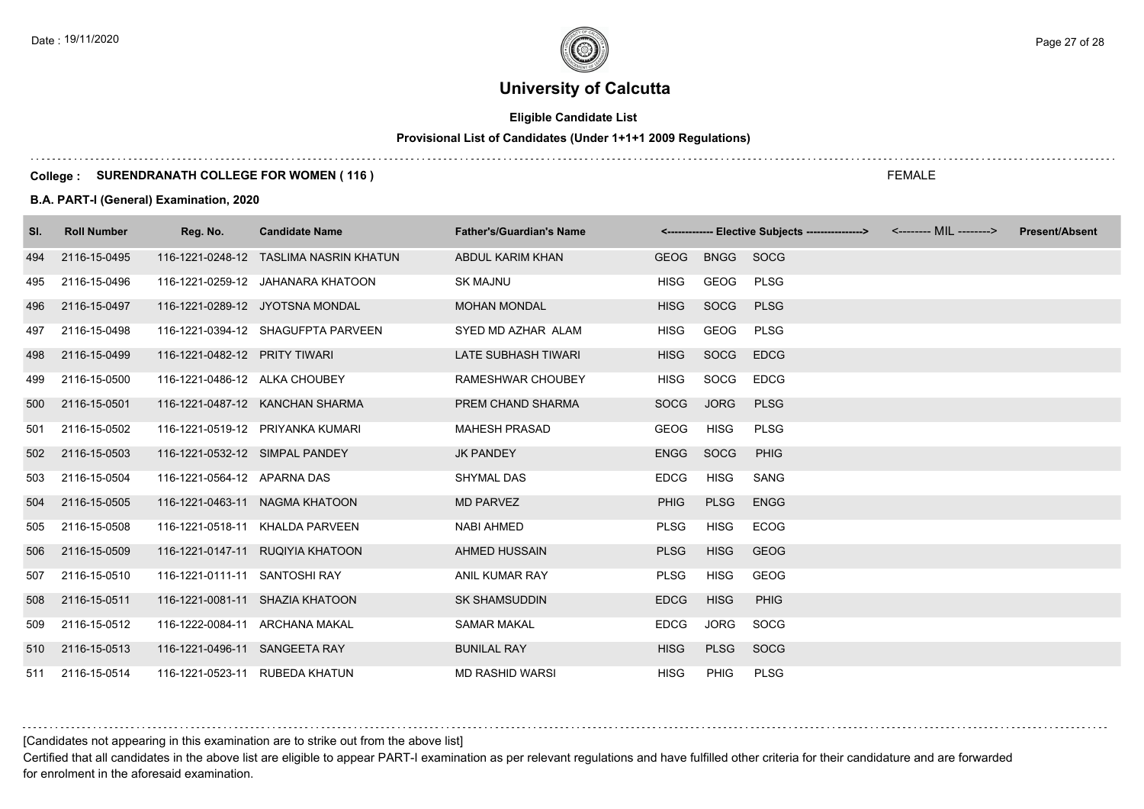# **Eligible Candidate List**

# **Provisional List of Candidates (Under 1+1+1 2009 Regulations)**

### **College : SURENDRANATH COLLEGE FOR WOMEN ( 116 )**

### **B.A. PART-I (General) Examination, 2020**

| SI. | <b>Roll Number</b> | Reg. No.                       | <b>Candidate Name</b>                  | <b>Father's/Guardian's Name</b> |             |             | <-------------- Elective Subjects ----------------> | <b>Present/Absent</b> |
|-----|--------------------|--------------------------------|----------------------------------------|---------------------------------|-------------|-------------|-----------------------------------------------------|-----------------------|
| 494 | 2116-15-0495       |                                | 116-1221-0248-12 TASLIMA NASRIN KHATUN | ABDUL KARIM KHAN                | <b>GEOG</b> | BNGG SOCG   |                                                     |                       |
| 495 | 2116-15-0496       |                                | 116-1221-0259-12 JAHANARA KHATOON      | <b>SK MAJNU</b>                 | <b>HISG</b> | GEOG        | <b>PLSG</b>                                         |                       |
| 496 | 2116-15-0497       |                                | 116-1221-0289-12 JYOTSNA MONDAL        | <b>MOHAN MONDAL</b>             | <b>HISG</b> | SOCG        | <b>PLSG</b>                                         |                       |
| 497 | 2116-15-0498       |                                | 116-1221-0394-12 SHAGUFPTA PARVEEN     | SYED MD AZHAR ALAM              | <b>HISG</b> | GEOG        | <b>PLSG</b>                                         |                       |
| 498 | 2116-15-0499       | 116-1221-0482-12 PRITY TIWARI  |                                        | <b>LATE SUBHASH TIWARI</b>      | <b>HISG</b> | SOCG        | <b>EDCG</b>                                         |                       |
| 499 | 2116-15-0500       | 116-1221-0486-12 ALKA CHOUBEY  |                                        | RAMESHWAR CHOUBEY               | HISG        | SOCG        | <b>EDCG</b>                                         |                       |
| 500 | 2116-15-0501       |                                | 116-1221-0487-12 KANCHAN SHARMA        | PREM CHAND SHARMA               | SOCG        | <b>JORG</b> | <b>PLSG</b>                                         |                       |
| 501 | 2116-15-0502       |                                | 116-1221-0519-12 PRIYANKA KUMARI       | <b>MAHESH PRASAD</b>            | GEOG        | <b>HISG</b> | <b>PLSG</b>                                         |                       |
| 502 | 2116-15-0503       | 116-1221-0532-12 SIMPAL PANDEY |                                        | <b>JK PANDEY</b>                | <b>ENGG</b> | <b>SOCG</b> | PHIG                                                |                       |
| 503 | 2116-15-0504       | 116-1221-0564-12 APARNA DAS    |                                        | <b>SHYMAL DAS</b>               | <b>EDCG</b> | <b>HISG</b> | SANG                                                |                       |
| 504 | 2116-15-0505       |                                | 116-1221-0463-11 NAGMA KHATOON         | <b>MD PARVEZ</b>                | <b>PHIG</b> | <b>PLSG</b> | <b>ENGG</b>                                         |                       |
| 505 | 2116-15-0508       |                                | 116-1221-0518-11 KHALDA PARVEEN        | <b>NABI AHMED</b>               | <b>PLSG</b> | <b>HISG</b> | <b>ECOG</b>                                         |                       |
| 506 | 2116-15-0509       |                                | 116-1221-0147-11 RUQIYIA KHATOON       | <b>AHMED HUSSAIN</b>            | <b>PLSG</b> | <b>HISG</b> | <b>GEOG</b>                                         |                       |
| 507 | 2116-15-0510       | 116-1221-0111-11 SANTOSHI RAY  |                                        | ANIL KUMAR RAY                  | <b>PLSG</b> | <b>HISG</b> | GEOG                                                |                       |
| 508 | 2116-15-0511       |                                | 116-1221-0081-11 SHAZIA KHATOON        | <b>SK SHAMSUDDIN</b>            | <b>EDCG</b> | <b>HISG</b> | <b>PHIG</b>                                         |                       |
| 509 | 2116-15-0512       | 116-1222-0084-11 ARCHANA MAKAL |                                        | <b>SAMAR MAKAL</b>              | <b>EDCG</b> | <b>JORG</b> | SOCG                                                |                       |
| 510 | 2116-15-0513       | 116-1221-0496-11 SANGEETA RAY  |                                        | <b>BUNILAL RAY</b>              | <b>HISG</b> | <b>PLSG</b> | <b>SOCG</b>                                         |                       |
|     | 511 2116-15-0514   | 116-1221-0523-11 RUBEDA KHATUN |                                        | <b>MD RASHID WARSI</b>          | <b>HISG</b> | PHIG        | <b>PLSG</b>                                         |                       |

[Candidates not appearing in this examination are to strike out from the above list]

Certified that all candidates in the above list are eligible to appear PART-I examination as per relevant regulations and have fulfilled other criteria for their candidature and are forwarded for enrolment in the aforesaid examination.